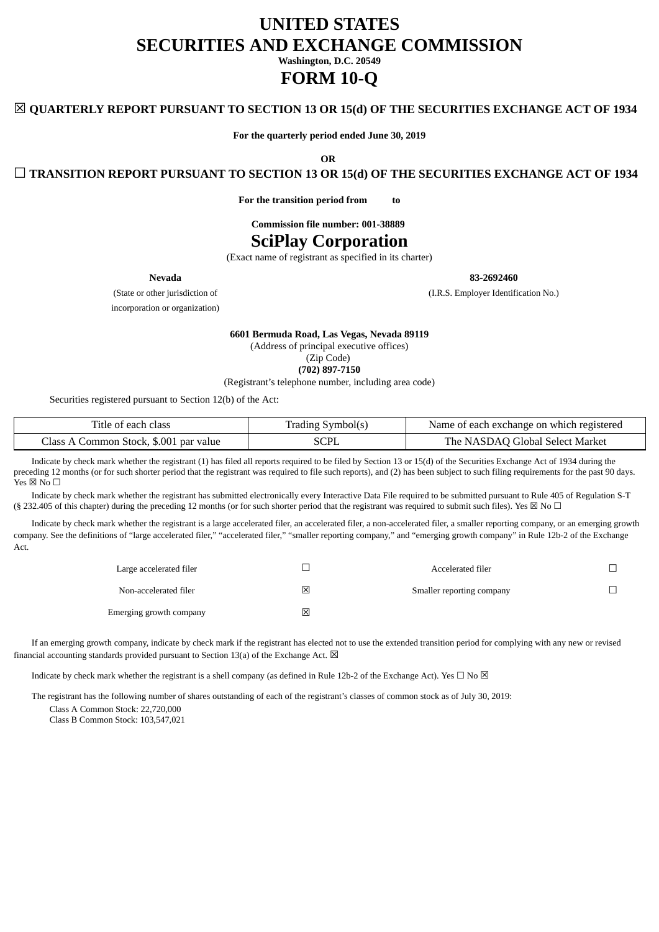# **UNITED STATES SECURITIES AND EXCHANGE COMMISSION**

**Washington, D.C. 20549**

# **FORM 10-Q**

# ☒ **QUARTERLY REPORT PURSUANT TO SECTION 13 OR 15(d) OF THE SECURITIES EXCHANGE ACT OF 1934**

**For the quarterly period ended June 30, 2019**

**OR**

☐ **TRANSITION REPORT PURSUANT TO SECTION 13 OR 15(d) OF THE SECURITIES EXCHANGE ACT OF 1934**

**For the transition period from to**

**Commission file number: 001-38889**

# **SciPlay Corporation**

(Exact name of registrant as specified in its charter)

**Nevada 83-2692460**

(State or other jurisdiction of (I.R.S. Employer Identification No.)

incorporation or organization)

**6601 Bermuda Road, Las Vegas, Nevada 89119** (Address of principal executive offices)

(Zip Code)

**(702) 897-7150**

(Registrant's telephone number, including area code)

Securities registered pursuant to Section 12(b) of the Act:

| Title of each class                    | Trading Symbol(s) | Name of each exchange on which registered |
|----------------------------------------|-------------------|-------------------------------------------|
| Class A Common Stock, \$.001 par value | SCPL              | The NASDAQ Global Select Market           |

Indicate by check mark whether the registrant (1) has filed all reports required to be filed by Section 13 or 15(d) of the Securities Exchange Act of 1934 during the preceding 12 months (or for such shorter period that the registrant was required to file such reports), and (2) has been subject to such filing requirements for the past 90 days.  $\overline{Y}$ es  $\boxtimes$  No  $\Box$ 

Indicate by check mark whether the registrant has submitted electronically every Interactive Data File required to be submitted pursuant to Rule 405 of Regulation S-T (§ 232.405 of this chapter) during the preceding 12 months (or for such shorter period that the registrant was required to submit such files). Yes  $\boxtimes$  No  $\Box$ 

Indicate by check mark whether the registrant is a large accelerated filer, an accelerated filer, a non-accelerated filer, a smaller reporting company, or an emerging growth company. See the definitions of "large accelerated filer," "accelerated filer," "smaller reporting company," and "emerging growth company" in Rule 12b-2 of the Exchange Act.

| Large accelerated filer |   | Accelerated filer         |  |
|-------------------------|---|---------------------------|--|
| Non-accelerated filer   | 冈 | Smaller reporting company |  |
| Emerging growth company | 区 |                           |  |

If an emerging growth company, indicate by check mark if the registrant has elected not to use the extended transition period for complying with any new or revised financial accounting standards provided pursuant to Section 13(a) of the Exchange Act.  $\boxtimes$ 

Indicate by check mark whether the registrant is a shell company (as defined in Rule 12b-2 of the Exchange Act). Yes  $\Box$  No  $\boxtimes$ 

The registrant has the following number of shares outstanding of each of the registrant's classes of common stock as of July 30, 2019:

Class A Common Stock: 22,720,000

Class B Common Stock: 103,547,021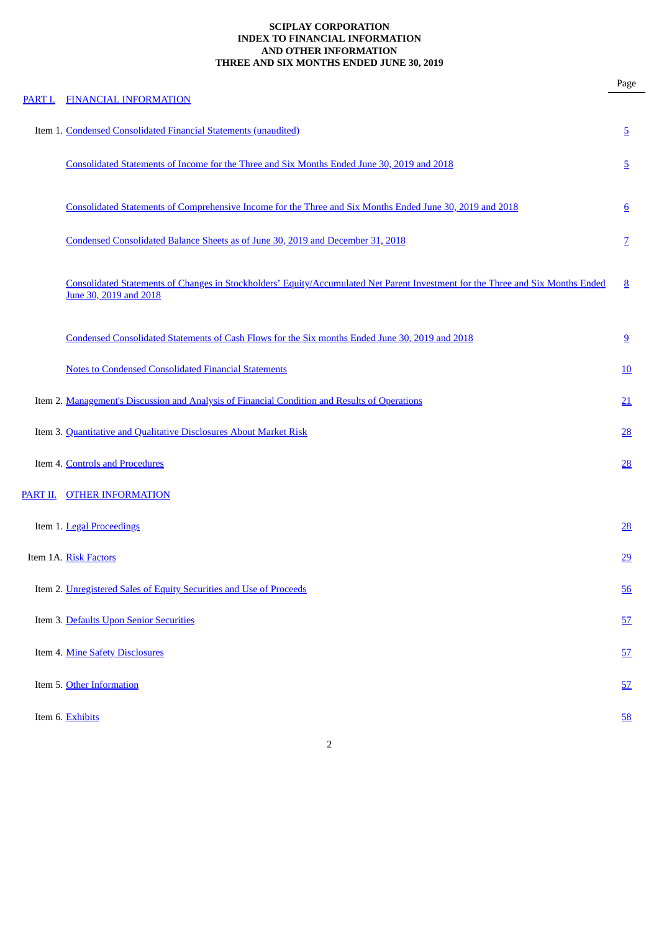# **SCIPLAY CORPORATION INDEX TO FINANCIAL INFORMATION AND OTHER INFORMATION THREE AND SIX MONTHS ENDED JUNE 30, 2019**

| PART I.         | <b>FINANCIAL INFORMATION</b>                                                                                                                              | Page            |
|-----------------|-----------------------------------------------------------------------------------------------------------------------------------------------------------|-----------------|
|                 | Item 1. Condensed Consolidated Financial Statements (unaudited)                                                                                           | <u>5</u>        |
|                 | Consolidated Statements of Income for the Three and Six Months Ended June 30, 2019 and 2018                                                               | $\overline{5}$  |
|                 | Consolidated Statements of Comprehensive Income for the Three and Six Months Ended June 30, 2019 and 2018                                                 | $6\overline{6}$ |
|                 | Condensed Consolidated Balance Sheets as of June 30, 2019 and December 31, 2018                                                                           | $\overline{Z}$  |
|                 | Consolidated Statements of Changes in Stockholders' Equity/Accumulated Net Parent Investment for the Three and Six Months Ended<br>June 30, 2019 and 2018 | 8               |
|                 | Condensed Consolidated Statements of Cash Flows for the Six months Ended June 30, 2019 and 2018                                                           | 9               |
|                 | <b>Notes to Condensed Consolidated Financial Statements</b>                                                                                               | <u>10</u>       |
|                 | Item 2. Management's Discussion and Analysis of Financial Condition and Results of Operations                                                             | 21              |
|                 | Item 3. Quantitative and Qualitative Disclosures About Market Risk                                                                                        | 28              |
|                 | Item 4. Controls and Procedures                                                                                                                           | 28              |
| <u>PART II.</u> | <b>OTHER INFORMATION</b>                                                                                                                                  |                 |
|                 | Item 1. Legal Proceedings                                                                                                                                 | $\frac{28}{2}$  |
|                 | Item 1A. Risk Factors                                                                                                                                     | 29              |
|                 | Item 2. Unregistered Sales of Equity Securities and Use of Proceeds                                                                                       | 56              |
|                 | Item 3. Defaults Upon Senior Securities                                                                                                                   | 57              |
|                 | Item 4. Mine Safety Disclosures                                                                                                                           | 57              |
|                 | Item 5. Other Information                                                                                                                                 | 57              |
|                 | Item 6. Exhibits                                                                                                                                          | 58              |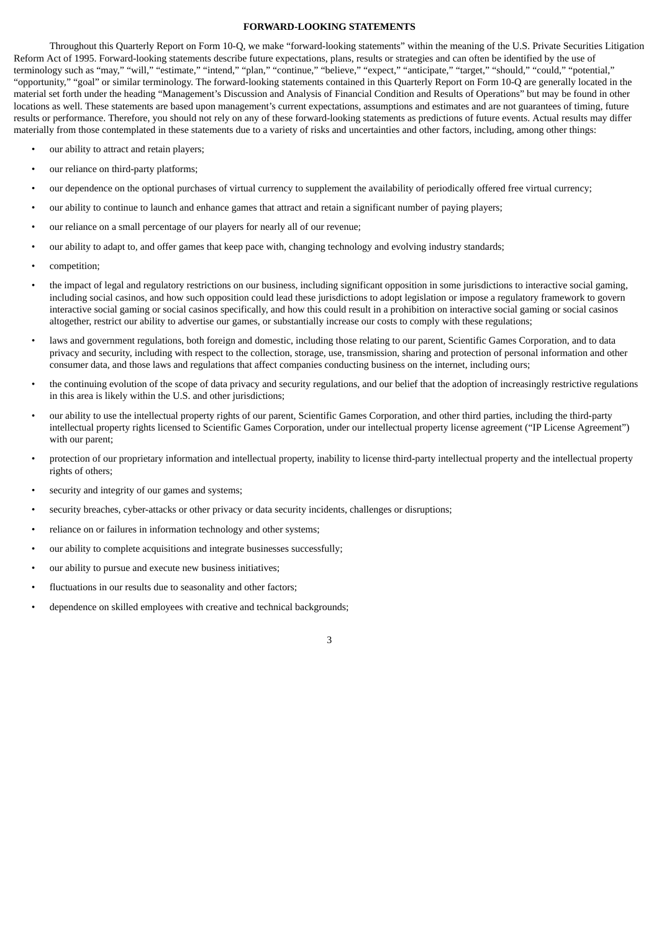#### **FORWARD-LOOKING STATEMENTS**

Throughout this Quarterly Report on Form 10-Q, we make "forward-looking statements" within the meaning of the U.S. Private Securities Litigation Reform Act of 1995. Forward-looking statements describe future expectations, plans, results or strategies and can often be identified by the use of terminology such as "may," "will," "estimate," "intend," "plan," "continue," "believe," "expect," "anticipate," "target," "should," "could," "potential," "opportunity," "goal" or similar terminology. The forward-looking statements contained in this Quarterly Report on Form 10-Q are generally located in the material set forth under the heading "Management's Discussion and Analysis of Financial Condition and Results of Operations" but may be found in other locations as well. These statements are based upon management's current expectations, assumptions and estimates and are not guarantees of timing, future results or performance. Therefore, you should not rely on any of these forward-looking statements as predictions of future events. Actual results may differ materially from those contemplated in these statements due to a variety of risks and uncertainties and other factors, including, among other things:

- our ability to attract and retain players;
- our reliance on third-party platforms:
- our dependence on the optional purchases of virtual currency to supplement the availability of periodically offered free virtual currency;
- our ability to continue to launch and enhance games that attract and retain a significant number of paying players;
- our reliance on a small percentage of our players for nearly all of our revenue;
- our ability to adapt to, and offer games that keep pace with, changing technology and evolving industry standards;
- competition;
- the impact of legal and regulatory restrictions on our business, including significant opposition in some jurisdictions to interactive social gaming, including social casinos, and how such opposition could lead these jurisdictions to adopt legislation or impose a regulatory framework to govern interactive social gaming or social casinos specifically, and how this could result in a prohibition on interactive social gaming or social casinos altogether, restrict our ability to advertise our games, or substantially increase our costs to comply with these regulations;
- laws and government regulations, both foreign and domestic, including those relating to our parent, Scientific Games Corporation, and to data privacy and security, including with respect to the collection, storage, use, transmission, sharing and protection of personal information and other consumer data, and those laws and regulations that affect companies conducting business on the internet, including ours;
- the continuing evolution of the scope of data privacy and security regulations, and our belief that the adoption of increasingly restrictive regulations in this area is likely within the U.S. and other jurisdictions;
- our ability to use the intellectual property rights of our parent, Scientific Games Corporation, and other third parties, including the third-party intellectual property rights licensed to Scientific Games Corporation, under our intellectual property license agreement ("IP License Agreement") with our parent;
- protection of our proprietary information and intellectual property, inability to license third-party intellectual property and the intellectual property rights of others;

- security and integrity of our games and systems;
- security breaches, cyber-attacks or other privacy or data security incidents, challenges or disruptions;
- reliance on or failures in information technology and other systems;
- our ability to complete acquisitions and integrate businesses successfully;
- our ability to pursue and execute new business initiatives;
- fluctuations in our results due to seasonality and other factors;
- dependence on skilled employees with creative and technical backgrounds;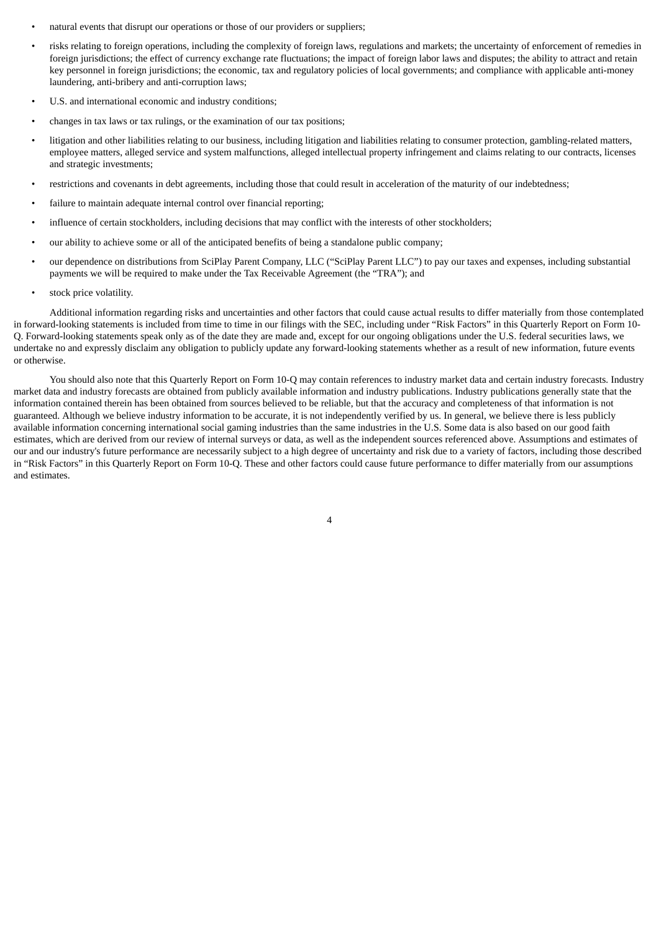- natural events that disrupt our operations or those of our providers or suppliers;
- risks relating to foreign operations, including the complexity of foreign laws, regulations and markets; the uncertainty of enforcement of remedies in foreign jurisdictions; the effect of currency exchange rate fluctuations; the impact of foreign labor laws and disputes; the ability to attract and retain key personnel in foreign jurisdictions; the economic, tax and regulatory policies of local governments; and compliance with applicable anti-money laundering, anti-bribery and anti-corruption laws;
- U.S. and international economic and industry conditions;
- changes in tax laws or tax rulings, or the examination of our tax positions;
- litigation and other liabilities relating to our business, including litigation and liabilities relating to consumer protection, gambling-related matters, employee matters, alleged service and system malfunctions, alleged intellectual property infringement and claims relating to our contracts, licenses and strategic investments;
- restrictions and covenants in debt agreements, including those that could result in acceleration of the maturity of our indebtedness;
- failure to maintain adequate internal control over financial reporting;
- influence of certain stockholders, including decisions that may conflict with the interests of other stockholders;
- our ability to achieve some or all of the anticipated benefits of being a standalone public company;
- our dependence on distributions from SciPlay Parent Company, LLC ("SciPlay Parent LLC") to pay our taxes and expenses, including substantial payments we will be required to make under the Tax Receivable Agreement (the "TRA"); and
- stock price volatility.

Additional information regarding risks and uncertainties and other factors that could cause actual results to differ materially from those contemplated in forward-looking statements is included from time to time in our filings with the SEC, including under "Risk Factors" in this Quarterly Report on Form 10- Q. Forward-looking statements speak only as of the date they are made and, except for our ongoing obligations under the U.S. federal securities laws, we undertake no and expressly disclaim any obligation to publicly update any forward-looking statements whether as a result of new information, future events or otherwise.

You should also note that this Quarterly Report on Form 10-Q may contain references to industry market data and certain industry forecasts. Industry market data and industry forecasts are obtained from publicly available information and industry publications. Industry publications generally state that the information contained therein has been obtained from sources believed to be reliable, but that the accuracy and completeness of that information is not guaranteed. Although we believe industry information to be accurate, it is not independently verified by us. In general, we believe there is less publicly available information concerning international social gaming industries than the same industries in the U.S. Some data is also based on our good faith estimates, which are derived from our review of internal surveys or data, as well as the independent sources referenced above. Assumptions and estimates of our and our industry's future performance are necessarily subject to a high degree of uncertainty and risk due to a variety of factors, including those described in "Risk Factors" in this Quarterly Report on Form 10-Q. These and other factors could cause future performance to differ materially from our assumptions and estimates.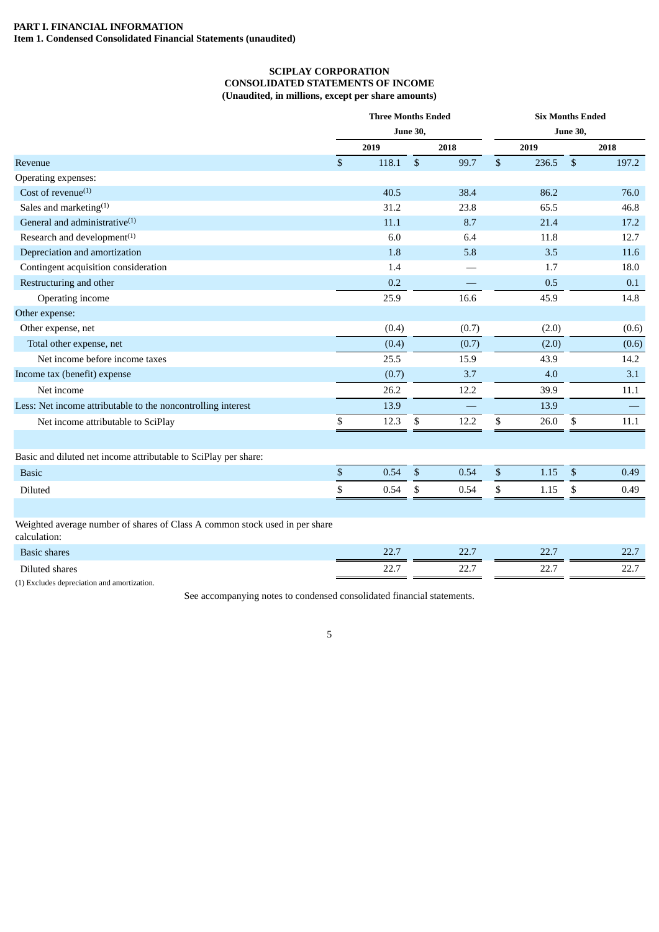# <span id="page-4-2"></span><span id="page-4-1"></span><span id="page-4-0"></span>**PART I. FINANCIAL INFORMATION Item 1. Condensed Consolidated Financial Statements (unaudited)**

# **SCIPLAY CORPORATION CONSOLIDATED STATEMENTS OF INCOME (Unaudited, in millions, except per share amounts)**

|                                                                                             |              | <b>Three Months Ended</b> |                 |       |              | <b>Six Months Ended</b> |                 |       |
|---------------------------------------------------------------------------------------------|--------------|---------------------------|-----------------|-------|--------------|-------------------------|-----------------|-------|
|                                                                                             |              |                           | <b>June 30,</b> |       |              |                         | <b>June 30,</b> |       |
|                                                                                             |              | 2019                      |                 | 2018  |              | 2019                    |                 | 2018  |
| Revenue                                                                                     | $\mathbb{S}$ | 118.1                     | $\sqrt{2}$      | 99.7  | $\mathbb{S}$ | 236.5                   | $\mathfrak{S}$  | 197.2 |
| Operating expenses:                                                                         |              |                           |                 |       |              |                         |                 |       |
| Cost of revenue $(1)$                                                                       |              | 40.5                      |                 | 38.4  |              | 86.2                    |                 | 76.0  |
| Sales and marketing <sup>(1)</sup>                                                          |              | 31.2                      |                 | 23.8  |              | 65.5                    |                 | 46.8  |
| General and administrative <sup>(1)</sup>                                                   |              | 11.1                      |                 | 8.7   |              | 21.4                    |                 | 17.2  |
| Research and development <sup>(1)</sup>                                                     |              | 6.0                       |                 | 6.4   |              | 11.8                    |                 | 12.7  |
| Depreciation and amortization                                                               |              | 1.8                       |                 | 5.8   |              | 3.5                     |                 | 11.6  |
| Contingent acquisition consideration                                                        |              | 1.4                       |                 |       |              | 1.7                     |                 | 18.0  |
| Restructuring and other                                                                     |              | 0.2                       |                 |       |              | 0.5                     |                 | 0.1   |
| Operating income                                                                            |              | 25.9                      |                 | 16.6  |              | 45.9                    |                 | 14.8  |
| Other expense:                                                                              |              |                           |                 |       |              |                         |                 |       |
| Other expense, net                                                                          |              | (0.4)                     |                 | (0.7) |              | (2.0)                   |                 | (0.6) |
| Total other expense, net                                                                    |              | (0.4)                     |                 | (0.7) |              | (2.0)                   |                 | (0.6) |
| Net income before income taxes                                                              |              | 25.5                      |                 | 15.9  |              | 43.9                    |                 | 14.2  |
| Income tax (benefit) expense                                                                |              | (0.7)                     |                 | 3.7   |              | 4.0                     |                 | 3.1   |
| Net income                                                                                  |              | 26.2                      |                 | 12.2  |              | 39.9                    |                 | 11.1  |
| Less: Net income attributable to the noncontrolling interest                                |              | 13.9                      |                 |       |              | 13.9                    |                 |       |
| Net income attributable to SciPlay                                                          | \$           | 12.3                      | \$              | 12.2  | \$           | 26.0                    | \$              | 11.1  |
| Basic and diluted net income attributable to SciPlay per share:                             |              |                           |                 |       |              |                         |                 |       |
| <b>Basic</b>                                                                                | $\mathbb{S}$ | 0.54                      | $\mathbb{S}$    | 0.54  | $\$$         | 1.15                    | $\sqrt[6]{3}$   | 0.49  |
| Diluted                                                                                     | \$           | 0.54                      | \$              | 0.54  | \$           | 1.15                    | \$              | 0.49  |
|                                                                                             |              |                           |                 |       |              |                         |                 |       |
| Weighted average number of shares of Class A common stock used in per share<br>calculation: |              |                           |                 |       |              |                         |                 |       |
| <b>Basic shares</b>                                                                         |              | 22.7                      |                 | 22.7  |              | 22.7                    |                 | 22.7  |
| Diluted shares                                                                              |              | 22.7                      |                 | 22.7  |              | 22.7                    |                 | 22.7  |

(1) Excludes depreciation and amortization.

See accompanying notes to condensed consolidated financial statements.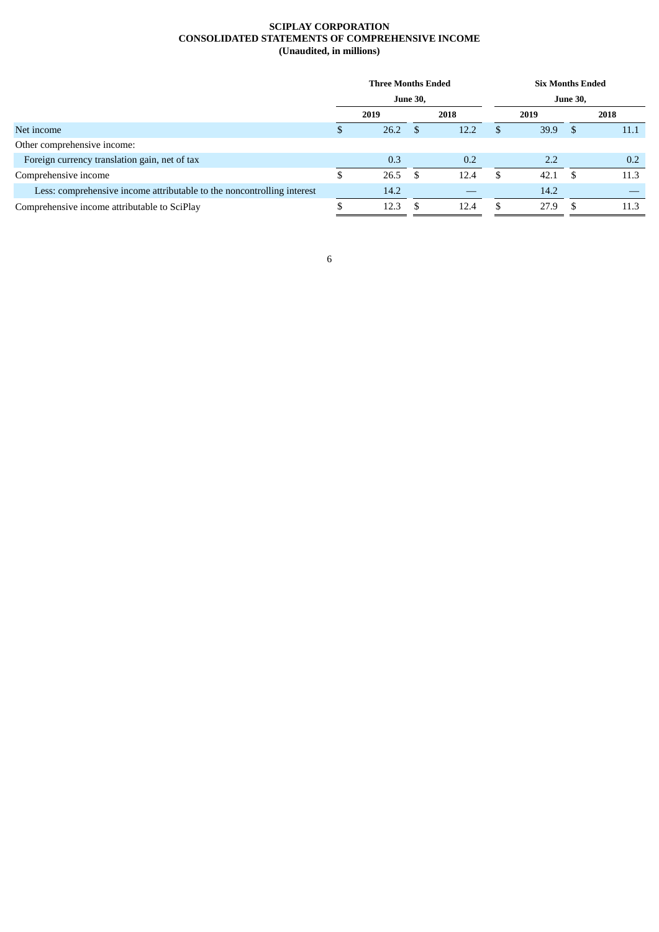# **SCIPLAY CORPORATION CONSOLIDATED STATEMENTS OF COMPREHENSIVE INCOME (Unaudited, in millions)**

<span id="page-5-0"></span>

|                                                                        | <b>Three Months Ended</b> |      |                 |      |      | <b>Six Months Ended</b> |      |      |  |  |
|------------------------------------------------------------------------|---------------------------|------|-----------------|------|------|-------------------------|------|------|--|--|
|                                                                        |                           |      | <b>June 30,</b> |      |      | <b>June 30,</b>         |      |      |  |  |
|                                                                        | 2018<br>2019              |      |                 |      | 2019 |                         | 2018 |      |  |  |
| Net income                                                             |                           | 26.2 | - \$            | 12.2 | £.   | 39.9                    | -S   | 11.1 |  |  |
| Other comprehensive income:                                            |                           |      |                 |      |      |                         |      |      |  |  |
| Foreign currency translation gain, net of tax                          |                           | 0.3  |                 | 0.2  |      | 2.2                     |      | 0.2  |  |  |
| Comprehensive income                                                   | D                         | 26.5 | - \$            | 12.4 | \$.  | 42.1                    | -S   | 11.3 |  |  |
| Less: comprehensive income attributable to the noncontrolling interest |                           | 14.2 |                 |      |      | 14.2                    |      |      |  |  |
| Comprehensive income attributable to SciPlay                           |                           | 12.3 | -S              | 12.4 | \$.  | 27.9                    |      | 11.3 |  |  |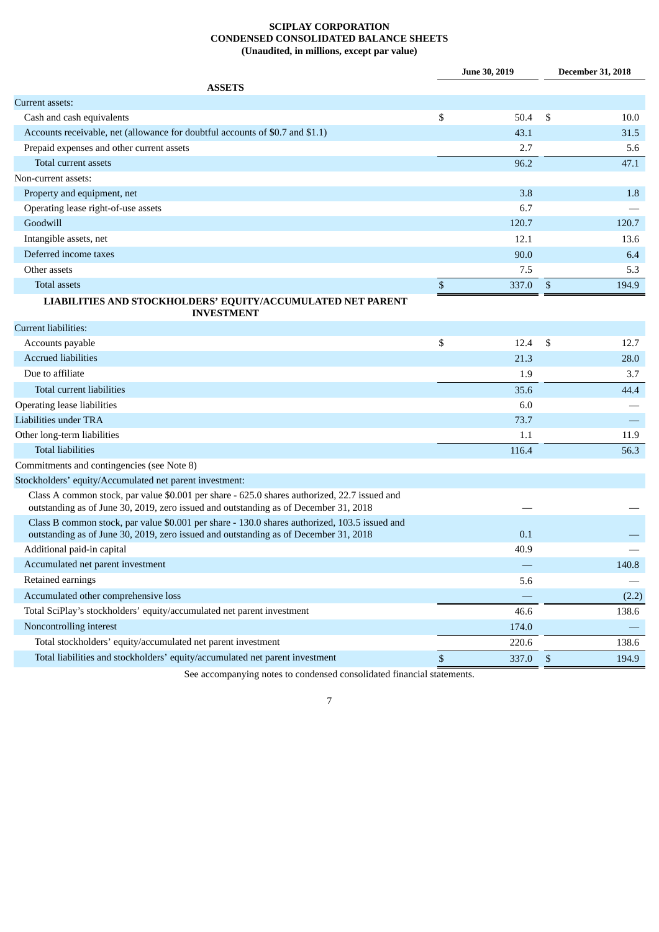# **SCIPLAY CORPORATION CONDENSED CONSOLIDATED BALANCE SHEETS (Unaudited, in millions, except par value)**

<span id="page-6-0"></span>

|                                                                                                                                                                                       |                           | <b>June 30, 2019</b> |              | <b>December 31, 2018</b> |
|---------------------------------------------------------------------------------------------------------------------------------------------------------------------------------------|---------------------------|----------------------|--------------|--------------------------|
| <b>ASSETS</b>                                                                                                                                                                         |                           |                      |              |                          |
| Current assets:                                                                                                                                                                       |                           |                      |              |                          |
| Cash and cash equivalents                                                                                                                                                             | \$                        | 50.4                 | \$           | 10.0                     |
| Accounts receivable, net (allowance for doubtful accounts of \$0.7 and \$1.1)                                                                                                         |                           | 43.1                 |              | 31.5                     |
| Prepaid expenses and other current assets                                                                                                                                             |                           | 2.7                  |              | 5.6                      |
| Total current assets                                                                                                                                                                  |                           | 96.2                 |              | 47.1                     |
| Non-current assets:                                                                                                                                                                   |                           |                      |              |                          |
| Property and equipment, net                                                                                                                                                           |                           | 3.8                  |              | 1.8                      |
| Operating lease right-of-use assets                                                                                                                                                   |                           | 6.7                  |              |                          |
| Goodwill                                                                                                                                                                              |                           | 120.7                |              | 120.7                    |
| Intangible assets, net                                                                                                                                                                |                           | 12.1                 |              | 13.6                     |
| Deferred income taxes                                                                                                                                                                 |                           | 90.0                 |              | 6.4                      |
| Other assets                                                                                                                                                                          |                           | 7.5                  |              | 5.3                      |
| <b>Total assets</b>                                                                                                                                                                   | $\boldsymbol{\mathsf{S}}$ | 337.0                | \$           | 194.9                    |
| LIABILITIES AND STOCKHOLDERS' EQUITY/ACCUMULATED NET PARENT<br><b>INVESTMENT</b>                                                                                                      |                           |                      |              |                          |
| Current liabilities:                                                                                                                                                                  |                           |                      |              |                          |
| Accounts payable                                                                                                                                                                      | \$                        | 12.4                 | \$           | 12.7                     |
| <b>Accrued liabilities</b>                                                                                                                                                            |                           | 21.3                 |              | 28.0                     |
| Due to affiliate                                                                                                                                                                      |                           | 1.9                  |              | 3.7                      |
| Total current liabilities                                                                                                                                                             |                           | 35.6                 |              | 44.4                     |
| Operating lease liabilities                                                                                                                                                           |                           | 6.0                  |              |                          |
| Liabilities under TRA                                                                                                                                                                 |                           | 73.7                 |              |                          |
| Other long-term liabilities                                                                                                                                                           |                           | 1.1                  |              | 11.9                     |
| <b>Total liabilities</b>                                                                                                                                                              |                           | 116.4                |              | 56.3                     |
| Commitments and contingencies (see Note 8)                                                                                                                                            |                           |                      |              |                          |
| Stockholders' equity/Accumulated net parent investment:                                                                                                                               |                           |                      |              |                          |
| Class A common stock, par value \$0.001 per share - 625.0 shares authorized, 22.7 issued and<br>outstanding as of June 30, 2019, zero issued and outstanding as of December 31, 2018  |                           |                      |              |                          |
| Class B common stock, par value \$0.001 per share - 130.0 shares authorized, 103.5 issued and<br>outstanding as of June 30, 2019, zero issued and outstanding as of December 31, 2018 |                           | 0.1                  |              |                          |
| Additional paid-in capital                                                                                                                                                            |                           | 40.9                 |              |                          |
| Accumulated net parent investment                                                                                                                                                     |                           |                      |              | 140.8                    |
| Retained earnings                                                                                                                                                                     |                           | 5.6                  |              |                          |
| Accumulated other comprehensive loss                                                                                                                                                  |                           |                      |              | (2.2)                    |
| Total SciPlay's stockholders' equity/accumulated net parent investment                                                                                                                |                           | 46.6                 |              | 138.6                    |
| Noncontrolling interest                                                                                                                                                               |                           | 174.0                |              |                          |
| Total stockholders' equity/accumulated net parent investment                                                                                                                          |                           | 220.6                |              | 138.6                    |
| Total liabilities and stockholders' equity/accumulated net parent investment                                                                                                          | $\$$                      | 337.0                | $\mathbb{S}$ | 194.9                    |
|                                                                                                                                                                                       |                           |                      |              |                          |

See accompanying notes to condensed consolidated financial statements.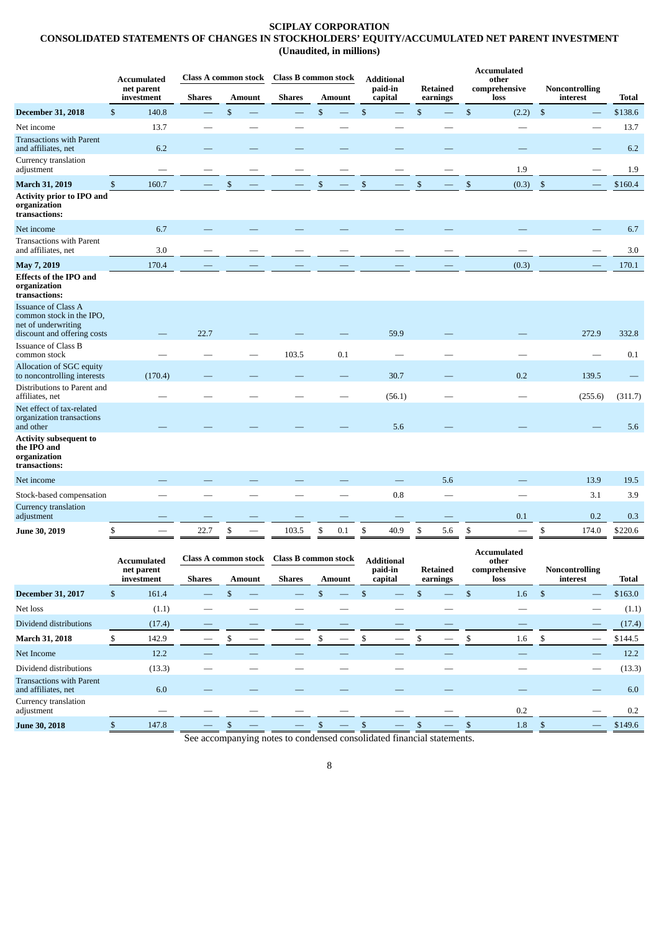# **SCIPLAY CORPORATION**

<span id="page-7-0"></span>**CONSOLIDATED STATEMENTS OF CHANGES IN STOCKHOLDERS' EQUITY/ACCUMULATED NET PARENT INVESTMENT (Unaudited, in millions)**

|                                                                                                              |              | <b>Accumulated</b><br>net parent |               |               | Class A common stock Class B common stock |              |               |                | <b>Additional</b><br>paid-in | <b>Retained</b>          |              | <b>Accumulated</b><br>other<br>comprehensive | Noncontrolling     |          |         |
|--------------------------------------------------------------------------------------------------------------|--------------|----------------------------------|---------------|---------------|-------------------------------------------|--------------|---------------|----------------|------------------------------|--------------------------|--------------|----------------------------------------------|--------------------|----------|---------|
|                                                                                                              |              | investment                       | <b>Shares</b> | <b>Amount</b> | <b>Shares</b>                             |              | <b>Amount</b> |                | capital                      | earnings                 |              | loss                                         |                    | interest | Total   |
| <b>December 31, 2018</b>                                                                                     | $\mathbb{S}$ | 140.8                            |               | \$            |                                           | \$           |               | $\mathsf{\$}$  |                              | \$                       | $\mathbb{S}$ | (2.2)                                        | $\mathfrak{s}$     |          | \$138.6 |
| Net income                                                                                                   |              | 13.7                             |               |               |                                           |              |               |                |                              |                          |              |                                              |                    |          | 13.7    |
| <b>Transactions with Parent</b><br>and affiliates, net<br>Currency translation                               |              | 6.2                              |               |               |                                           |              |               |                |                              |                          |              |                                              |                    |          | 6.2     |
| adjustment                                                                                                   |              |                                  |               |               |                                           |              |               |                |                              |                          |              | 1.9                                          |                    |          | 1.9     |
| <b>March 31, 2019</b>                                                                                        | $\mathbb{S}$ | 160.7                            |               | \$            |                                           | $\mathbb{S}$ |               | $\mathfrak{S}$ |                              | \$                       | $\mathbb{S}$ | (0.3)                                        | $\mathbf{\hat{S}}$ |          | \$160.4 |
| <b>Activity prior to IPO and</b><br>organization<br>transactions:                                            |              |                                  |               |               |                                           |              |               |                |                              |                          |              |                                              |                    |          |         |
| Net income                                                                                                   |              | 6.7                              |               |               |                                           |              |               |                |                              |                          |              |                                              |                    |          | 6.7     |
| <b>Transactions with Parent</b><br>and affiliates, net                                                       |              | 3.0                              |               |               |                                           |              |               |                |                              |                          |              |                                              |                    |          | 3.0     |
| May 7, 2019                                                                                                  |              | 170.4                            |               |               |                                           |              |               |                |                              |                          |              | (0.3)                                        |                    |          | 170.1   |
| <b>Effects of the IPO and</b><br>organization<br>transactions:                                               |              |                                  |               |               |                                           |              |               |                |                              |                          |              |                                              |                    |          |         |
| <b>Issuance of Class A</b><br>common stock in the IPO,<br>net of underwriting<br>discount and offering costs |              |                                  | 22.7          |               |                                           |              |               |                | 59.9                         |                          |              |                                              |                    | 272.9    | 332.8   |
| <b>Issuance of Class B</b><br>common stock                                                                   |              |                                  |               |               | 103.5                                     |              | 0.1           |                |                              |                          |              |                                              |                    |          | 0.1     |
| <b>Allocation of SGC equity</b><br>to noncontrolling interests                                               |              | (170.4)                          |               |               |                                           |              |               |                | 30.7                         |                          |              | 0.2                                          |                    | 139.5    |         |
| Distributions to Parent and<br>affiliates, net                                                               |              |                                  |               |               |                                           |              |               |                | (56.1)                       |                          |              |                                              |                    | (255.6)  | (311.7) |
| Net effect of tax-related<br>organization transactions<br>and other                                          |              |                                  |               |               |                                           |              |               |                | 5.6                          |                          |              |                                              |                    |          | 5.6     |
| <b>Activity subsequent to</b><br>the IPO and<br>organization<br>transactions:                                |              |                                  |               |               |                                           |              |               |                |                              |                          |              |                                              |                    |          |         |
| Net income                                                                                                   |              |                                  |               |               |                                           |              |               |                |                              | 5.6                      |              |                                              |                    | 13.9     | 19.5    |
| Stock-based compensation                                                                                     |              |                                  |               |               |                                           |              |               |                | 0.8                          | $\overline{\phantom{0}}$ |              |                                              |                    | 3.1      | 3.9     |
| Currency translation<br>adjustment                                                                           |              |                                  |               |               |                                           |              |               |                |                              |                          |              | 0.1                                          |                    | 0.2      | 0.3     |
| June 30, 2019                                                                                                | \$           |                                  | 22.7          | \$            | 103.5                                     | \$           | 0.1           | \$             | 40.9                         | \$<br>5.6                | \$           | $\overline{\phantom{0}}$                     | \$                 | 174.0    | \$220.6 |

|                                                        |    | <b>Accumulated</b>       |               | Class A common stock |               |               | <b>Class B common stock</b> |  |               | <b>Additional</b>  |   |                             |     | <b>Accumulated</b><br>other |    |  |         |                                   |       |
|--------------------------------------------------------|----|--------------------------|---------------|----------------------|---------------|---------------|-----------------------------|--|---------------|--------------------|---|-----------------------------|-----|-----------------------------|----|--|---------|-----------------------------------|-------|
|                                                        |    | net parent<br>investment | <b>Shares</b> |                      | <b>Amount</b> | <b>Shares</b> |                             |  | <b>Amount</b> | paid-in<br>capital |   | <b>Retained</b><br>earnings |     | comprehensive<br>loss       |    |  |         | <b>Noncontrolling</b><br>interest | Total |
| <b>December 31, 2017</b>                               | S. | 161.4                    |               |                      |               |               |                             |  |               |                    |   |                             | Эħ. | 1.6                         | -S |  | \$163.0 |                                   |       |
| Net loss                                               |    | (1.1)                    |               |                      |               |               |                             |  |               |                    |   |                             |     |                             |    |  | (1.1)   |                                   |       |
| Dividend distributions                                 |    | (17.4)                   |               |                      |               |               |                             |  |               |                    |   |                             |     |                             |    |  | (17.4)  |                                   |       |
| March 31, 2018                                         |    | 142.9                    |               |                      |               |               |                             |  |               |                    | ж |                             |     | 1.6                         | э  |  | \$144.5 |                                   |       |
| Net Income                                             |    | 12.2                     |               |                      |               |               |                             |  |               |                    |   |                             |     |                             |    |  | 12.2    |                                   |       |
| Dividend distributions                                 |    | (13.3)                   |               |                      |               |               |                             |  |               |                    |   |                             |     |                             |    |  | (13.3)  |                                   |       |
| <b>Transactions with Parent</b><br>and affiliates, net |    | 6.0                      |               |                      |               |               |                             |  |               |                    |   |                             |     |                             |    |  | 6.0     |                                   |       |
| Currency translation<br>adjustment                     |    |                          |               |                      |               |               |                             |  |               |                    |   |                             |     | 0.2                         |    |  | 0.2     |                                   |       |
| June 30, 2018                                          |    | 147.8                    |               |                      |               |               |                             |  |               |                    |   |                             |     | 1.8                         |    |  | \$149.6 |                                   |       |

See accompanying notes to condensed consolidated financial statements.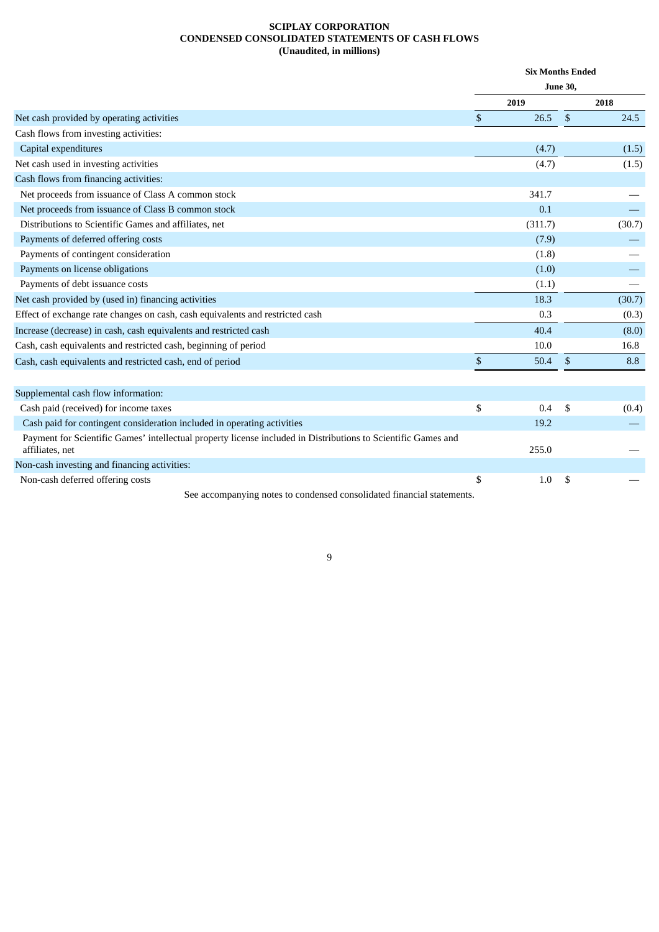# **SCIPLAY CORPORATION CONDENSED CONSOLIDATED STATEMENTS OF CASH FLOWS (Unaudited, in millions)**

<span id="page-8-0"></span>

|                                                                                                                                  |              | <b>Six Months Ended</b> |                 |        |
|----------------------------------------------------------------------------------------------------------------------------------|--------------|-------------------------|-----------------|--------|
|                                                                                                                                  |              |                         | <b>June 30,</b> |        |
|                                                                                                                                  |              | 2019                    |                 | 2018   |
| Net cash provided by operating activities                                                                                        | \$           | 26.5                    | $\mathfrak{S}$  | 24.5   |
| Cash flows from investing activities:                                                                                            |              |                         |                 |        |
| Capital expenditures                                                                                                             |              | (4.7)                   |                 | (1.5)  |
| Net cash used in investing activities                                                                                            |              | (4.7)                   |                 | (1.5)  |
| Cash flows from financing activities:                                                                                            |              |                         |                 |        |
| Net proceeds from issuance of Class A common stock                                                                               |              | 341.7                   |                 |        |
| Net proceeds from issuance of Class B common stock                                                                               |              | 0.1                     |                 |        |
| Distributions to Scientific Games and affiliates, net                                                                            |              | (311.7)                 |                 | (30.7) |
| Payments of deferred offering costs                                                                                              |              | (7.9)                   |                 |        |
| Payments of contingent consideration                                                                                             |              | (1.8)                   |                 |        |
| Payments on license obligations                                                                                                  |              | (1.0)                   |                 |        |
| Payments of debt issuance costs                                                                                                  |              | (1.1)                   |                 |        |
| Net cash provided by (used in) financing activities                                                                              |              | 18.3                    |                 | (30.7) |
| Effect of exchange rate changes on cash, cash equivalents and restricted cash                                                    |              | 0.3                     |                 | (0.3)  |
| Increase (decrease) in cash, cash equivalents and restricted cash                                                                |              | 40.4                    |                 | (8.0)  |
| Cash, cash equivalents and restricted cash, beginning of period                                                                  |              | 10.0                    |                 | 16.8   |
| Cash, cash equivalents and restricted cash, end of period                                                                        | $\mathbb{S}$ | 50.4                    | \$              | 8.8    |
| Supplemental cash flow information:                                                                                              |              |                         |                 |        |
| Cash paid (received) for income taxes                                                                                            | \$           | 0.4                     | \$              | (0.4)  |
| Cash paid for contingent consideration included in operating activities                                                          |              | 19.2                    |                 |        |
| Payment for Scientific Games' intellectual property license included in Distributions to Scientific Games and<br>affiliates, net |              | 255.0                   |                 |        |
| Non-cash investing and financing activities:                                                                                     |              |                         |                 |        |
| Non-cash deferred offering costs                                                                                                 | \$           | 1.0                     | S               |        |
| See accompanying notes to condensed consolidated financial statements.                                                           |              |                         |                 |        |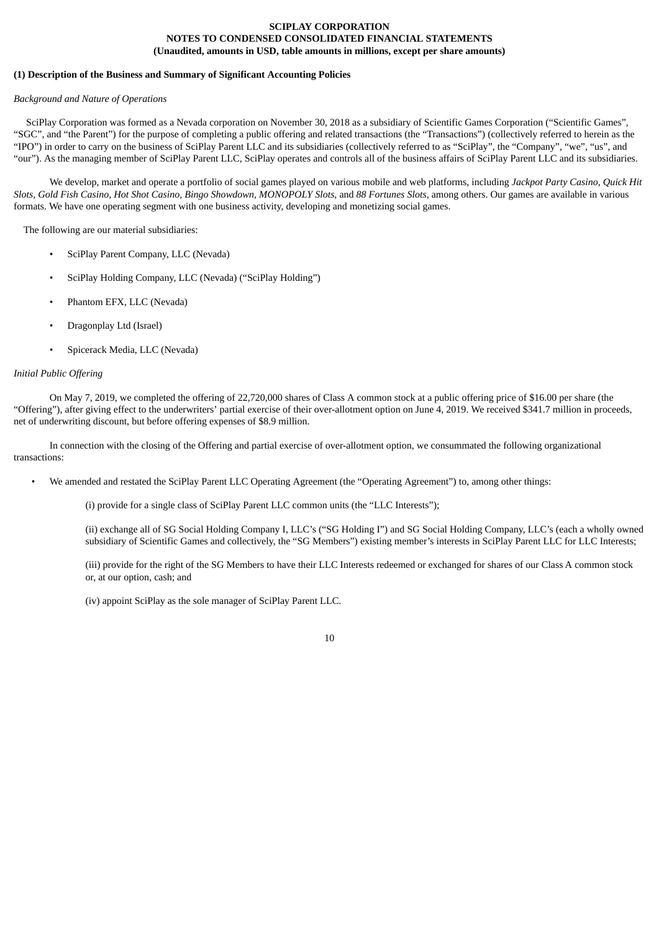# **SCIPLAY CORPORATION NOTES TO CONDENSED CONSOLIDATED FINANCIAL STATEMENTS (Unaudited, amounts in USD, table amounts in millions, except per share amounts)**

# <span id="page-9-0"></span>**(1) Description of the Business and Summary of Significant Accounting Policies**

#### *Background and Nature of Operations*

SciPlay Corporation was formed as a Nevada corporation on November 30, 2018 as a subsidiary of Scientific Games Corporation ("Scientific Games", "SGC", and "the Parent") for the purpose of completing a public offering and related transactions (the "Transactions") (collectively referred to herein as the "IPO") in order to carry on the business of SciPlay Parent LLC and its subsidiaries (collectively referred to as "SciPlay", the "Company", "we", "us", and "our"). As the managing member of SciPlay Parent LLC, SciPlay operates and controls all of the business affairs of SciPlay Parent LLC and its subsidiaries.

We develop, market and operate a portfolio of social games played on various mobile and web platforms, including *Jackpot Party Casino, Quick Hit* Slots, Gold Fish Casino, Hot Shot Casino, Bingo Showdown, MONOPOLY Slots, and 88 Fortunes Slots, among others. Our games are available in various formats. We have one operating segment with one business activity, developing and monetizing social games.

The following are our material subsidiaries:

- SciPlay Parent Company, LLC (Nevada)
- SciPlay Holding Company, LLC (Nevada) ("SciPlay Holding")
- Phantom EFX, LLC (Nevada)
- Dragonplay Ltd (Israel)
- Spicerack Media, LLC (Nevada)

## *Initial Public Offering*

On May 7, 2019, we completed the offering of 22,720,000 shares of Class A common stock at a public offering price of \$16.00 per share (the "Offering"), after giving effect to the underwriters' partial exercise of their over-allotment option on June 4, 2019. We received \$341.7 million in proceeds, net of underwriting discount, but before offering expenses of \$8.9 million.

In connection with the closing of the Offering and partial exercise of over-allotment option, we consummated the following organizational transactions:

• We amended and restated the SciPlay Parent LLC Operating Agreement (the "Operating Agreement") to, among other things:

(i) provide for a single class of SciPlay Parent LLC common units (the "LLC Interests");

(ii) exchange all of SG Social Holding Company I, LLC's ("SG Holding I") and SG Social Holding Company, LLC's (each a wholly owned subsidiary of Scientific Games and collectively, the "SG Members") existing member's interests in SciPlay Parent LLC for LLC Interests;

(iii) provide for the right of the SG Members to have their LLC Interests redeemed or exchanged for shares of our Class A common stock or, at our option, cash; and

(iv) appoint SciPlay as the sole manager of SciPlay Parent LLC.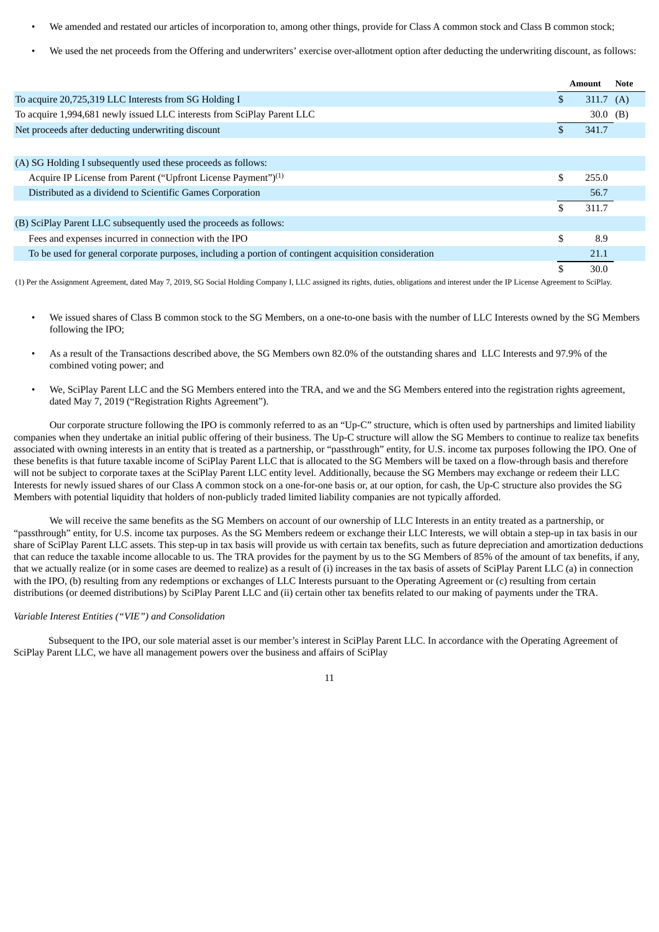- We amended and restated our articles of incorporation to, among other things, provide for Class A common stock and Class B common stock;
- We used the net proceeds from the Offering and underwriters' exercise over-allotment option after deducting the underwriting discount, as follows:

|                                                                                                        |     | Amount      | <b>Note</b> |
|--------------------------------------------------------------------------------------------------------|-----|-------------|-------------|
| To acquire 20,725,319 LLC Interests from SG Holding I                                                  | \$  | 311.7 $(A)$ |             |
| To acquire 1,994,681 newly issued LLC interests from SciPlay Parent LLC                                |     | 30.0 $(B)$  |             |
| Net proceeds after deducting underwriting discount                                                     |     | 341.7       |             |
|                                                                                                        |     |             |             |
| (A) SG Holding I subsequently used these proceeds as follows:                                          |     |             |             |
| Acquire IP License from Parent ("Upfront License Payment") <sup>(1)</sup>                              | \$. | 255.0       |             |
| Distributed as a dividend to Scientific Games Corporation                                              |     | 56.7        |             |
|                                                                                                        |     | 311.7       |             |
| (B) SciPlay Parent LLC subsequently used the proceeds as follows:                                      |     |             |             |
| Fees and expenses incurred in connection with the IPO                                                  | \$. | 8.9         |             |
| To be used for general corporate purposes, including a portion of contingent acquisition consideration |     | 21.1        |             |
|                                                                                                        |     | 30.0        |             |

(1) Per the Assignment Agreement, dated May 7, 2019, SG Social Holding Company I, LLC assigned its rights, duties, obligations and interest under the IP License Agreement to SciPlay.

- We issued shares of Class B common stock to the SG Members, on a one-to-one basis with the number of LLC Interests owned by the SG Members following the IPO;
- As a result of the Transactions described above, the SG Members own 82.0% of the outstanding shares and LLC Interests and 97.9% of the combined voting power; and
- We, SciPlay Parent LLC and the SG Members entered into the TRA, and we and the SG Members entered into the registration rights agreement, dated May 7, 2019 ("Registration Rights Agreement").

Our corporate structure following the IPO is commonly referred to as an "Up-C" structure, which is often used by partnerships and limited liability companies when they undertake an initial public offering of their business. The Up-C structure will allow the SG Members to continue to realize tax benefits associated with owning interests in an entity that is treated as a partnership, or "passthrough" entity, for U.S. income tax purposes following the IPO. One of these benefits is that future taxable income of SciPlay Parent LLC that is allocated to the SG Members will be taxed on a flow-through basis and therefore will not be subject to corporate taxes at the SciPlay Parent LLC entity level. Additionally, because the SG Members may exchange or redeem their LLC Interests for newly issued shares of our Class A common stock on a one-for-one basis or, at our option, for cash, the Up-C structure also provides the SG Members with potential liquidity that holders of non-publicly traded limited liability companies are not typically afforded.

We will receive the same benefits as the SG Members on account of our ownership of LLC Interests in an entity treated as a partnership, or "passthrough" entity, for U.S. income tax purposes. As the SG Members redeem or exchange their LLC Interests, we will obtain a step-up in tax basis in our share of SciPlay Parent LLC assets. This step-up in tax basis will provide us with certain tax benefits, such as future depreciation and amortization deductions that can reduce the taxable income allocable to us. The TRA provides for the payment by us to the SG Members of 85% of the amount of tax benefits, if any, that we actually realize (or in some cases are deemed to realize) as a result of (i) increases in the tax basis of assets of SciPlay Parent LLC (a) in connection with the IPO, (b) resulting from any redemptions or exchanges of LLC Interests pursuant to the Operating Agreement or (c) resulting from certain distributions (or deemed distributions) by SciPlay Parent LLC and (ii) certain other tax benefits related to our making of payments under the TRA.

# *Variable Interest Entities ("VIE") and Consolidation*

Subsequent to the IPO, our sole material asset is our member's interest in SciPlay Parent LLC. In accordance with the Operating Agreement of SciPlay Parent LLC, we have all management powers over the business and affairs of SciPlay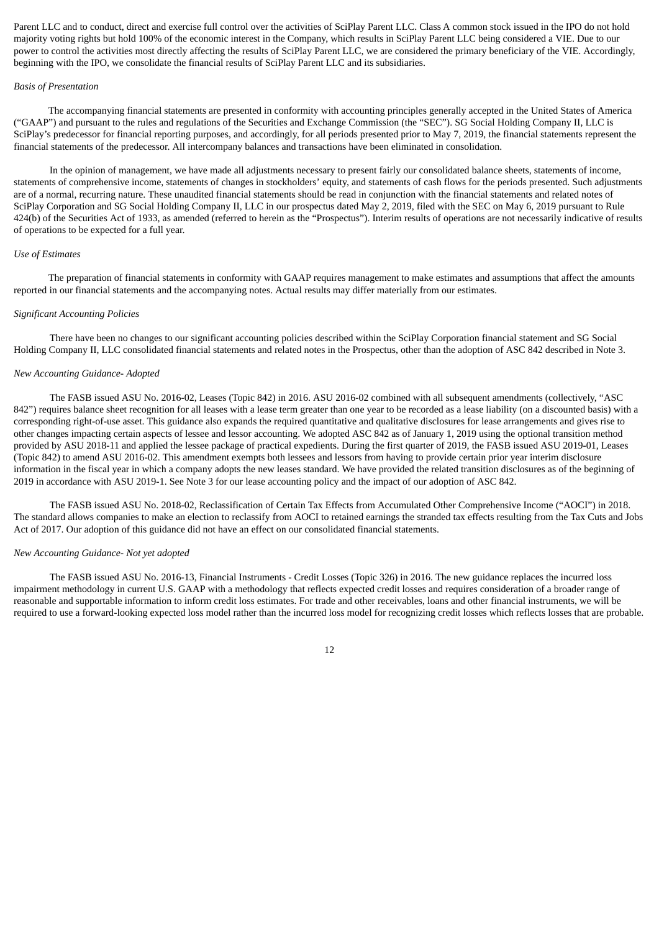Parent LLC and to conduct, direct and exercise full control over the activities of SciPlay Parent LLC. Class A common stock issued in the IPO do not hold majority voting rights but hold 100% of the economic interest in the Company, which results in SciPlay Parent LLC being considered a VIE. Due to our power to control the activities most directly affecting the results of SciPlay Parent LLC, we are considered the primary beneficiary of the VIE. Accordingly, beginning with the IPO, we consolidate the financial results of SciPlay Parent LLC and its subsidiaries.

#### *Basis of Presentation*

The accompanying financial statements are presented in conformity with accounting principles generally accepted in the United States of America ("GAAP") and pursuant to the rules and regulations of the Securities and Exchange Commission (the "SEC"). SG Social Holding Company II, LLC is SciPlay's predecessor for financial reporting purposes, and accordingly, for all periods presented prior to May 7, 2019, the financial statements represent the financial statements of the predecessor. All intercompany balances and transactions have been eliminated in consolidation.

In the opinion of management, we have made all adjustments necessary to present fairly our consolidated balance sheets, statements of income, statements of comprehensive income, statements of changes in stockholders' equity, and statements of cash flows for the periods presented. Such adjustments are of a normal, recurring nature. These unaudited financial statements should be read in conjunction with the financial statements and related notes of SciPlay Corporation and SG Social Holding Company II, LLC in our prospectus dated May 2, 2019, filed with the SEC on May 6, 2019 pursuant to Rule 424(b) of the Securities Act of 1933, as amended (referred to herein as the "Prospectus"). Interim results of operations are not necessarily indicative of results of operations to be expected for a full year.

#### *Use of Estimates*

The preparation of financial statements in conformity with GAAP requires management to make estimates and assumptions that affect the amounts reported in our financial statements and the accompanying notes. Actual results may differ materially from our estimates.

#### *Significant Accounting Policies*

There have been no changes to our significant accounting policies described within the SciPlay Corporation financial statement and SG Social Holding Company II, LLC consolidated financial statements and related notes in the Prospectus, other than the adoption of ASC 842 described in Note 3.

## *New Accounting Guidance‑ Adopted*

The FASB issued ASU No. 2016-02, Leases (Topic 842) in 2016. ASU 2016-02 combined with all subsequent amendments (collectively, "ASC 842") requires balance sheet recognition for all leases with a lease term greater than one year to be recorded as a lease liability (on a discounted basis) with a corresponding right-of-use asset. This guidance also expands the required quantitative and qualitative disclosures for lease arrangements and gives rise to other changes impacting certain aspects of lessee and lessor accounting. We adopted ASC 842 as of January 1, 2019 using the optional transition method provided by ASU 2018-11 and applied the lessee package of practical expedients. During the first quarter of 2019, the FASB issued ASU 2019-01, Leases (Topic 842) to amend ASU 2016-02. This amendment exempts both lessees and lessors from having to provide certain prior year interim disclosure information in the fiscal year in which a company adopts the new leases standard. We have provided the related transition disclosures as of the beginning of 2019 in accordance with ASU 2019-1. See Note 3 for our lease accounting policy and the impact of our adoption of ASC 842.

The FASB issued ASU No. 2018-02, Reclassification of Certain Tax Effects from Accumulated Other Comprehensive Income ("AOCI") in 2018. The standard allows companies to make an election to reclassify from AOCI to retained earnings the stranded tax effects resulting from the Tax Cuts and Jobs Act of 2017. Our adoption of this guidance did not have an effect on our consolidated financial statements.

#### *New Accounting Guidance‑ Not yet adopted*

The FASB issued ASU No. 2016-13, Financial Instruments - Credit Losses (Topic 326) in 2016. The new guidance replaces the incurred loss impairment methodology in current U.S. GAAP with a methodology that reflects expected credit losses and requires consideration of a broader range of reasonable and supportable information to inform credit loss estimates. For trade and other receivables, loans and other financial instruments, we will be required to use a forward-looking expected loss model rather than the incurred loss model for recognizing credit losses which reflects losses that are probable.

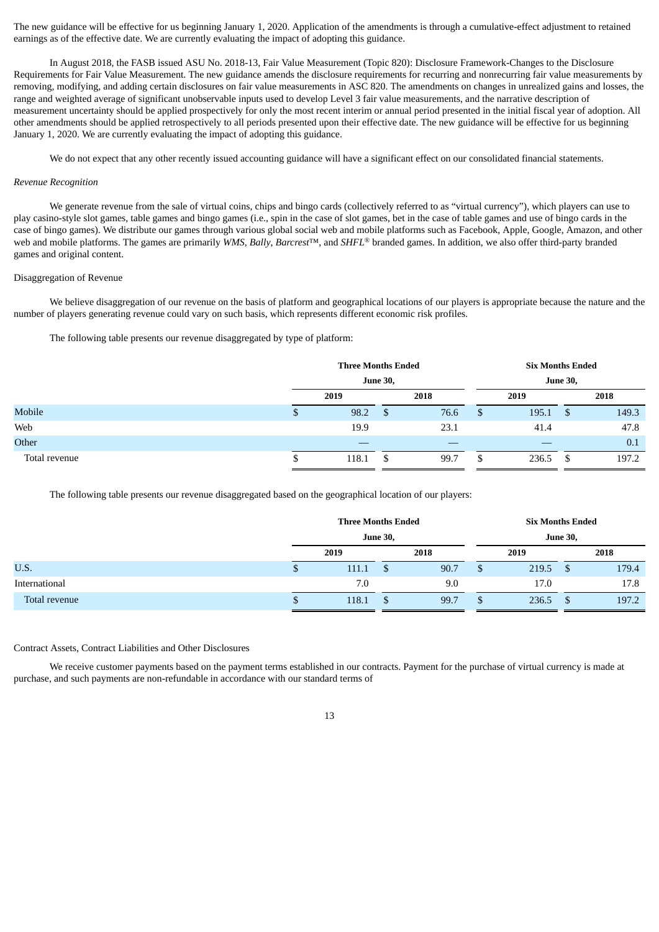The new guidance will be effective for us beginning January 1, 2020. Application of the amendments is through a cumulative-effect adjustment to retained earnings as of the effective date. We are currently evaluating the impact of adopting this guidance.

In August 2018, the FASB issued ASU No. 2018-13, Fair Value Measurement (Topic 820): Disclosure Framework-Changes to the Disclosure Requirements for Fair Value Measurement. The new guidance amends the disclosure requirements for recurring and nonrecurring fair value measurements by removing, modifying, and adding certain disclosures on fair value measurements in ASC 820. The amendments on changes in unrealized gains and losses, the range and weighted average of significant unobservable inputs used to develop Level 3 fair value measurements, and the narrative description of measurement uncertainty should be applied prospectively for only the most recent interim or annual period presented in the initial fiscal year of adoption. All other amendments should be applied retrospectively to all periods presented upon their effective date. The new guidance will be effective for us beginning January 1, 2020. We are currently evaluating the impact of adopting this guidance.

We do not expect that any other recently issued accounting guidance will have a significant effect on our consolidated financial statements.

#### *Revenue Recognition*

We generate revenue from the sale of virtual coins, chips and bingo cards (collectively referred to as "virtual currency"), which players can use to play casino‑style slot games, table games and bingo games (i.e., spin in the case of slot games, bet in the case of table games and use of bingo cards in the case of bingo games). We distribute our games through various global social web and mobile platforms such as Facebook, Apple, Google, Amazon, and other web and mobile platforms. The games are primarily *WMS*, *Bally*, *Barcrest*™, and *SHFL* ® branded games. In addition, we also offer third‑party branded games and original content.

#### Disaggregation of Revenue

We believe disaggregation of our revenue on the basis of platform and geographical locations of our players is appropriate because the nature and the number of players generating revenue could vary on such basis, which represents different economic risk profiles.

The following table presents our revenue disaggregated by type of platform:

|               | <b>Three Months Ended</b> |                 |      | <b>Six Months Ended</b><br><b>June 30,</b> |       |      |       |  |
|---------------|---------------------------|-----------------|------|--------------------------------------------|-------|------|-------|--|
|               |                           | <b>June 30,</b> |      |                                            |       |      |       |  |
|               | 2019                      |                 | 2018 |                                            | 2019  |      | 2018  |  |
| Mobile        | 98.2                      | \$              | 76.6 | \$                                         | 195.1 | - \$ | 149.3 |  |
| Web           | 19.9                      |                 | 23.1 |                                            | 41.4  |      | 47.8  |  |
| Other         |                           |                 |      |                                            |       |      | 0.1   |  |
| Total revenue | 118.1                     | S               | 99.7 | \$                                         | 236.5 | S,   | 197.2 |  |

The following table presents our revenue disaggregated based on the geographical location of our players:

|               |   | <b>Three Months Ended</b> |  |      |   | <b>Six Months Ended</b> |    |       |  |  |  |
|---------------|---|---------------------------|--|------|---|-------------------------|----|-------|--|--|--|
|               |   | <b>June 30,</b>           |  |      |   | <b>June 30,</b>         |    |       |  |  |  |
|               |   | 2019                      |  | 2018 |   | 2019                    |    | 2018  |  |  |  |
| U.S.          | æ | 111.1                     |  | 90.7 |   | 219.5                   |    | 179.4 |  |  |  |
| International |   | 7.0                       |  | 9.0  |   | 17.0                    |    | 17.8  |  |  |  |
| Total revenue | w | 118.1                     |  | 99.7 | J | 236.5                   | \$ | 197.2 |  |  |  |

# Contract Assets, Contract Liabilities and Other Disclosures

We receive customer payments based on the payment terms established in our contracts. Payment for the purchase of virtual currency is made at purchase, and such payments are non‑refundable in accordance with our standard terms of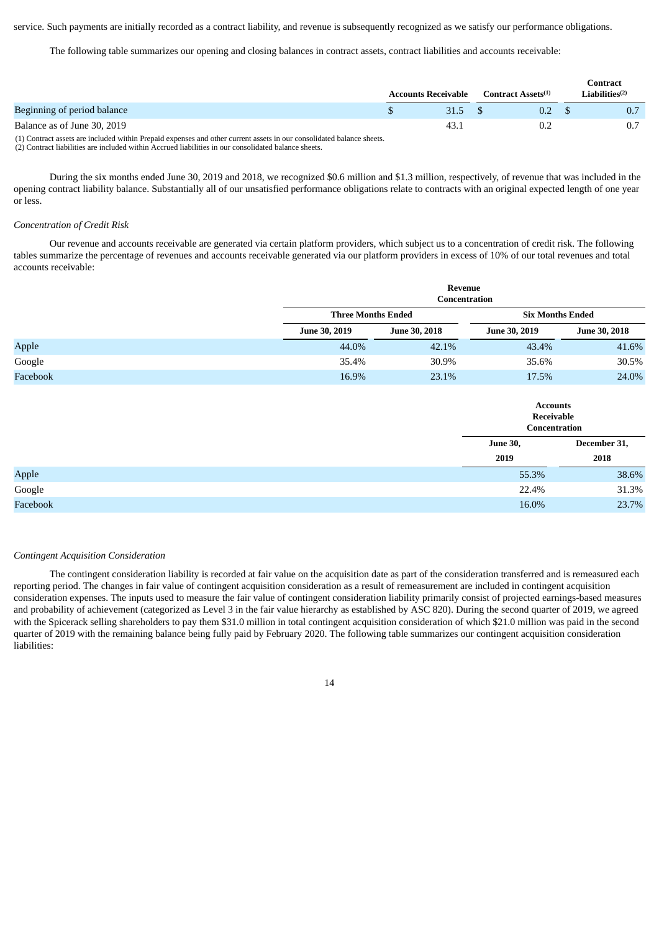service. Such payments are initially recorded as a contract liability, and revenue is subsequently recognized as we satisfy our performance obligations.

The following table summarizes our opening and closing balances in contract assets, contract liabilities and accounts receivable:

|                             | <b>Accounts Receivable</b> | Contract Assets <sup>(1)</sup> | Contract<br>Liabilities $(2)$ |
|-----------------------------|----------------------------|--------------------------------|-------------------------------|
| Beginning of period balance | 31.5                       | 0.2                            | 0.7                           |
| Balance as of June 30, 2019 | 43.                        | 0.2                            |                               |
|                             |                            |                                |                               |

(1) Contract assets are included within Prepaid expenses and other current assets in our consolidated balance sheets. (2) Contract liabilities are included within Accrued liabilities in our consolidated balance sheets.

During the six months ended June 30, 2019 and 2018, we recognized \$0.6 million and \$1.3 million, respectively, of revenue that was included in the opening contract liability balance. Substantially all of our unsatisfied performance obligations relate to contracts with an original expected length of one year or less.

#### *Concentration of Credit Risk*

Our revenue and accounts receivable are generated via certain platform providers, which subject us to a concentration of credit risk. The following tables summarize the percentage of revenues and accounts receivable generated via our platform providers in excess of 10% of our total revenues and total accounts receivable:

|          |                           | <b>Revenue</b><br>Concentration |                                                |               |  |  |  |  |  |  |  |  |
|----------|---------------------------|---------------------------------|------------------------------------------------|---------------|--|--|--|--|--|--|--|--|
|          | <b>Three Months Ended</b> |                                 | <b>Six Months Ended</b>                        |               |  |  |  |  |  |  |  |  |
|          | June 30, 2019             | June 30, 2018                   | June 30, 2019                                  | June 30, 2018 |  |  |  |  |  |  |  |  |
| Apple    | 44.0%                     | 42.1%                           | 43.4%                                          | 41.6%         |  |  |  |  |  |  |  |  |
| Google   | 35.4%                     | 30.9%                           | 35.6%                                          | 30.5%         |  |  |  |  |  |  |  |  |
| Facebook | 16.9%                     | 23.1%                           | 17.5%                                          | 24.0%         |  |  |  |  |  |  |  |  |
|          |                           |                                 | <b>Accounts</b><br>Receivable<br>Concentration |               |  |  |  |  |  |  |  |  |
|          |                           |                                 | <b>June 30,</b>                                | December 31,  |  |  |  |  |  |  |  |  |
|          |                           |                                 | 2019                                           | 2018          |  |  |  |  |  |  |  |  |
| Apple    |                           |                                 | 55.3%                                          | 38.6%         |  |  |  |  |  |  |  |  |
| Google   |                           |                                 | 22.4%                                          | 31.3%         |  |  |  |  |  |  |  |  |
| Facebook |                           |                                 | 16.0%                                          | 23.7%         |  |  |  |  |  |  |  |  |

#### *Contingent Acquisition Consideration*

The contingent consideration liability is recorded at fair value on the acquisition date as part of the consideration transferred and is remeasured each reporting period. The changes in fair value of contingent acquisition consideration as a result of remeasurement are included in contingent acquisition consideration expenses. The inputs used to measure the fair value of contingent consideration liability primarily consist of projected earnings-based measures and probability of achievement (categorized as Level 3 in the fair value hierarchy as established by ASC 820). During the second quarter of 2019, we agreed with the Spicerack selling shareholders to pay them \$31.0 million in total contingent acquisition consideration of which \$21.0 million was paid in the second quarter of 2019 with the remaining balance being fully paid by February 2020. The following table summarizes our contingent acquisition consideration liabilities: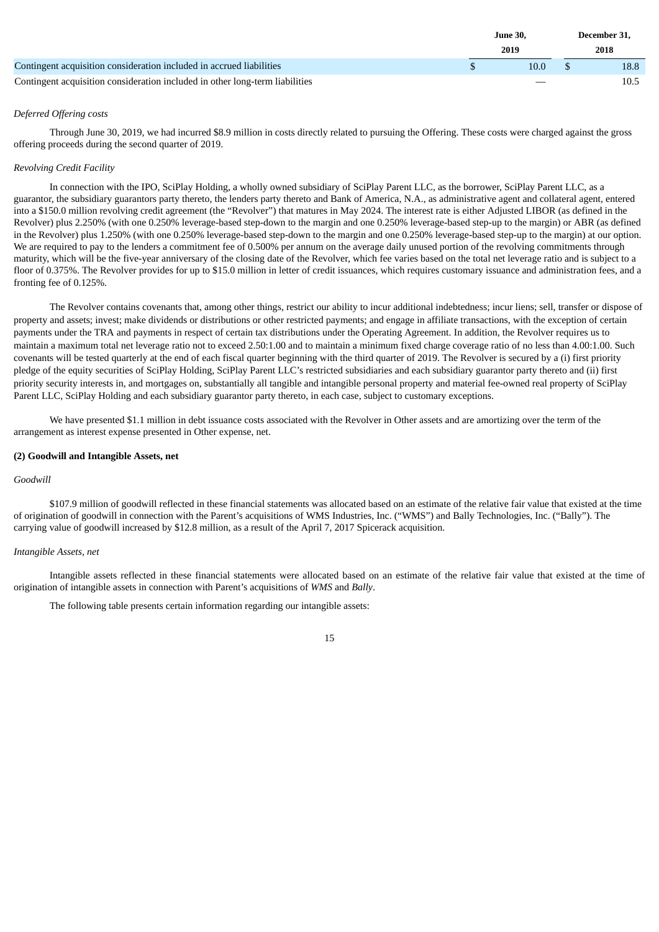|                                                                              | <b>June 30.</b> | December 31, |
|------------------------------------------------------------------------------|-----------------|--------------|
|                                                                              | 2019            | 2018         |
| Contingent acquisition consideration included in accrued liabilities         | 10.0            | 18.8         |
| Contingent acquisition consideration included in other long-term liabilities |                 | 10.5         |

# *Deferred Offering costs*

Through June 30, 2019, we had incurred \$8.9 million in costs directly related to pursuing the Offering. These costs were charged against the gross offering proceeds during the second quarter of 2019.

# *Revolving Credit Facility*

In connection with the IPO, SciPlay Holding, a wholly owned subsidiary of SciPlay Parent LLC, as the borrower, SciPlay Parent LLC, as a guarantor, the subsidiary guarantors party thereto, the lenders party thereto and Bank of America, N.A., as administrative agent and collateral agent, entered into a \$150.0 million revolving credit agreement (the "Revolver") that matures in May 2024. The interest rate is either Adjusted LIBOR (as defined in the Revolver) plus 2.250% (with one 0.250% leverage-based step-down to the margin and one 0.250% leverage-based step-up to the margin) or ABR (as defined in the Revolver) plus 1.250% (with one 0.250% leverage-based step-down to the margin and one 0.250% leverage-based step-up to the margin) at our option. We are required to pay to the lenders a commitment fee of 0.500% per annum on the average daily unused portion of the revolving commitments through maturity, which will be the five-year anniversary of the closing date of the Revolver, which fee varies based on the total net leverage ratio and is subject to a floor of 0.375%. The Revolver provides for up to \$15.0 million in letter of credit issuances, which requires customary issuance and administration fees, and a fronting fee of 0.125%.

The Revolver contains covenants that, among other things, restrict our ability to incur additional indebtedness; incur liens; sell, transfer or dispose of property and assets; invest; make dividends or distributions or other restricted payments; and engage in affiliate transactions, with the exception of certain payments under the TRA and payments in respect of certain tax distributions under the Operating Agreement. In addition, the Revolver requires us to maintain a maximum total net leverage ratio not to exceed 2.50:1.00 and to maintain a minimum fixed charge coverage ratio of no less than 4.00:1.00. Such covenants will be tested quarterly at the end of each fiscal quarter beginning with the third quarter of 2019. The Revolver is secured by a (i) first priority pledge of the equity securities of SciPlay Holding, SciPlay Parent LLC's restricted subsidiaries and each subsidiary guarantor party thereto and (ii) first priority security interests in, and mortgages on, substantially all tangible and intangible personal property and material fee-owned real property of SciPlay Parent LLC, SciPlay Holding and each subsidiary guarantor party thereto, in each case, subject to customary exceptions.

We have presented \$1.1 million in debt issuance costs associated with the Revolver in Other assets and are amortizing over the term of the arrangement as interest expense presented in Other expense, net.

## **(2) Goodwill and Intangible Assets, net**

# *Goodwill*

\$107.9 million of goodwill reflected in these financial statements was allocated based on an estimate of the relative fair value that existed at the time of origination of goodwill in connection with the Parent's acquisitions of WMS Industries, Inc. ("WMS") and Bally Technologies, Inc. ("Bally"). The carrying value of goodwill increased by \$12.8 million, as a result of the April 7, 2017 Spicerack acquisition.

### *Intangible Assets, net*

Intangible assets reflected in these financial statements were allocated based on an estimate of the relative fair value that existed at the time of origination of intangible assets in connection with Parent's acquisitions of *WMS* and *Bally*.

The following table presents certain information regarding our intangible assets: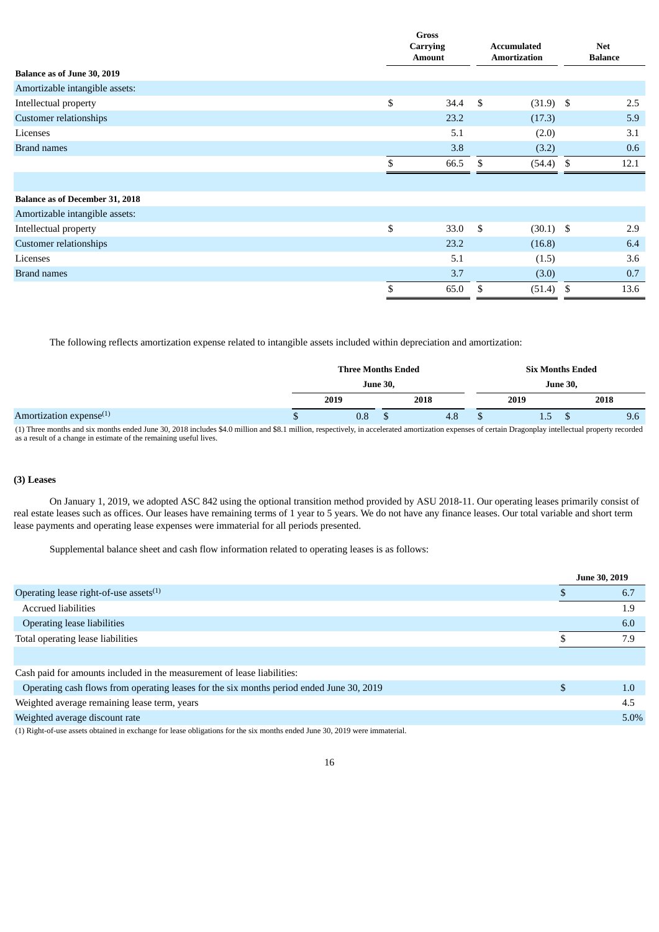|                                        | <b>Gross</b><br><b>Carrying</b> |               |    | <b>Accumulated</b>  |      | <b>Net</b>     |
|----------------------------------------|---------------------------------|---------------|----|---------------------|------|----------------|
|                                        |                                 | <b>Amount</b> |    | <b>Amortization</b> |      | <b>Balance</b> |
| Balance as of June 30, 2019            |                                 |               |    |                     |      |                |
| Amortizable intangible assets:         |                                 |               |    |                     |      |                |
| Intellectual property                  | \$                              | 34.4          | \$ | $(31.9)$ \$         |      | 2.5            |
| Customer relationships                 |                                 | 23.2          |    | (17.3)              |      | 5.9            |
| Licenses                               |                                 | 5.1           |    | (2.0)               |      | 3.1            |
| <b>Brand names</b>                     |                                 | 3.8           |    | (3.2)               |      | 0.6            |
|                                        | \$                              | 66.5          | \$ | $(54.4)$ \$         |      | 12.1           |
|                                        |                                 |               |    |                     |      |                |
| <b>Balance as of December 31, 2018</b> |                                 |               |    |                     |      |                |
| Amortizable intangible assets:         |                                 |               |    |                     |      |                |
| Intellectual property                  | \$                              | 33.0          | \$ | $(30.1)$ \$         |      | 2.9            |
| Customer relationships                 |                                 | 23.2          |    | (16.8)              |      | 6.4            |
| Licenses                               |                                 | 5.1           |    | (1.5)               |      | 3.6            |
| <b>Brand names</b>                     |                                 | 3.7           |    | (3.0)               |      | 0.7            |
|                                        | \$                              | 65.0          | \$ | (51.4)              | - \$ | 13.6           |

The following reflects amortization expense related to intangible assets included within depreciation and amortization:

|                                                                                                                                                                                                             |                 | <b>Three Months Ended</b> |  |      | <b>Six Months Ended</b> |                 |     |  |      |     |
|-------------------------------------------------------------------------------------------------------------------------------------------------------------------------------------------------------------|-----------------|---------------------------|--|------|-------------------------|-----------------|-----|--|------|-----|
|                                                                                                                                                                                                             | <b>June 30.</b> |                           |  |      |                         | <b>June 30,</b> |     |  |      |     |
|                                                                                                                                                                                                             | 2019            |                           |  | 2018 |                         | 2019            |     |  | 2018 |     |
| Amortization expense $(1)$                                                                                                                                                                                  |                 | 0.8                       |  | 4.8  |                         |                 | 1.5 |  |      | 9.6 |
| 71) The case of the color and the DA 1010 include \$4.0 at 11: a seal \$0.1 at 11: a consequence of control of control Darrente Darrented and the House of constant included and consequently increased and |                 |                           |  |      |                         |                 |     |  |      |     |

(1) Three months and six months ended June 30, 2018 includes \$4.0 million and \$8.1 million, respectively, in accelerated amortization expenses of certain Dragonplay intellectual property recorded<br>as a result of a change in

# **(3) Leases**

On January 1, 2019, we adopted ASC 842 using the optional transition method provided by ASU 2018-11. Our operating leases primarily consist of real estate leases such as offices. Our leases have remaining terms of 1 year to 5 years. We do not have any finance leases. Our total variable and short term lease payments and operating lease expenses were immaterial for all periods presented.

Supplemental balance sheet and cash flow information related to operating leases is as follows:

|                                                                                                                            |     | June 30, 2019 |
|----------------------------------------------------------------------------------------------------------------------------|-----|---------------|
| Operating lease right-of-use assets <sup>(1)</sup>                                                                         |     | 6.7           |
| <b>Accrued liabilities</b>                                                                                                 |     | 1.9           |
| <b>Operating lease liabilities</b>                                                                                         |     | 6.0           |
| Total operating lease liabilities                                                                                          |     | 7.9           |
|                                                                                                                            |     |               |
| Cash paid for amounts included in the measurement of lease liabilities:                                                    |     |               |
| Operating cash flows from operating leases for the six months period ended June 30, 2019                                   | \$. | 1.0           |
| Weighted average remaining lease term, years                                                                               |     | 4.5           |
| Weighted average discount rate                                                                                             |     | $5.0\%$       |
| (1) Right-of-use assets obtained in exchange for lease obligations for the six months ended June 30, 2019 were immaterial. |     |               |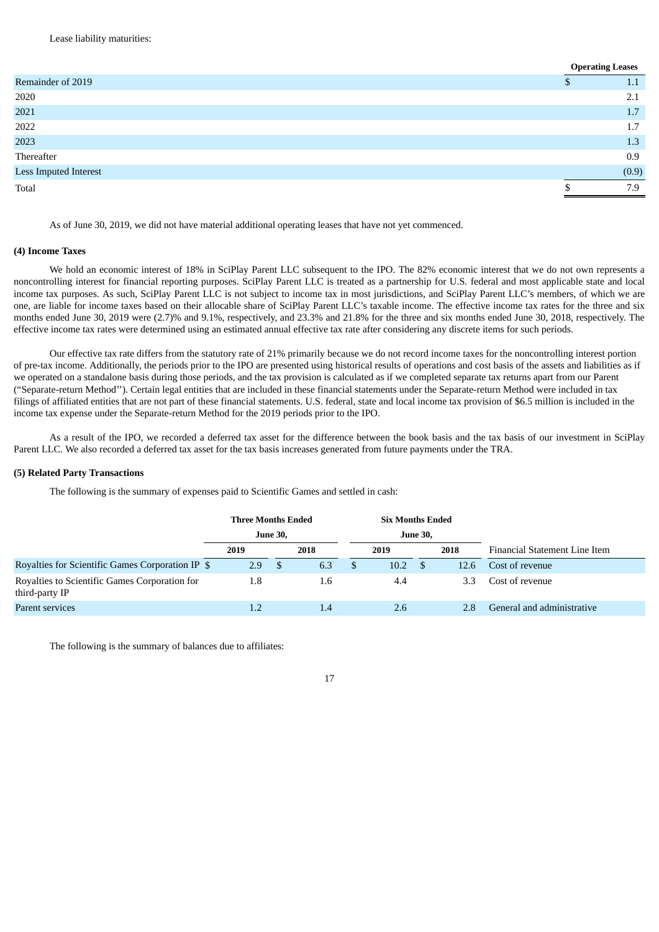Lease liability maturities:

|                       | <b>Operating Leases</b> |
|-----------------------|-------------------------|
| Remainder of 2019     | 1.1                     |
| 2020                  | 2.1                     |
| 2021                  | 1.7                     |
| 2022                  | 1.7                     |
| 2023                  | 1.3                     |
| Thereafter            | 0.9                     |
| Less Imputed Interest | (0.9)                   |
| Total                 | 7.9                     |
|                       |                         |

As of June 30, 2019, we did not have material additional operating leases that have not yet commenced.

# **(4) Income Taxes**

We hold an economic interest of 18% in SciPlay Parent LLC subsequent to the IPO. The 82% economic interest that we do not own represents a noncontrolling interest for financial reporting purposes. SciPlay Parent LLC is treated as a partnership for U.S. federal and most applicable state and local income tax purposes. As such, SciPlay Parent LLC is not subject to income tax in most jurisdictions, and SciPlay Parent LLC's members, of which we are one, are liable for income taxes based on their allocable share of SciPlay Parent LLC's taxable income. The effective income tax rates for the three and six months ended June 30, 2019 were (2.7)% and 9.1%, respectively, and 23.3% and 21.8% for the three and six months ended June 30, 2018, respectively. The effective income tax rates were determined using an estimated annual effective tax rate after considering any discrete items for such periods.

Our effective tax rate differs from the statutory rate of 21% primarily because we do not record income taxes for the noncontrolling interest portion of pre-tax income. Additionally, the periods prior to the IPO are presented using historical results of operations and cost basis of the assets and liabilities as if we operated on a standalone basis during those periods, and the tax provision is calculated as if we completed separate tax returns apart from our Parent ("Separate-return Method''). Certain legal entities that are included in these financial statements under the Separate-return Method were included in tax filings of affiliated entities that are not part of these financial statements. U.S. federal, state and local income tax provision of \$6.5 million is included in the income tax expense under the Separate-return Method for the 2019 periods prior to the IPO.

As a result of the IPO, we recorded a deferred tax asset for the difference between the book basis and the tax basis of our investment in SciPlay Parent LLC. We also recorded a deferred tax asset for the tax basis increases generated from future payments under the TRA.

#### **(5) Related Party Transactions**

The following is the summary of expenses paid to Scientific Games and settled in cash:

|                                                                 | <b>Three Months Ended</b> | <b>June 30,</b> |      |               | <b>Six Months Ended</b> | <b>June 30,</b> |      |                               |
|-----------------------------------------------------------------|---------------------------|-----------------|------|---------------|-------------------------|-----------------|------|-------------------------------|
|                                                                 | 2019                      |                 | 2018 |               | 2019                    |                 | 2018 | Financial Statement Line Item |
| Royalties for Scientific Games Corporation IP \$                | 2.9                       | <sup>\$</sup>   | 6.3  | <sup>\$</sup> | 10.2                    | -S              | 12.6 | Cost of revenue               |
| Royalties to Scientific Games Corporation for<br>third-party IP | 1.8                       |                 | 1.6  |               | 4.4                     |                 | 3.3  | Cost of revenue               |
| Parent services                                                 | 1.2                       |                 | 1.4  |               | 2.6                     |                 | 2.8  | General and administrative    |

The following is the summary of balances due to affiliates: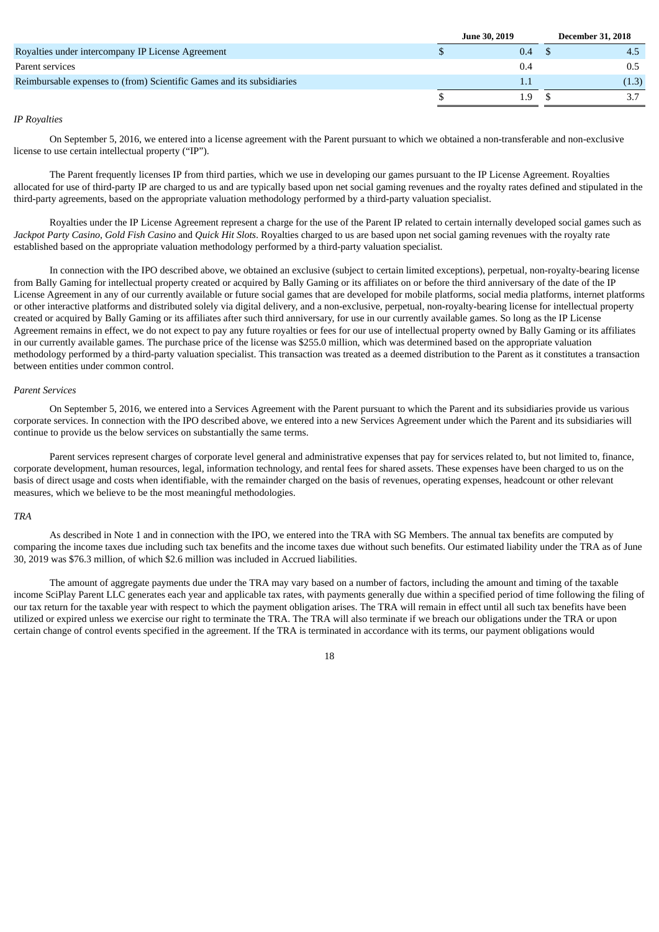|                                                                       | <b>June 30, 2019</b> | <b>December 31, 2018</b> |
|-----------------------------------------------------------------------|----------------------|--------------------------|
| Royalties under intercompany IP License Agreement                     | 0.4                  |                          |
| Parent services                                                       | 0.4                  |                          |
| Reimbursable expenses to (from) Scientific Games and its subsidiaries | $1.1\,$              | (1.3)                    |
|                                                                       | 1.9                  |                          |

# *IP Royalties*

On September 5, 2016, we entered into a license agreement with the Parent pursuant to which we obtained a non-transferable and non-exclusive license to use certain intellectual property ("IP").

The Parent frequently licenses IP from third parties, which we use in developing our games pursuant to the IP License Agreement. Royalties allocated for use of third‑party IP are charged to us and are typically based upon net social gaming revenues and the royalty rates defined and stipulated in the third‑party agreements, based on the appropriate valuation methodology performed by a third-party valuation specialist.

Royalties under the IP License Agreement represent a charge for the use of the Parent IP related to certain internally developed social games such as *Jackpot Party Casino*, *Gold Fish Casino* and *Quick Hit Slots*. Royalties charged to us are based upon net social gaming revenues with the royalty rate established based on the appropriate valuation methodology performed by a third-party valuation specialist.

In connection with the IPO described above, we obtained an exclusive (subject to certain limited exceptions), perpetual, non-royalty-bearing license from Bally Gaming for intellectual property created or acquired by Bally Gaming or its affiliates on or before the third anniversary of the date of the IP License Agreement in any of our currently available or future social games that are developed for mobile platforms, social media platforms, internet platforms or other interactive platforms and distributed solely via digital delivery, and a non-exclusive, perpetual, non-royalty-bearing license for intellectual property created or acquired by Bally Gaming or its affiliates after such third anniversary, for use in our currently available games. So long as the IP License Agreement remains in effect, we do not expect to pay any future royalties or fees for our use of intellectual property owned by Bally Gaming or its affiliates in our currently available games. The purchase price of the license was \$255.0 million, which was determined based on the appropriate valuation methodology performed by a third-party valuation specialist. This transaction was treated as a deemed distribution to the Parent as it constitutes a transaction between entities under common control.

#### *Parent Services*

On September 5, 2016, we entered into a Services Agreement with the Parent pursuant to which the Parent and its subsidiaries provide us various corporate services. In connection with the IPO described above, we entered into a new Services Agreement under which the Parent and its subsidiaries will continue to provide us the below services on substantially the same terms.

Parent services represent charges of corporate level general and administrative expenses that pay for services related to, but not limited to, finance, corporate development, human resources, legal, information technology, and rental fees for shared assets. These expenses have been charged to us on the basis of direct usage and costs when identifiable, with the remainder charged on the basis of revenues, operating expenses, headcount or other relevant measures, which we believe to be the most meaningful methodologies.

# *TRA*

As described in Note 1 and in connection with the IPO, we entered into the TRA with SG Members. The annual tax benefits are computed by comparing the income taxes due including such tax benefits and the income taxes due without such benefits. Our estimated liability under the TRA as of June 30, 2019 was \$76.3 million, of which \$2.6 million was included in Accrued liabilities.

The amount of aggregate payments due under the TRA may vary based on a number of factors, including the amount and timing of the taxable income SciPlay Parent LLC generates each year and applicable tax rates, with payments generally due within a specified period of time following the filing of our tax return for the taxable year with respect to which the payment obligation arises. The TRA will remain in effect until all such tax benefits have been utilized or expired unless we exercise our right to terminate the TRA. The TRA will also terminate if we breach our obligations under the TRA or upon certain change of control events specified in the agreement. If the TRA is terminated in accordance with its terms, our payment obligations would

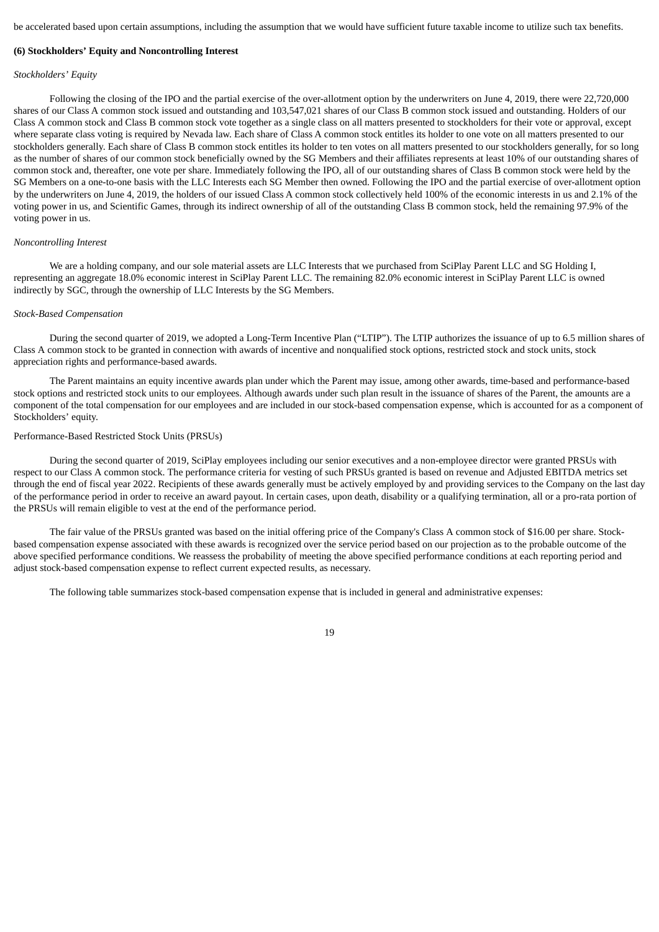be accelerated based upon certain assumptions, including the assumption that we would have sufficient future taxable income to utilize such tax benefits.

#### **(6) Stockholders' Equity and Noncontrolling Interest**

#### *Stockholders' Equity*

Following the closing of the IPO and the partial exercise of the over-allotment option by the underwriters on June 4, 2019, there were 22,720,000 shares of our Class A common stock issued and outstanding and 103,547,021 shares of our Class B common stock issued and outstanding. Holders of our Class A common stock and Class B common stock vote together as a single class on all matters presented to stockholders for their vote or approval, except where separate class voting is required by Nevada law. Each share of Class A common stock entitles its holder to one vote on all matters presented to our stockholders generally. Each share of Class B common stock entitles its holder to ten votes on all matters presented to our stockholders generally, for so long as the number of shares of our common stock beneficially owned by the SG Members and their affiliates represents at least 10% of our outstanding shares of common stock and, thereafter, one vote per share. Immediately following the IPO, all of our outstanding shares of Class B common stock were held by the SG Members on a one-to-one basis with the LLC Interests each SG Member then owned. Following the IPO and the partial exercise of over-allotment option by the underwriters on June 4, 2019, the holders of our issued Class A common stock collectively held 100% of the economic interests in us and 2.1% of the voting power in us, and Scientific Games, through its indirect ownership of all of the outstanding Class B common stock, held the remaining 97.9% of the voting power in us.

#### *Noncontrolling Interest*

We are a holding company, and our sole material assets are LLC Interests that we purchased from SciPlay Parent LLC and SG Holding I, representing an aggregate 18.0% economic interest in SciPlay Parent LLC. The remaining 82.0% economic interest in SciPlay Parent LLC is owned indirectly by SGC, through the ownership of LLC Interests by the SG Members.

#### *Stock-Based Compensation*

During the second quarter of 2019, we adopted a Long-Term Incentive Plan ("LTIP"). The LTIP authorizes the issuance of up to 6.5 million shares of Class A common stock to be granted in connection with awards of incentive and nonqualified stock options, restricted stock and stock units, stock appreciation rights and performance-based awards.

The Parent maintains an equity incentive awards plan under which the Parent may issue, among other awards, time-based and performance-based stock options and restricted stock units to our employees. Although awards under such plan result in the issuance of shares of the Parent, the amounts are a component of the total compensation for our employees and are included in our stock‑based compensation expense, which is accounted for as a component of Stockholders' equity.

# Performance-Based Restricted Stock Units (PRSUs)

During the second quarter of 2019, SciPlay employees including our senior executives and a non-employee director were granted PRSUs with respect to our Class A common stock. The performance criteria for vesting of such PRSUs granted is based on revenue and Adjusted EBITDA metrics set through the end of fiscal year 2022. Recipients of these awards generally must be actively employed by and providing services to the Company on the last day of the performance period in order to receive an award payout. In certain cases, upon death, disability or a qualifying termination, all or a pro-rata portion of the PRSUs will remain eligible to vest at the end of the performance period.

The fair value of the PRSUs granted was based on the initial offering price of the Company's Class A common stock of \$16.00 per share. Stockbased compensation expense associated with these awards is recognized over the service period based on our projection as to the probable outcome of the above specified performance conditions. We reassess the probability of meeting the above specified performance conditions at each reporting period and adjust stock-based compensation expense to reflect current expected results, as necessary.

The following table summarizes stock-based compensation expense that is included in general and administrative expenses: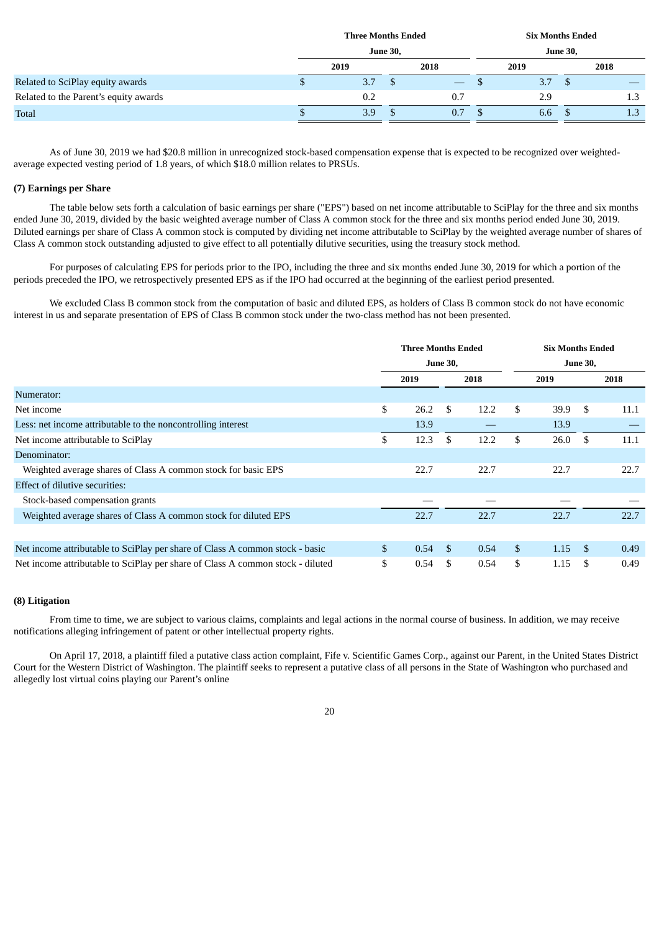|                                       |                 | <b>Three Months Ended</b> |  |      | <b>Six Months Ended</b> |                 |  |      |  |  |  |
|---------------------------------------|-----------------|---------------------------|--|------|-------------------------|-----------------|--|------|--|--|--|
|                                       | <b>June 30,</b> |                           |  |      |                         | <b>June 30,</b> |  |      |  |  |  |
|                                       |                 | 2019                      |  | 2018 |                         | 2019            |  | 2018 |  |  |  |
| Related to SciPlay equity awards      |                 | 3.7                       |  |      |                         | 3.7             |  |      |  |  |  |
| Related to the Parent's equity awards |                 | 0.2                       |  | 0.7  |                         | 2.9             |  | 1.3  |  |  |  |
| Total                                 |                 | 3.9                       |  | 0.7  |                         | 6.6             |  | 1.3  |  |  |  |

As of June 30, 2019 we had \$20.8 million in unrecognized stock-based compensation expense that is expected to be recognized over weightedaverage expected vesting period of 1.8 years, of which \$18.0 million relates to PRSUs.

### **(7) Earnings per Share**

The table below sets forth a calculation of basic earnings per share ("EPS") based on net income attributable to SciPlay for the three and six months ended June 30, 2019, divided by the basic weighted average number of Class A common stock for the three and six months period ended June 30, 2019. Diluted earnings per share of Class A common stock is computed by dividing net income attributable to SciPlay by the weighted average number of shares of Class A common stock outstanding adjusted to give effect to all potentially dilutive securities, using the treasury stock method.

For purposes of calculating EPS for periods prior to the IPO, including the three and six months ended June 30, 2019 for which a portion of the periods preceded the IPO, we retrospectively presented EPS as if the IPO had occurred at the beginning of the earliest period presented.

We excluded Class B common stock from the computation of basic and diluted EPS, as holders of Class B common stock do not have economic interest in us and separate presentation of EPS of Class B common stock under the two-class method has not been presented.

|                                                                                | <b>Three Months Ended</b> |      |                 |      |              |      | <b>Six Months Ended</b> |      |  |
|--------------------------------------------------------------------------------|---------------------------|------|-----------------|------|--------------|------|-------------------------|------|--|
|                                                                                |                           |      | <b>June 30,</b> |      |              |      | <b>June 30,</b>         |      |  |
|                                                                                |                           | 2019 | 2018            |      |              | 2019 |                         | 2018 |  |
| Numerator:                                                                     |                           |      |                 |      |              |      |                         |      |  |
| Net income                                                                     | \$                        | 26.2 | \$              | 12.2 | S.           | 39.9 | \$                      | 11.1 |  |
| Less: net income attributable to the noncontrolling interest                   |                           | 13.9 |                 |      |              | 13.9 |                         |      |  |
| Net income attributable to SciPlay                                             | \$                        | 12.3 | \$              | 12.2 | \$           | 26.0 | \$                      | 11.1 |  |
| Denominator:                                                                   |                           |      |                 |      |              |      |                         |      |  |
| Weighted average shares of Class A common stock for basic EPS                  |                           | 22.7 |                 | 22.7 |              | 22.7 |                         | 22.7 |  |
| Effect of dilutive securities:                                                 |                           |      |                 |      |              |      |                         |      |  |
| Stock-based compensation grants                                                |                           |      |                 |      |              |      |                         |      |  |
| Weighted average shares of Class A common stock for diluted EPS                |                           | 22.7 |                 | 22.7 |              | 22.7 |                         | 22.7 |  |
|                                                                                |                           |      |                 |      |              |      |                         |      |  |
| Net income attributable to SciPlay per share of Class A common stock - basic   | $\mathbb{S}$              | 0.54 | <sup>\$</sup>   | 0.54 | $\mathbb{S}$ | 1.15 | <sup>\$</sup>           | 0.49 |  |
| Net income attributable to SciPlay per share of Class A common stock - diluted | \$                        | 0.54 | \$              | 0.54 | \$           | 1.15 | \$                      | 0.49 |  |

# **(8) Litigation**

From time to time, we are subject to various claims, complaints and legal actions in the normal course of business. In addition, we may receive notifications alleging infringement of patent or other intellectual property rights.

On April 17, 2018, a plaintiff filed a putative class action complaint, Fife v. Scientific Games Corp., against our Parent, in the United States District Court for the Western District of Washington. The plaintiff seeks to represent a putative class of all persons in the State of Washington who purchased and allegedly lost virtual coins playing our Parent's online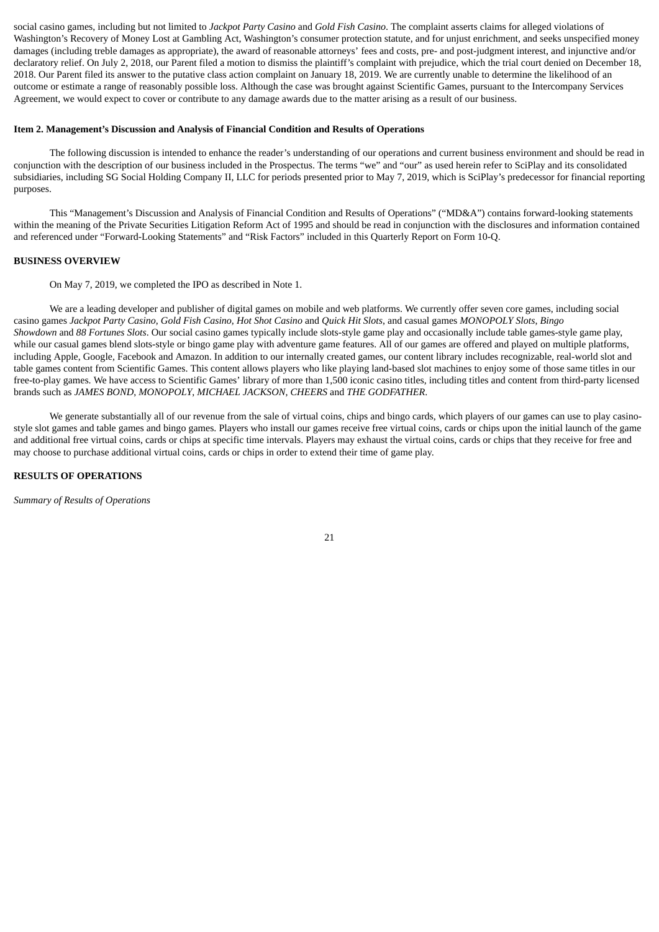social casino games, including but not limited to *Jackpot Party Casino* and *Gold Fish Casino*. The complaint asserts claims for alleged violations of Washington's Recovery of Money Lost at Gambling Act, Washington's consumer protection statute, and for unjust enrichment, and seeks unspecified money damages (including treble damages as appropriate), the award of reasonable attorneys' fees and costs, pre- and post-judgment interest, and injunctive and/or declaratory relief. On July 2, 2018, our Parent filed a motion to dismiss the plaintiff's complaint with prejudice, which the trial court denied on December 18, 2018. Our Parent filed its answer to the putative class action complaint on January 18, 2019. We are currently unable to determine the likelihood of an outcome or estimate a range of reasonably possible loss. Although the case was brought against Scientific Games, pursuant to the Intercompany Services Agreement, we would expect to cover or contribute to any damage awards due to the matter arising as a result of our business.

#### <span id="page-20-0"></span>**Item 2. Management's Discussion and Analysis of Financial Condition and Results of Operations**

The following discussion is intended to enhance the reader's understanding of our operations and current business environment and should be read in conjunction with the description of our business included in the Prospectus. The terms "we" and "our" as used herein refer to SciPlay and its consolidated subsidiaries, including SG Social Holding Company II, LLC for periods presented prior to May 7, 2019, which is SciPlay's predecessor for financial reporting purposes.

This "Management's Discussion and Analysis of Financial Condition and Results of Operations" ("MD&A") contains forward-looking statements within the meaning of the Private Securities Litigation Reform Act of 1995 and should be read in conjunction with the disclosures and information contained and referenced under "Forward-Looking Statements" and "Risk Factors" included in this Quarterly Report on Form 10-Q.

#### **BUSINESS OVERVIEW**

On May 7, 2019, we completed the IPO as described in Note 1.

We are a leading developer and publisher of digital games on mobile and web platforms. We currently offer seven core games, including social casino games Jackpot Party Casino, Gold Fish Casino, Hot Shot Casino and Quick Hit Slots, and casual games MONOPOLY Slots, Bingo *Showdown* and *88 Fortunes Slots*. Our social casino games typically include slots-style game play and occasionally include table games-style game play, while our casual games blend slots-style or bingo game play with adventure game features. All of our games are offered and played on multiple platforms, including Apple, Google, Facebook and Amazon. In addition to our internally created games, our content library includes recognizable, real-world slot and table games content from Scientific Games. This content allows players who like playing land-based slot machines to enjoy some of those same titles in our free-to-play games. We have access to Scientific Games' library of more than 1,500 iconic casino titles, including titles and content from third-party licensed brands such as *JAMES BOND*, *MONOPOLY*, *MICHAEL JACKSON*, *CHEERS* and *THE GODFATHER*.

We generate substantially all of our revenue from the sale of virtual coins, chips and bingo cards, which players of our games can use to play casinostyle slot games and table games and bingo games. Players who install our games receive free virtual coins, cards or chips upon the initial launch of the game and additional free virtual coins, cards or chips at specific time intervals. Players may exhaust the virtual coins, cards or chips that they receive for free and may choose to purchase additional virtual coins, cards or chips in order to extend their time of game play.

#### **RESULTS OF OPERATIONS**

*Summary of Results of Operations*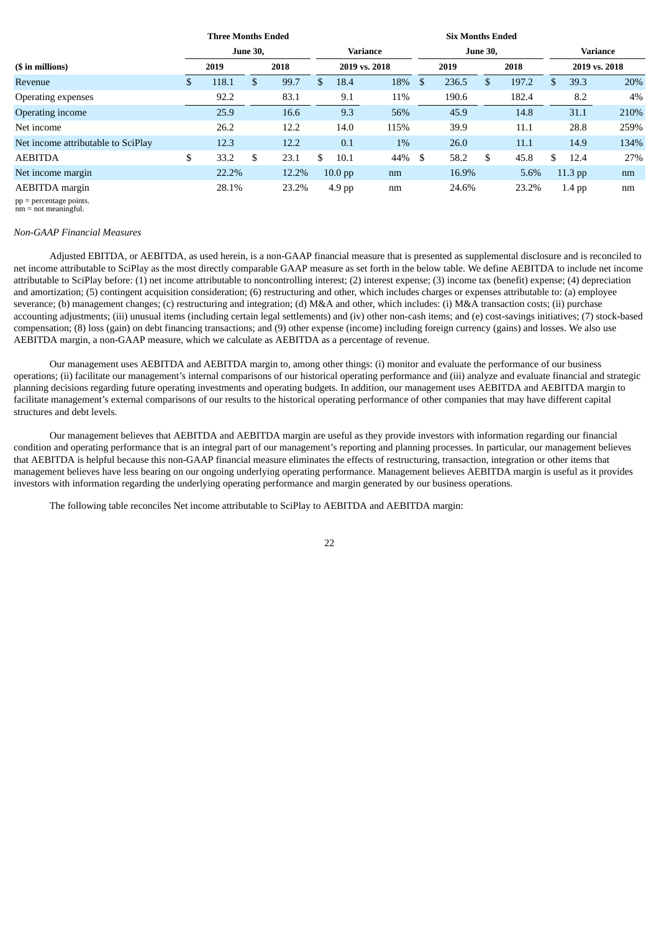|                                    |    | <b>Three Months Ended</b> |    |       | <b>Six Months Ended</b> |           |          |    |       |                 |               |     |          |      |  |  |
|------------------------------------|----|---------------------------|----|-------|-------------------------|-----------|----------|----|-------|-----------------|---------------|-----|----------|------|--|--|
|                                    |    | <b>June 30,</b>           |    |       |                         |           | Variance |    |       | <b>June 30,</b> | Variance      |     |          |      |  |  |
| (\$ in millions)                   |    | 2019                      |    | 2018  | 2019 vs. 2018           |           | 2019     |    |       | 2018            | 2019 vs. 2018 |     |          |      |  |  |
| Revenue                            | \$ | 118.1                     | \$ | 99.7  | \$                      | 18.4      | 18%      | \$ | 236.5 | \$              | 197.2         |     | 39.3     | 20%  |  |  |
| Operating expenses                 |    | 92.2                      |    | 83.1  |                         | 9.1       | 11%      |    | 190.6 |                 | 182.4         |     | 8.2      | 4%   |  |  |
| Operating income                   |    | 25.9                      |    | 16.6  |                         | 9.3       | 56%      |    | 45.9  |                 | 14.8          |     | 31.1     | 210% |  |  |
| Net income                         |    | 26.2                      |    | 12.2  |                         | 14.0      | 115%     |    | 39.9  |                 | 11.1          |     | 28.8     | 259% |  |  |
| Net income attributable to SciPlay |    | 12.3                      |    | 12.2  |                         | 0.1       | $1\%$    |    | 26.0  |                 | 11.1          |     | 14.9     | 134% |  |  |
| <b>AEBITDA</b>                     | \$ | 33.2                      | \$ | 23.1  | \$.                     | 10.1      | 44%      | \$ | 58.2  | \$              | 45.8          | \$. | 12.4     | 27%  |  |  |
| Net income margin                  |    | 22.2%                     |    | 12.2% |                         | $10.0$ pp | nm       |    | 16.9% |                 | 5.6%          |     | 11.3 pp  | nm   |  |  |
| AEBITDA margin                     |    | 28.1%                     |    | 23.2% |                         | $4.9$ pp  | nm       |    | 24.6% |                 | 23.2%         |     | $1.4$ pp | nm   |  |  |

pp = percentage points. nm = not meaningful.

#### *Non-GAAP Financial Measures*

Adjusted EBITDA, or AEBITDA, as used herein, is a non-GAAP financial measure that is presented as supplemental disclosure and is reconciled to net income attributable to SciPlay as the most directly comparable GAAP measure as set forth in the below table. We define AEBITDA to include net income attributable to SciPlay before: (1) net income attributable to noncontrolling interest; (2) interest expense; (3) income tax (benefit) expense; (4) depreciation and amortization; (5) contingent acquisition consideration; (6) restructuring and other, which includes charges or expenses attributable to: (a) employee severance; (b) management changes; (c) restructuring and integration; (d) M&A and other, which includes: (i) M&A transaction costs; (ii) purchase accounting adjustments; (iii) unusual items (including certain legal settlements) and (iv) other non-cash items; and (e) cost-savings initiatives; (7) stock-based compensation; (8) loss (gain) on debt financing transactions; and (9) other expense (income) including foreign currency (gains) and losses. We also use AEBITDA margin, a non-GAAP measure, which we calculate as AEBITDA as a percentage of revenue.

Our management uses AEBITDA and AEBITDA margin to, among other things: (i) monitor and evaluate the performance of our business operations; (ii) facilitate our management's internal comparisons of our historical operating performance and (iii) analyze and evaluate financial and strategic planning decisions regarding future operating investments and operating budgets. In addition, our management uses AEBITDA and AEBITDA margin to facilitate management's external comparisons of our results to the historical operating performance of other companies that may have different capital structures and debt levels.

Our management believes that AEBITDA and AEBITDA margin are useful as they provide investors with information regarding our financial condition and operating performance that is an integral part of our management's reporting and planning processes. In particular, our management believes that AEBITDA is helpful because this non-GAAP financial measure eliminates the effects of restructuring, transaction, integration or other items that management believes have less bearing on our ongoing underlying operating performance. Management believes AEBITDA margin is useful as it provides investors with information regarding the underlying operating performance and margin generated by our business operations.

The following table reconciles Net income attributable to SciPlay to AEBITDA and AEBITDA margin: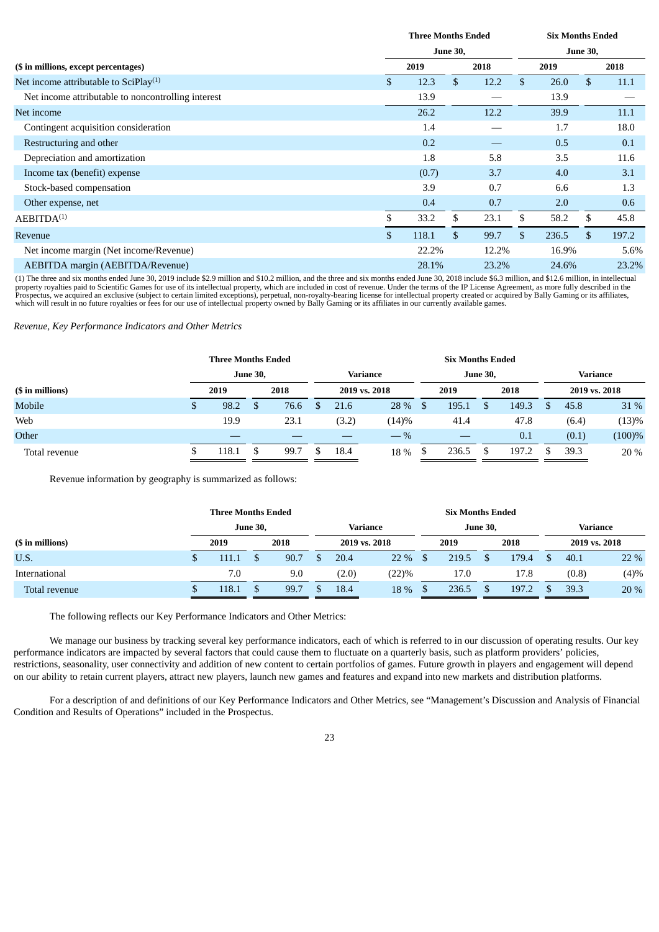|                                                    | <b>Three Months Ended</b> |    | <b>Six Months Ended</b> |    |       |    |       |  |
|----------------------------------------------------|---------------------------|----|-------------------------|----|-------|----|-------|--|
|                                                    | <b>June 30,</b>           |    | <b>June 30,</b>         |    |       |    |       |  |
| (\$ in millions, except percentages)               | 2019                      |    | 2018                    |    | 2019  |    | 2018  |  |
| Net income attributable to SciPlay <sup>(1)</sup>  | \$<br>12.3                | \$ | 12.2                    | \$ | 26.0  | \$ | 11.1  |  |
| Net income attributable to noncontrolling interest | 13.9                      |    |                         |    | 13.9  |    |       |  |
| Net income                                         | 26.2                      |    | 12.2                    |    | 39.9  |    | 11.1  |  |
| Contingent acquisition consideration               | 1.4                       |    |                         |    | 1.7   |    | 18.0  |  |
| Restructuring and other                            | 0.2                       |    |                         |    | 0.5   |    | 0.1   |  |
| Depreciation and amortization                      | 1.8                       |    | 5.8                     |    | 3.5   |    | 11.6  |  |
| Income tax (benefit) expense                       | (0.7)                     |    | 3.7                     |    | 4.0   |    | 3.1   |  |
| Stock-based compensation                           | 3.9                       |    | 0.7                     |    | 6.6   |    | 1.3   |  |
| Other expense, net                                 | 0.4                       |    | 0.7                     |    | 2.0   |    | 0.6   |  |
| $A$ EBITD $A^{(1)}$                                | \$<br>33.2                | \$ | 23.1                    | \$ | 58.2  | \$ | 45.8  |  |
| Revenue                                            | \$<br>118.1               | \$ | 99.7                    | \$ | 236.5 | \$ | 197.2 |  |
| Net income margin (Net income/Revenue)             | 22.2%                     |    | 12.2%                   |    | 16.9% |    | 5.6%  |  |
| AEBITDA margin (AEBITDA/Revenue)                   | 28.1%                     |    | 23.2%                   |    | 24.6% |    | 23.2% |  |

(1) The three and six months ended June 30, 2019 include \$2.9 million and \$10.2 million, and the three and six months ended June 30, 2018 include \$6.3 million, and \$12.6 million, in intellectual property royalties paid to which will result in no future royalties or fees for our use of intellectual property owned by Bally Gaming or its affiliates in our currently available games.

*Revenue, Key Performance Indicators and Other Metrics*

|                  |   | <b>Three Months Ended</b> |                 |      |       |               | <b>Six Months Ended</b> |                 |       |       |               |
|------------------|---|---------------------------|-----------------|------|-------|---------------|-------------------------|-----------------|-------|-------|---------------|
|                  |   |                           | <b>June 30,</b> |      |       | Variance      |                         | <b>June 30,</b> |       |       | Variance      |
| (\$ in millions) |   | 2019                      |                 | 2018 |       | 2019 vs. 2018 | 2019                    |                 | 2018  |       | 2019 vs. 2018 |
| Mobile           | S | 98.2                      |                 | 76.6 | 21.6  | 28 %          | 195.1                   |                 | 149.3 | 45.8  | 31 %          |
| Web              |   | 19.9                      |                 | 23.1 | (3.2) | (14)%         | 41.4                    |                 | 47.8  | (6.4) | (13)%         |
| Other            |   |                           |                 |      |       | $-$ %         |                         |                 | 0.1   | (0.1) | (100)%        |
| Total revenue    |   | 118.1                     |                 | 99.7 | 18.4  | 18 %          | 236.5                   |                 | 197.2 | 39.3  | 20 %          |

Revenue information by geography is summarized as follows:

|                  |  | <b>Three Months Ended</b> |                 |      |          |       |               |      | <b>Six Months Ended</b> |  |       |              |          |               |  |
|------------------|--|---------------------------|-----------------|------|----------|-------|---------------|------|-------------------------|--|-------|--------------|----------|---------------|--|
|                  |  |                           | <b>June 30,</b> |      | Variance |       |               |      | <b>June 30,</b>         |  |       |              | Variance |               |  |
| (\$ in millions) |  | 2019                      |                 | 2018 |          |       | 2019 vs. 2018 |      | 2019                    |  | 2018  |              |          | 2019 vs. 2018 |  |
| U.S.             |  | 111.1                     |                 | 90.7 |          | 20.4  | 22 %          | - \$ | 219.5                   |  | 179.4 | $\mathbf{S}$ | 40.1     | 22 %          |  |
| International    |  | 7.0                       |                 | 9.0  |          | (2.0) | (22)%         |      | 17.0                    |  | 17.8  |              | (0.8)    | (4)%          |  |
| Total revenue    |  | 118.1                     |                 | 99.7 |          | 18.4  | 18 %          |      | 236.5                   |  | 197.2 | \$.          | 39.3     | 20 %          |  |

The following reflects our Key Performance Indicators and Other Metrics:

We manage our business by tracking several key performance indicators, each of which is referred to in our discussion of operating results. Our key performance indicators are impacted by several factors that could cause them to fluctuate on a quarterly basis, such as platform providers' policies, restrictions, seasonality, user connectivity and addition of new content to certain portfolios of games. Future growth in players and engagement will depend on our ability to retain current players, attract new players, launch new games and features and expand into new markets and distribution platforms.

For a description of and definitions of our Key Performance Indicators and Other Metrics, see "Management's Discussion and Analysis of Financial Condition and Results of Operations" included in the Prospectus.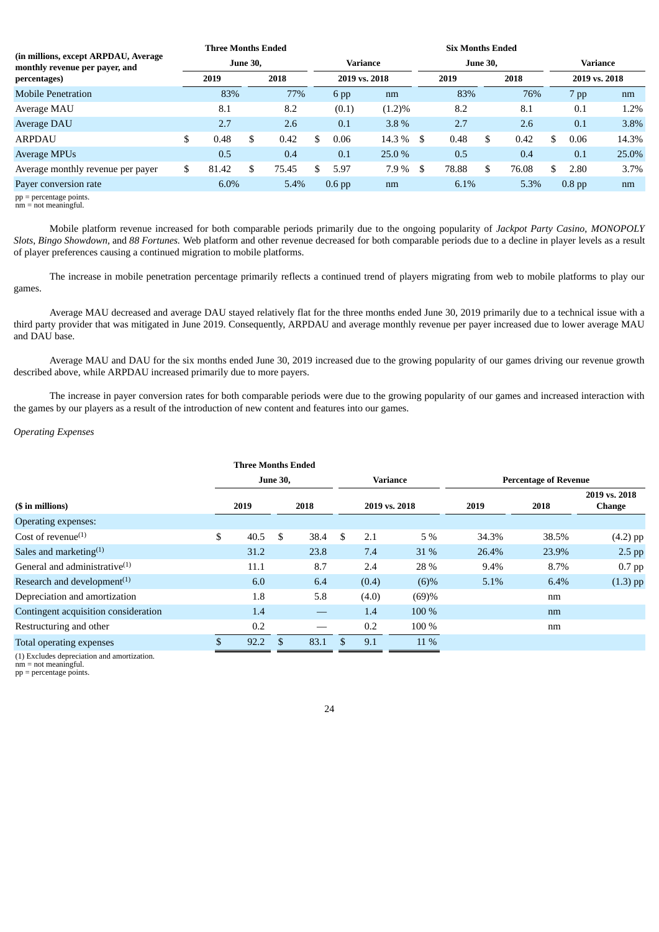|                                                                                        |    | <b>Three Months Ended</b> |                 |       |  |                   | <b>Six Months Ended</b> |    |       |                 |       |          |                   |       |  |  |  |
|----------------------------------------------------------------------------------------|----|---------------------------|-----------------|-------|--|-------------------|-------------------------|----|-------|-----------------|-------|----------|-------------------|-------|--|--|--|
| (in millions, except ARPDAU, Average<br>monthly revenue per payer, and<br>percentages) |    |                           | <b>June 30.</b> |       |  | Variance          |                         |    |       | <b>June 30.</b> |       | Variance |                   |       |  |  |  |
|                                                                                        |    | 2019                      |                 | 2018  |  | 2019 vs. 2018     |                         |    | 2019  |                 | 2018  |          | 2019 vs. 2018     |       |  |  |  |
| <b>Mobile Penetration</b>                                                              |    | 83%                       |                 | 77%   |  | $6$ pp            | nm                      |    | 83%   |                 | 76%   |          | 7 pp              | nm    |  |  |  |
| Average MAU                                                                            |    | 8.1                       |                 | 8.2   |  | (0.1)             | $(1.2)\%$               |    | 8.2   |                 | 8.1   |          | 0.1               | 1.2%  |  |  |  |
| Average DAU                                                                            |    | 2.7                       |                 | 2.6   |  | 0.1               | 3.8%                    |    | 2.7   |                 | 2.6   |          | 0.1               | 3.8%  |  |  |  |
| <b>ARPDAU</b>                                                                          | \$ | 0.48                      | \$              | 0.42  |  | 0.06              | 14.3 %                  | -S | 0.48  | \$              | 0.42  |          | 0.06              | 14.3% |  |  |  |
| <b>Average MPUs</b>                                                                    |    | 0.5                       |                 | 0.4   |  | 0.1               | 25.0 %                  |    | 0.5   |                 | 0.4   |          | 0.1               | 25.0% |  |  |  |
| Average monthly revenue per payer                                                      | \$ | 81.42                     | \$              | 75.45 |  | 5.97              | 7.9 %                   | \$ | 78.88 | \$              | 76.08 |          | 2.80              | 3.7%  |  |  |  |
| Payer conversion rate                                                                  |    | $6.0\%$                   |                 | 5.4%  |  | 0.6 <sub>pp</sub> | nm                      |    | 6.1%  |                 | 5.3%  |          | 0.8 <sub>pp</sub> | nm    |  |  |  |

pp = percentage points. nm = not meaningful.

Mobile platform revenue increased for both comparable periods primarily due to the ongoing popularity of *Jackpot Party Casino*, *MONOPOLY Slots*, *Bingo Showdown,* and *88 Fortunes.* Web platform and other revenue decreased for both comparable periods due to a decline in player levels as a result of player preferences causing a continued migration to mobile platforms.

The increase in mobile penetration percentage primarily reflects a continued trend of players migrating from web to mobile platforms to play our games.

Average MAU decreased and average DAU stayed relatively flat for the three months ended June 30, 2019 primarily due to a technical issue with a third party provider that was mitigated in June 2019. Consequently, ARPDAU and average monthly revenue per payer increased due to lower average MAU and DAU base.

Average MAU and DAU for the six months ended June 30, 2019 increased due to the growing popularity of our games driving our revenue growth described above, while ARPDAU increased primarily due to more payers.

The increase in payer conversion rates for both comparable periods were due to the growing popularity of our games and increased interaction with the games by our players as a result of the introduction of new content and features into our games.

# *Operating Expenses*

|                                            | <b>Three Months Ended</b> |                 |      |     |       |               |         |                              |                         |
|--------------------------------------------|---------------------------|-----------------|------|-----|-------|---------------|---------|------------------------------|-------------------------|
|                                            |                           | <b>June 30,</b> |      |     |       | Variance      |         | <b>Percentage of Revenue</b> |                         |
| (\$ in millions)                           | 2019                      |                 | 2018 |     |       | 2019 vs. 2018 | 2019    | 2018                         | 2019 vs. 2018<br>Change |
| Operating expenses:                        |                           |                 |      |     |       |               |         |                              |                         |
| Cost of revenue <sup>(1)</sup>             | \$<br>40.5                | \$.             | 38.4 | \$. | 2.1   | 5 %           | 34.3%   | 38.5%                        | $(4.2)$ pp              |
| Sales and marketing $(1)$                  | 31.2                      |                 | 23.8 |     | 7.4   | <b>31</b> %   | 26.4%   | 23.9%                        | $2.5$ pp                |
| General and administrative $(1)$           | 11.1                      |                 | 8.7  |     | 2.4   | 28 %          | $9.4\%$ | 8.7%                         | $0.7$ pp                |
| Research and development $(1)$             | 6.0                       |                 | 6.4  |     | (0.4) | $(6)\%$       | 5.1%    | 6.4%                         | $(1.3)$ pp              |
| Depreciation and amortization              | 1.8                       |                 | 5.8  |     | (4.0) | (69)%         |         | nm                           |                         |
| Contingent acquisition consideration       | 1.4                       |                 |      |     | 1.4   | 100 %         |         | nm                           |                         |
| Restructuring and other                    | 0.2                       |                 |      |     | 0.2   | 100 %         |         | nm                           |                         |
| Total operating expenses                   | \$<br>92.2                | \$              | 83.1 | \$  | 9.1   | 11 %          |         |                              |                         |
| (1) Eveludes depreciation and amortization |                           |                 |      |     |       |               |         |                              |                         |

(1) Excludes depreciation and amortization.

nm = not meaningful.

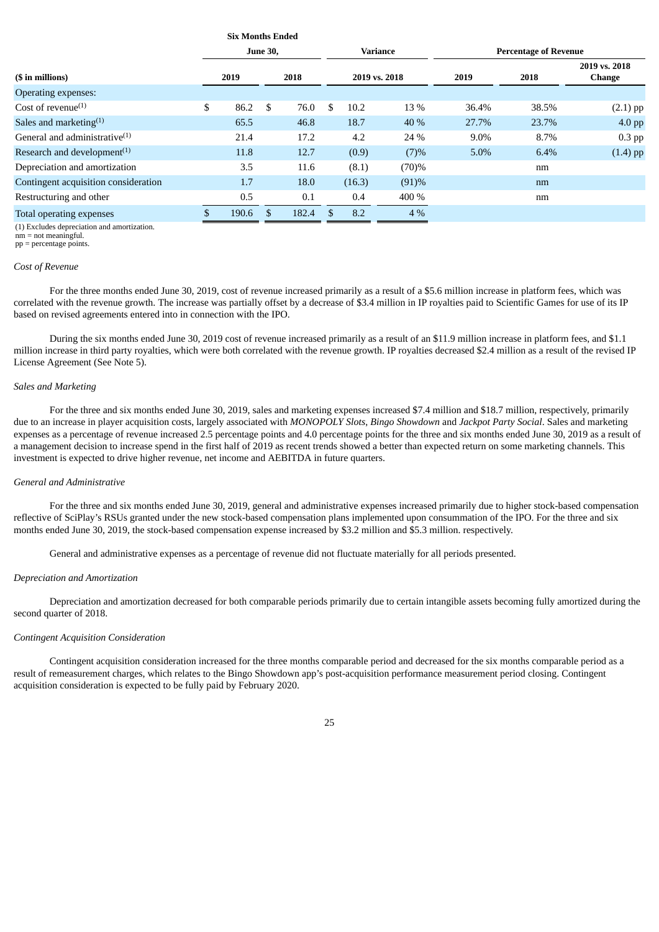|                                                      | Six Months Ended |                 |       |     |        |                 |                              |       |                         |  |  |
|------------------------------------------------------|------------------|-----------------|-------|-----|--------|-----------------|------------------------------|-------|-------------------------|--|--|
|                                                      |                  | <b>June 30,</b> |       |     |        | <b>Variance</b> | <b>Percentage of Revenue</b> |       |                         |  |  |
| (\$ in millions)                                     | 2019             |                 | 2018  |     |        | 2019 vs. 2018   | 2019                         | 2018  | 2019 vs. 2018<br>Change |  |  |
| Operating expenses:                                  |                  |                 |       |     |        |                 |                              |       |                         |  |  |
| Cost of revenue <sup>(1)</sup>                       | \$<br>86.2       | \$              | 76.0  | \$. | 10.2   | 13 %            | 36.4%                        | 38.5% | $(2.1)$ pp              |  |  |
| Sales and marketing $(1)$                            | 65.5             |                 | 46.8  |     | 18.7   | 40 %            | 27.7%                        | 23.7% | $4.0$ pp                |  |  |
| General and administrative $(1)$                     | 21.4             |                 | 17.2  |     | 4.2    | 24 %            | 9.0%                         | 8.7%  | $0.3$ pp                |  |  |
| Research and development <sup><math>(1)</math></sup> | 11.8             |                 | 12.7  |     | (0.9)  | (7)%            | 5.0%                         | 6.4%  | $(1.4)$ pp              |  |  |
| Depreciation and amortization                        | 3.5              |                 | 11.6  |     | (8.1)  | (70)%           |                              | nm    |                         |  |  |
| Contingent acquisition consideration                 | 1.7              |                 | 18.0  |     | (16.3) | (91)%           |                              | nm    |                         |  |  |
| Restructuring and other                              | 0.5              |                 | 0.1   |     | 0.4    | 400 %           |                              | nm    |                         |  |  |
| <b>Total operating expenses</b>                      | \$<br>190.6      | \$              | 182.4 | \$. | 8.2    | $4\%$           |                              |       |                         |  |  |

**Six Months Ended**

(1) Excludes depreciation and amortization.

nm = not meaningful. pp = percentage points.

# *Cost of Revenue*

For the three months ended June 30, 2019, cost of revenue increased primarily as a result of a \$5.6 million increase in platform fees, which was correlated with the revenue growth. The increase was partially offset by a decrease of \$3.4 million in IP royalties paid to Scientific Games for use of its IP based on revised agreements entered into in connection with the IPO.

During the six months ended June 30, 2019 cost of revenue increased primarily as a result of an \$11.9 million increase in platform fees, and \$1.1 million increase in third party royalties, which were both correlated with the revenue growth. IP royalties decreased \$2.4 million as a result of the revised IP License Agreement (See Note 5).

### *Sales and Marketing*

For the three and six months ended June 30, 2019, sales and marketing expenses increased \$7.4 million and \$18.7 million, respectively, primarily due to an increase in player acquisition costs, largely associated with *MONOPOLY Slots*, *Bingo Showdown* and *Jackpot Party Social*. Sales and marketing expenses as a percentage of revenue increased 2.5 percentage points and 4.0 percentage points for the three and six months ended June 30, 2019 as a result of a management decision to increase spend in the first half of 2019 as recent trends showed a better than expected return on some marketing channels. This investment is expected to drive higher revenue, net income and AEBITDA in future quarters.

#### *General and Administrative*

For the three and six months ended June 30, 2019, general and administrative expenses increased primarily due to higher stock-based compensation reflective of SciPlay's RSUs granted under the new stock-based compensation plans implemented upon consummation of the IPO. For the three and six months ended June 30, 2019, the stock-based compensation expense increased by \$3.2 million and \$5.3 million. respectively.

General and administrative expenses as a percentage of revenue did not fluctuate materially for all periods presented.

#### *Depreciation and Amortization*

Depreciation and amortization decreased for both comparable periods primarily due to certain intangible assets becoming fully amortized during the second quarter of 2018.

## *Contingent Acquisition Consideration*

Contingent acquisition consideration increased for the three months comparable period and decreased for the six months comparable period as a result of remeasurement charges, which relates to the Bingo Showdown app's post-acquisition performance measurement period closing. Contingent acquisition consideration is expected to be fully paid by February 2020.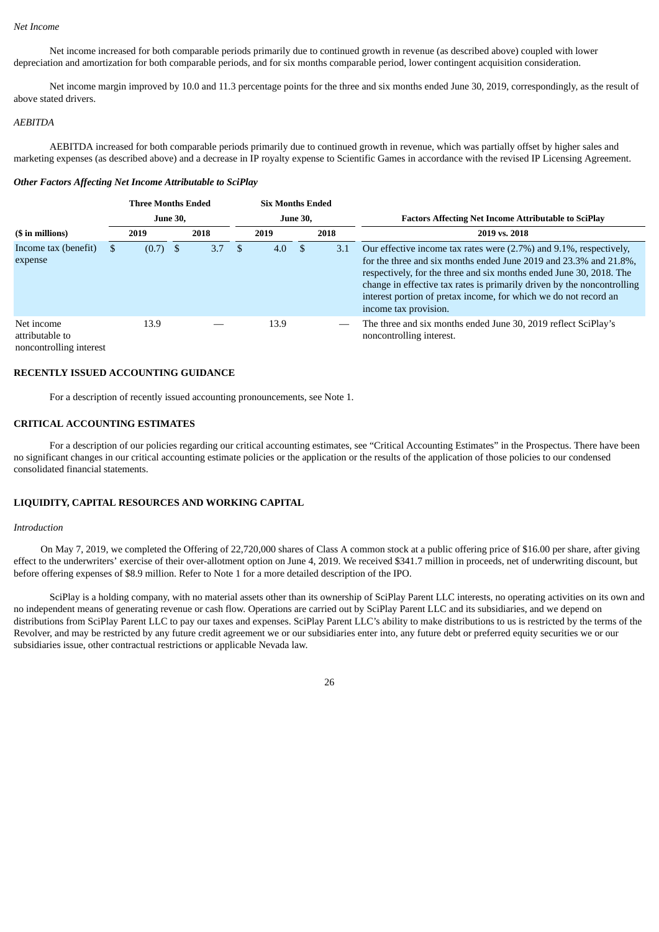#### *Net Income*

Net income increased for both comparable periods primarily due to continued growth in revenue (as described above) coupled with lower depreciation and amortization for both comparable periods, and for six months comparable period, lower contingent acquisition consideration.

Net income margin improved by 10.0 and 11.3 percentage points for the three and six months ended June 30, 2019, correspondingly, as the result of above stated drivers.

#### *AEBITDA*

AEBITDA increased for both comparable periods primarily due to continued growth in revenue, which was partially offset by higher sales and marketing expenses (as described above) and a decrease in IP royalty expense to Scientific Games in accordance with the revised IP Licensing Agreement.

#### *Other Factors Affecting Net Income Attributable to SciPlay*

|                                                          |  | <b>Three Months Ended</b> |  |      |      | <b>Six Months Ended</b> |                 |      |                                                                                                                                                                                                                                                                                                                                                                                        |
|----------------------------------------------------------|--|---------------------------|--|------|------|-------------------------|-----------------|------|----------------------------------------------------------------------------------------------------------------------------------------------------------------------------------------------------------------------------------------------------------------------------------------------------------------------------------------------------------------------------------------|
| <b>June 30,</b>                                          |  |                           |  |      |      |                         | <b>June 30,</b> |      | <b>Factors Affecting Net Income Attributable to SciPlay</b>                                                                                                                                                                                                                                                                                                                            |
| (\$ in millions)                                         |  | 2019                      |  | 2018 |      | 2019                    |                 | 2018 | 2019 vs. 2018                                                                                                                                                                                                                                                                                                                                                                          |
| Income tax (benefit)<br>expense                          |  | (0.7)                     |  | 3.7  | - \$ | 4.0                     | -\$             | 3.1  | Our effective income tax rates were (2.7%) and 9.1%, respectively,<br>for the three and six months ended June 2019 and 23.3% and 21.8%,<br>respectively, for the three and six months ended June 30, 2018. The<br>change in effective tax rates is primarily driven by the noncontrolling<br>interest portion of pretax income, for which we do not record an<br>income tax provision. |
| Net income<br>attributable to<br>noncontrolling interest |  | 13.9                      |  |      |      | 13.9                    |                 |      | The three and six months ended June 30, 2019 reflect SciPlay's<br>noncontrolling interest.                                                                                                                                                                                                                                                                                             |

### **RECENTLY ISSUED ACCOUNTING GUIDANCE**

For a description of recently issued accounting pronouncements, see Note 1.

# **CRITICAL ACCOUNTING ESTIMATES**

For a description of our policies regarding our critical accounting estimates, see "Critical Accounting Estimates" in the Prospectus. There have been no significant changes in our critical accounting estimate policies or the application or the results of the application of those policies to our condensed consolidated financial statements.

### **LIQUIDITY, CAPITAL RESOURCES AND WORKING CAPITAL**

# *Introduction*

 On May 7, 2019, we completed the Offering of 22,720,000 shares of Class A common stock at a public offering price of \$16.00 per share, after giving effect to the underwriters' exercise of their over-allotment option on June 4, 2019. We received \$341.7 million in proceeds, net of underwriting discount, but before offering expenses of \$8.9 million. Refer to Note 1 for a more detailed description of the IPO.

SciPlay is a holding company, with no material assets other than its ownership of SciPlay Parent LLC interests, no operating activities on its own and no independent means of generating revenue or cash flow. Operations are carried out by SciPlay Parent LLC and its subsidiaries, and we depend on distributions from SciPlay Parent LLC to pay our taxes and expenses. SciPlay Parent LLC's ability to make distributions to us is restricted by the terms of the Revolver, and may be restricted by any future credit agreement we or our subsidiaries enter into, any future debt or preferred equity securities we or our subsidiaries issue, other contractual restrictions or applicable Nevada law.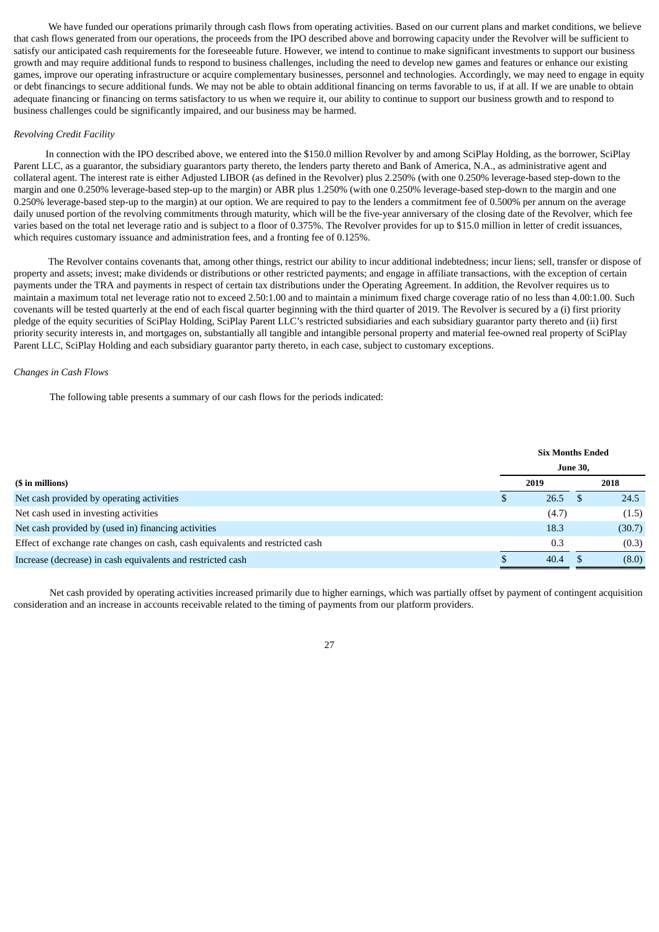We have funded our operations primarily through cash flows from operating activities. Based on our current plans and market conditions, we believe that cash flows generated from our operations, the proceeds from the IPO described above and borrowing capacity under the Revolver will be sufficient to satisfy our anticipated cash requirements for the foreseeable future. However, we intend to continue to make significant investments to support our business growth and may require additional funds to respond to business challenges, including the need to develop new games and features or enhance our existing games, improve our operating infrastructure or acquire complementary businesses, personnel and technologies. Accordingly, we may need to engage in equity or debt financings to secure additional funds. We may not be able to obtain additional financing on terms favorable to us, if at all. If we are unable to obtain adequate financing or financing on terms satisfactory to us when we require it, our ability to continue to support our business growth and to respond to business challenges could be significantly impaired, and our business may be harmed.

#### *Revolving Credit Facility*

 In connection with the IPO described above, we entered into the \$150.0 million Revolver by and among SciPlay Holding, as the borrower, SciPlay Parent LLC, as a guarantor, the subsidiary guarantors party thereto, the lenders party thereto and Bank of America, N.A., as administrative agent and collateral agent. The interest rate is either Adjusted LIBOR (as defined in the Revolver) plus 2.250% (with one 0.250% leverage-based step-down to the margin and one 0.250% leverage-based step-up to the margin) or ABR plus 1.250% (with one 0.250% leverage-based step-down to the margin and one 0.250% leverage-based step-up to the margin) at our option. We are required to pay to the lenders a commitment fee of 0.500% per annum on the average daily unused portion of the revolving commitments through maturity, which will be the five-year anniversary of the closing date of the Revolver, which fee varies based on the total net leverage ratio and is subject to a floor of 0.375%. The Revolver provides for up to \$15.0 million in letter of credit issuances, which requires customary issuance and administration fees, and a fronting fee of 0.125%.

The Revolver contains covenants that, among other things, restrict our ability to incur additional indebtedness; incur liens; sell, transfer or dispose of property and assets; invest; make dividends or distributions or other restricted payments; and engage in affiliate transactions, with the exception of certain payments under the TRA and payments in respect of certain tax distributions under the Operating Agreement. In addition, the Revolver requires us to maintain a maximum total net leverage ratio not to exceed 2.50:1.00 and to maintain a minimum fixed charge coverage ratio of no less than 4.00:1.00. Such covenants will be tested quarterly at the end of each fiscal quarter beginning with the third quarter of 2019. The Revolver is secured by a (i) first priority pledge of the equity securities of SciPlay Holding, SciPlay Parent LLC's restricted subsidiaries and each subsidiary guarantor party thereto and (ii) first priority security interests in, and mortgages on, substantially all tangible and intangible personal property and material fee-owned real property of SciPlay Parent LLC, SciPlay Holding and each subsidiary guarantor party thereto, in each case, subject to customary exceptions.

#### *Changes in Cash Flows*

The following table presents a summary of our cash flows for the periods indicated:

|                                                                               |   | <b>Six Months Ended</b> |                 |        |
|-------------------------------------------------------------------------------|---|-------------------------|-----------------|--------|
|                                                                               |   |                         | <b>June 30,</b> |        |
| (\$ in millions)                                                              |   | 2019                    |                 | 2018   |
| Net cash provided by operating activities                                     | S | 26.5                    |                 | 24.5   |
| Net cash used in investing activities                                         |   | (4.7)                   |                 | (1.5)  |
| Net cash provided by (used in) financing activities                           |   | 18.3                    |                 | (30.7) |
| Effect of exchange rate changes on cash, cash equivalents and restricted cash |   | 0.3                     |                 | (0.3)  |
| Increase (decrease) in cash equivalents and restricted cash                   |   | 40.4                    |                 | (8.0)  |

Net cash provided by operating activities increased primarily due to higher earnings, which was partially offset by payment of contingent acquisition consideration and an increase in accounts receivable related to the timing of payments from our platform providers.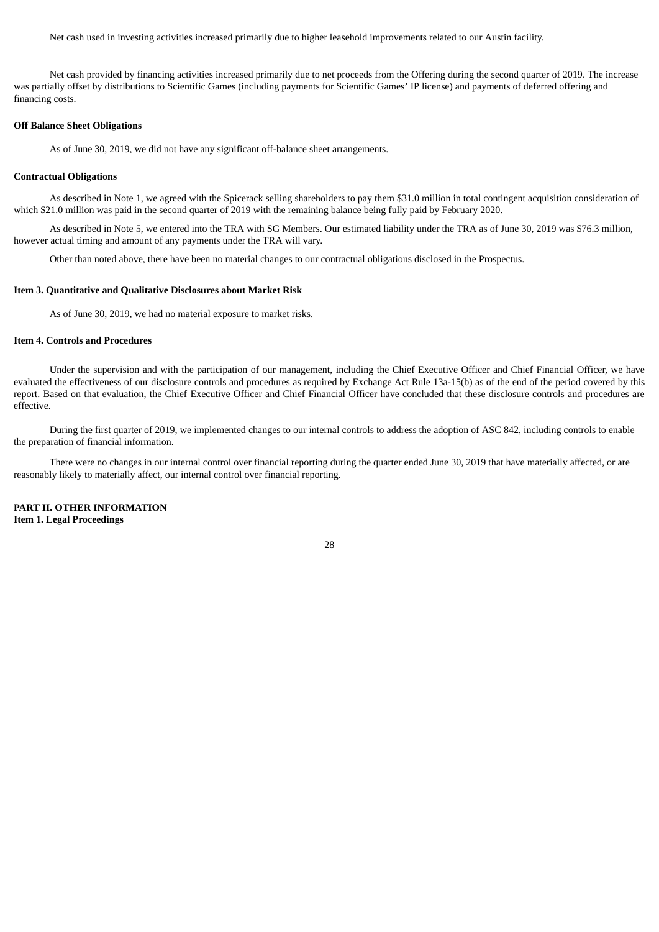Net cash used in investing activities increased primarily due to higher leasehold improvements related to our Austin facility.

Net cash provided by financing activities increased primarily due to net proceeds from the Offering during the second quarter of 2019. The increase was partially offset by distributions to Scientific Games (including payments for Scientific Games' IP license) and payments of deferred offering and financing costs.

### **Off Balance Sheet Obligations**

As of June 30, 2019, we did not have any significant off-balance sheet arrangements.

#### **Contractual Obligations**

As described in Note 1, we agreed with the Spicerack selling shareholders to pay them \$31.0 million in total contingent acquisition consideration of which \$21.0 million was paid in the second quarter of 2019 with the remaining balance being fully paid by February 2020.

As described in Note 5, we entered into the TRA with SG Members. Our estimated liability under the TRA as of June 30, 2019 was \$76.3 million, however actual timing and amount of any payments under the TRA will vary.

Other than noted above, there have been no material changes to our contractual obligations disclosed in the Prospectus.

#### <span id="page-27-0"></span>**Item 3. Quantitative and Qualitative Disclosures about Market Risk**

As of June 30, 2019, we had no material exposure to market risks.

#### <span id="page-27-1"></span>**Item 4. Controls and Procedures**

Under the supervision and with the participation of our management, including the Chief Executive Officer and Chief Financial Officer, we have evaluated the effectiveness of our disclosure controls and procedures as required by Exchange Act Rule 13a-15(b) as of the end of the period covered by this report. Based on that evaluation, the Chief Executive Officer and Chief Financial Officer have concluded that these disclosure controls and procedures are effective.

During the first quarter of 2019, we implemented changes to our internal controls to address the adoption of ASC 842, including controls to enable the preparation of financial information.

There were no changes in our internal control over financial reporting during the quarter ended June 30, 2019 that have materially affected, or are reasonably likely to materially affect, our internal control over financial reporting.

<span id="page-27-3"></span><span id="page-27-2"></span>**PART II. OTHER INFORMATION Item 1. Legal Proceedings**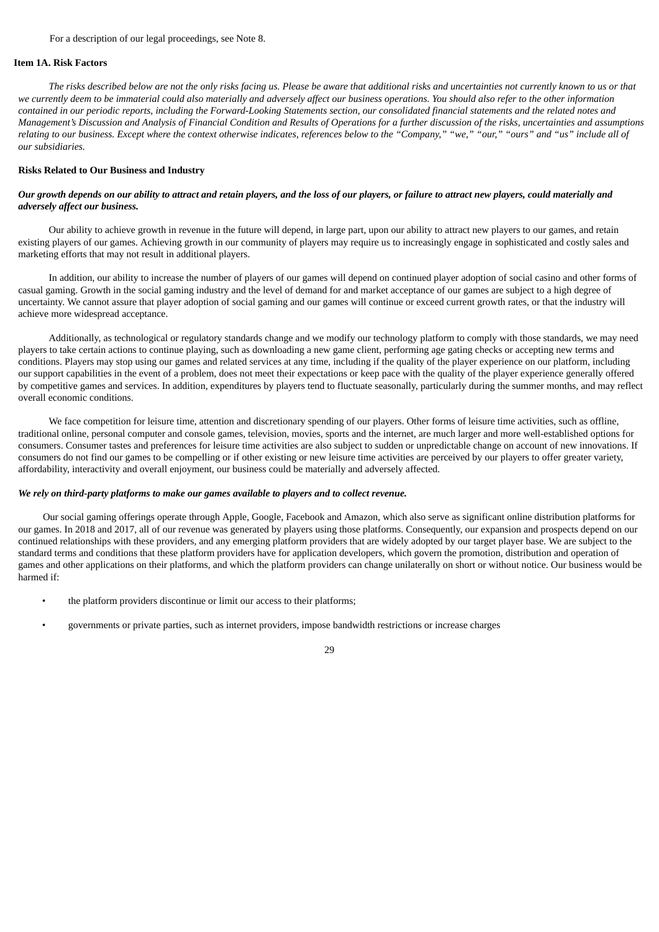For a description of our legal proceedings, see Note 8.

#### <span id="page-28-0"></span>**Item 1A. Risk Factors**

The risks described below are not the only risks facing us. Please be aware that additional risks and uncertainties not currently known to us or that we currently deem to be immaterial could also materially and adversely affect our business operations. You should also refer to the other information contained in our periodic reports, including the Forward-Looking Statements section, our consolidated financial statements and the related notes and Management's Discussion and Analysis of Financial Condition and Results of Operations for a further discussion of the risks, uncertainties and assumptions relating to our business. Except where the context otherwise indicates, references below to the "Company," "we," "our," "ours" and "us" include all of *our subsidiaries.*

#### **Risks Related to Our Business and Industry**

### Our growth depends on our ability to attract and retain players, and the loss of our players, or failure to attract new players, could materially and *adversely affect our business.*

Our ability to achieve growth in revenue in the future will depend, in large part, upon our ability to attract new players to our games, and retain existing players of our games. Achieving growth in our community of players may require us to increasingly engage in sophisticated and costly sales and marketing efforts that may not result in additional players.

In addition, our ability to increase the number of players of our games will depend on continued player adoption of social casino and other forms of casual gaming. Growth in the social gaming industry and the level of demand for and market acceptance of our games are subject to a high degree of uncertainty. We cannot assure that player adoption of social gaming and our games will continue or exceed current growth rates, or that the industry will achieve more widespread acceptance.

Additionally, as technological or regulatory standards change and we modify our technology platform to comply with those standards, we may need players to take certain actions to continue playing, such as downloading a new game client, performing age gating checks or accepting new terms and conditions. Players may stop using our games and related services at any time, including if the quality of the player experience on our platform, including our support capabilities in the event of a problem, does not meet their expectations or keep pace with the quality of the player experience generally offered by competitive games and services. In addition, expenditures by players tend to fluctuate seasonally, particularly during the summer months, and may reflect overall economic conditions.

We face competition for leisure time, attention and discretionary spending of our players. Other forms of leisure time activities, such as offline, traditional online, personal computer and console games, television, movies, sports and the internet, are much larger and more well-established options for consumers. Consumer tastes and preferences for leisure time activities are also subject to sudden or unpredictable change on account of new innovations. If consumers do not find our games to be compelling or if other existing or new leisure time activities are perceived by our players to offer greater variety, affordability, interactivity and overall enjoyment, our business could be materially and adversely affected.

#### *We rely on third-party platforms to make our games available to players and to collect revenue.*

Our social gaming offerings operate through Apple, Google, Facebook and Amazon, which also serve as significant online distribution platforms for our games. In 2018 and 2017, all of our revenue was generated by players using those platforms. Consequently, our expansion and prospects depend on our continued relationships with these providers, and any emerging platform providers that are widely adopted by our target player base. We are subject to the standard terms and conditions that these platform providers have for application developers, which govern the promotion, distribution and operation of games and other applications on their platforms, and which the platform providers can change unilaterally on short or without notice. Our business would be harmed if:

- the platform providers discontinue or limit our access to their platforms;
- governments or private parties, such as internet providers, impose bandwidth restrictions or increase charges

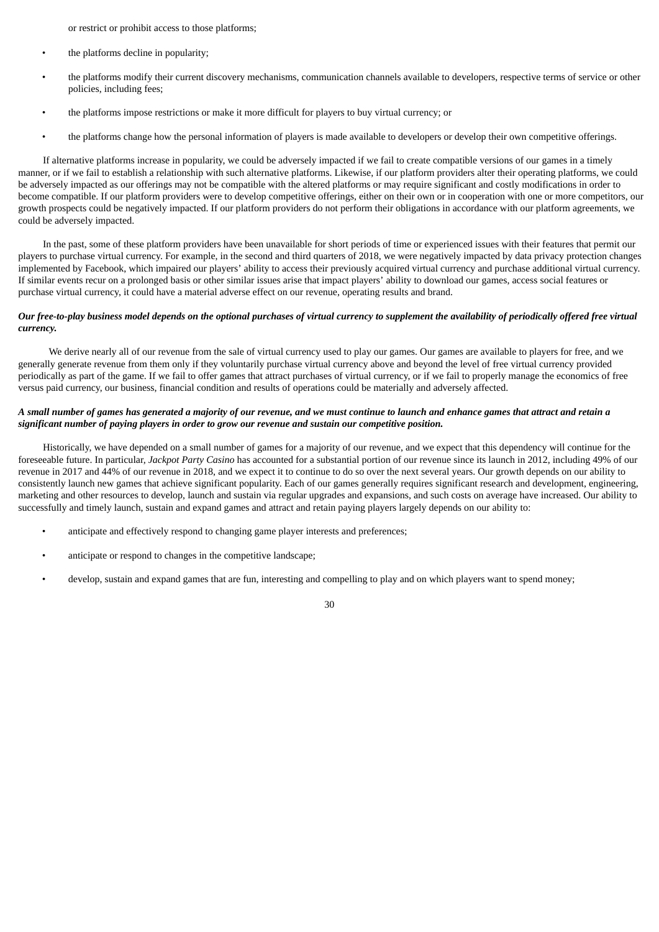or restrict or prohibit access to those platforms;

- the platforms decline in popularity;
- the platforms modify their current discovery mechanisms, communication channels available to developers, respective terms of service or other policies, including fees;
- the platforms impose restrictions or make it more difficult for players to buy virtual currency; or
- the platforms change how the personal information of players is made available to developers or develop their own competitive offerings.

If alternative platforms increase in popularity, we could be adversely impacted if we fail to create compatible versions of our games in a timely manner, or if we fail to establish a relationship with such alternative platforms. Likewise, if our platform providers alter their operating platforms, we could be adversely impacted as our offerings may not be compatible with the altered platforms or may require significant and costly modifications in order to become compatible. If our platform providers were to develop competitive offerings, either on their own or in cooperation with one or more competitors, our growth prospects could be negatively impacted. If our platform providers do not perform their obligations in accordance with our platform agreements, we could be adversely impacted.

In the past, some of these platform providers have been unavailable for short periods of time or experienced issues with their features that permit our players to purchase virtual currency. For example, in the second and third quarters of 2018, we were negatively impacted by data privacy protection changes implemented by Facebook, which impaired our players' ability to access their previously acquired virtual currency and purchase additional virtual currency. If similar events recur on a prolonged basis or other similar issues arise that impact players' ability to download our games, access social features or purchase virtual currency, it could have a material adverse effect on our revenue, operating results and brand.

#### Our free-to-play business model depends on the optional purchases of virtual currency to supplement the availability of periodically offered free virtual *currency.*

We derive nearly all of our revenue from the sale of virtual currency used to play our games. Our games are available to players for free, and we generally generate revenue from them only if they voluntarily purchase virtual currency above and beyond the level of free virtual currency provided periodically as part of the game. If we fail to offer games that attract purchases of virtual currency, or if we fail to properly manage the economics of free versus paid currency, our business, financial condition and results of operations could be materially and adversely affected.

## A small number of games has generated a majority of our revenue, and we must continue to launch and enhance games that attract and retain a *significant number of paying players in order to grow our revenue and sustain our competitive position.*

Historically, we have depended on a small number of games for a majority of our revenue, and we expect that this dependency will continue for the foreseeable future. In particular, *Jackpot Party Casino* has accounted for a substantial portion of our revenue since its launch in 2012, including 49% of our revenue in 2017 and 44% of our revenue in 2018, and we expect it to continue to do so over the next several years. Our growth depends on our ability to consistently launch new games that achieve significant popularity. Each of our games generally requires significant research and development, engineering, marketing and other resources to develop, launch and sustain via regular upgrades and expansions, and such costs on average have increased. Our ability to successfully and timely launch, sustain and expand games and attract and retain paying players largely depends on our ability to:

- anticipate and effectively respond to changing game player interests and preferences;
- anticipate or respond to changes in the competitive landscape;
- develop, sustain and expand games that are fun, interesting and compelling to play and on which players want to spend money;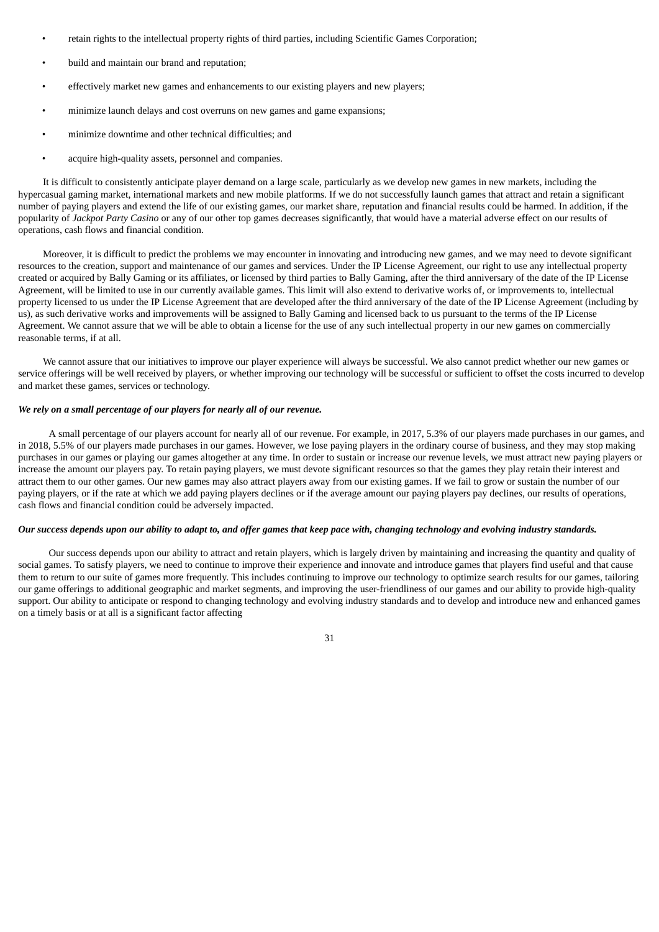- retain rights to the intellectual property rights of third parties, including Scientific Games Corporation;
- build and maintain our brand and reputation;
- effectively market new games and enhancements to our existing players and new players;
- minimize launch delays and cost overruns on new games and game expansions;
- minimize downtime and other technical difficulties; and
- acquire high-quality assets, personnel and companies.

It is difficult to consistently anticipate player demand on a large scale, particularly as we develop new games in new markets, including the hypercasual gaming market, international markets and new mobile platforms. If we do not successfully launch games that attract and retain a significant number of paying players and extend the life of our existing games, our market share, reputation and financial results could be harmed. In addition, if the popularity of *Jackpot Party Casino* or any of our other top games decreases significantly, that would have a material adverse effect on our results of operations, cash flows and financial condition.

Moreover, it is difficult to predict the problems we may encounter in innovating and introducing new games, and we may need to devote significant resources to the creation, support and maintenance of our games and services. Under the IP License Agreement, our right to use any intellectual property created or acquired by Bally Gaming or its affiliates, or licensed by third parties to Bally Gaming, after the third anniversary of the date of the IP License Agreement, will be limited to use in our currently available games. This limit will also extend to derivative works of, or improvements to, intellectual property licensed to us under the IP License Agreement that are developed after the third anniversary of the date of the IP License Agreement (including by us), as such derivative works and improvements will be assigned to Bally Gaming and licensed back to us pursuant to the terms of the IP License Agreement. We cannot assure that we will be able to obtain a license for the use of any such intellectual property in our new games on commercially reasonable terms, if at all.

We cannot assure that our initiatives to improve our player experience will always be successful. We also cannot predict whether our new games or service offerings will be well received by players, or whether improving our technology will be successful or sufficient to offset the costs incurred to develop and market these games, services or technology.

# *We rely on a small percentage of our players for nearly all of our revenue.*

A small percentage of our players account for nearly all of our revenue. For example, in 2017, 5.3% of our players made purchases in our games, and in 2018, 5.5% of our players made purchases in our games. However, we lose paying players in the ordinary course of business, and they may stop making purchases in our games or playing our games altogether at any time. In order to sustain or increase our revenue levels, we must attract new paying players or increase the amount our players pay. To retain paying players, we must devote significant resources so that the games they play retain their interest and attract them to our other games. Our new games may also attract players away from our existing games. If we fail to grow or sustain the number of our paying players, or if the rate at which we add paying players declines or if the average amount our paying players pay declines, our results of operations, cash flows and financial condition could be adversely impacted.

#### Our success depends upon our ability to adapt to, and offer games that keep pace with, changing technology and evolving industry standards.

Our success depends upon our ability to attract and retain players, which is largely driven by maintaining and increasing the quantity and quality of social games. To satisfy players, we need to continue to improve their experience and innovate and introduce games that players find useful and that cause them to return to our suite of games more frequently. This includes continuing to improve our technology to optimize search results for our games, tailoring our game offerings to additional geographic and market segments, and improving the user-friendliness of our games and our ability to provide high-quality support. Our ability to anticipate or respond to changing technology and evolving industry standards and to develop and introduce new and enhanced games on a timely basis or at all is a significant factor affecting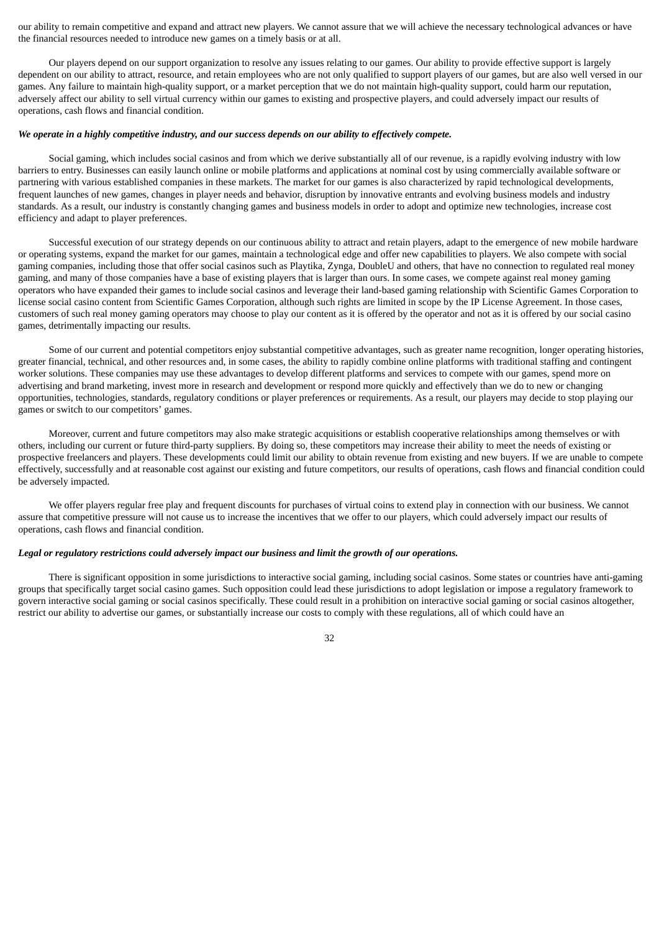our ability to remain competitive and expand and attract new players. We cannot assure that we will achieve the necessary technological advances or have the financial resources needed to introduce new games on a timely basis or at all.

Our players depend on our support organization to resolve any issues relating to our games. Our ability to provide effective support is largely dependent on our ability to attract, resource, and retain employees who are not only qualified to support players of our games, but are also well versed in our games. Any failure to maintain high-quality support, or a market perception that we do not maintain high-quality support, could harm our reputation, adversely affect our ability to sell virtual currency within our games to existing and prospective players, and could adversely impact our results of operations, cash flows and financial condition.

#### We operate in a highly competitive industry, and our success depends on our ability to effectively compete.

Social gaming, which includes social casinos and from which we derive substantially all of our revenue, is a rapidly evolving industry with low barriers to entry. Businesses can easily launch online or mobile platforms and applications at nominal cost by using commercially available software or partnering with various established companies in these markets. The market for our games is also characterized by rapid technological developments, frequent launches of new games, changes in player needs and behavior, disruption by innovative entrants and evolving business models and industry standards. As a result, our industry is constantly changing games and business models in order to adopt and optimize new technologies, increase cost efficiency and adapt to player preferences.

Successful execution of our strategy depends on our continuous ability to attract and retain players, adapt to the emergence of new mobile hardware or operating systems, expand the market for our games, maintain a technological edge and offer new capabilities to players. We also compete with social gaming companies, including those that offer social casinos such as Playtika, Zynga, DoubleU and others, that have no connection to regulated real money gaming, and many of those companies have a base of existing players that is larger than ours. In some cases, we compete against real money gaming operators who have expanded their games to include social casinos and leverage their land-based gaming relationship with Scientific Games Corporation to license social casino content from Scientific Games Corporation, although such rights are limited in scope by the IP License Agreement. In those cases, customers of such real money gaming operators may choose to play our content as it is offered by the operator and not as it is offered by our social casino games, detrimentally impacting our results.

Some of our current and potential competitors enjoy substantial competitive advantages, such as greater name recognition, longer operating histories, greater financial, technical, and other resources and, in some cases, the ability to rapidly combine online platforms with traditional staffing and contingent worker solutions. These companies may use these advantages to develop different platforms and services to compete with our games, spend more on advertising and brand marketing, invest more in research and development or respond more quickly and effectively than we do to new or changing opportunities, technologies, standards, regulatory conditions or player preferences or requirements. As a result, our players may decide to stop playing our games or switch to our competitors' games.

Moreover, current and future competitors may also make strategic acquisitions or establish cooperative relationships among themselves or with others, including our current or future third-party suppliers. By doing so, these competitors may increase their ability to meet the needs of existing or prospective freelancers and players. These developments could limit our ability to obtain revenue from existing and new buyers. If we are unable to compete effectively, successfully and at reasonable cost against our existing and future competitors, our results of operations, cash flows and financial condition could be adversely impacted.

We offer players regular free play and frequent discounts for purchases of virtual coins to extend play in connection with our business. We cannot assure that competitive pressure will not cause us to increase the incentives that we offer to our players, which could adversely impact our results of operations, cash flows and financial condition.

#### *Legal or regulatory restrictions could adversely impact our business and limit the growth of our operations.*

There is significant opposition in some jurisdictions to interactive social gaming, including social casinos. Some states or countries have anti-gaming groups that specifically target social casino games. Such opposition could lead these jurisdictions to adopt legislation or impose a regulatory framework to govern interactive social gaming or social casinos specifically. These could result in a prohibition on interactive social gaming or social casinos altogether, restrict our ability to advertise our games, or substantially increase our costs to comply with these regulations, all of which could have an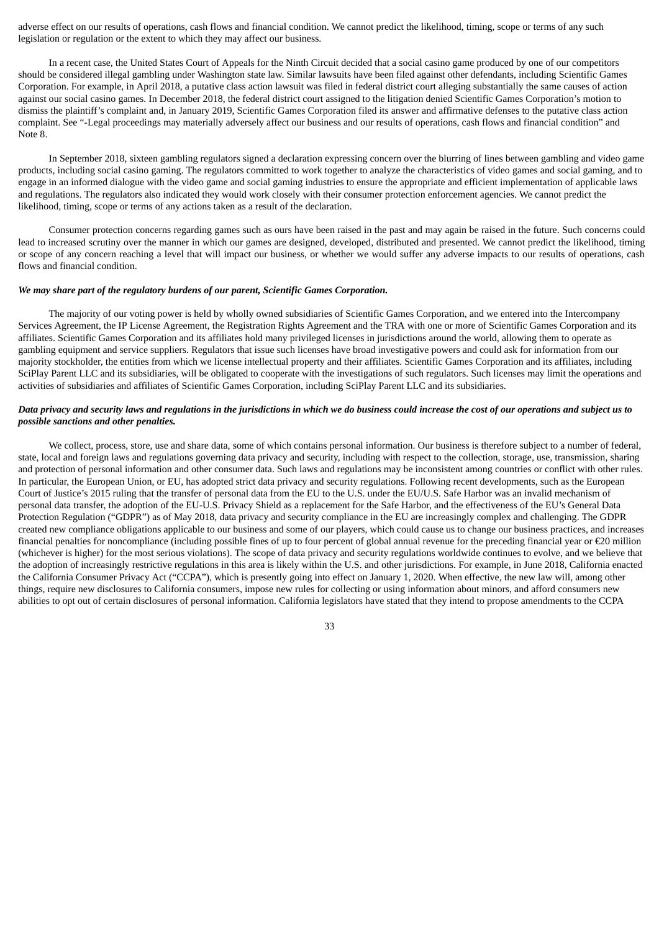adverse effect on our results of operations, cash flows and financial condition. We cannot predict the likelihood, timing, scope or terms of any such legislation or regulation or the extent to which they may affect our business.

In a recent case, the United States Court of Appeals for the Ninth Circuit decided that a social casino game produced by one of our competitors should be considered illegal gambling under Washington state law. Similar lawsuits have been filed against other defendants, including Scientific Games Corporation. For example, in April 2018, a putative class action lawsuit was filed in federal district court alleging substantially the same causes of action against our social casino games. In December 2018, the federal district court assigned to the litigation denied Scientific Games Corporation's motion to dismiss the plaintiff's complaint and, in January 2019, Scientific Games Corporation filed its answer and affirmative defenses to the putative class action complaint. See "-Legal proceedings may materially adversely affect our business and our results of operations, cash flows and financial condition" and Note 8.

In September 2018, sixteen gambling regulators signed a declaration expressing concern over the blurring of lines between gambling and video game products, including social casino gaming. The regulators committed to work together to analyze the characteristics of video games and social gaming, and to engage in an informed dialogue with the video game and social gaming industries to ensure the appropriate and efficient implementation of applicable laws and regulations. The regulators also indicated they would work closely with their consumer protection enforcement agencies. We cannot predict the likelihood, timing, scope or terms of any actions taken as a result of the declaration.

Consumer protection concerns regarding games such as ours have been raised in the past and may again be raised in the future. Such concerns could lead to increased scrutiny over the manner in which our games are designed, developed, distributed and presented. We cannot predict the likelihood, timing or scope of any concern reaching a level that will impact our business, or whether we would suffer any adverse impacts to our results of operations, cash flows and financial condition.

#### *We may share part of the regulatory burdens of our parent, Scientific Games Corporation.*

The majority of our voting power is held by wholly owned subsidiaries of Scientific Games Corporation, and we entered into the Intercompany Services Agreement, the IP License Agreement, the Registration Rights Agreement and the TRA with one or more of Scientific Games Corporation and its affiliates. Scientific Games Corporation and its affiliates hold many privileged licenses in jurisdictions around the world, allowing them to operate as gambling equipment and service suppliers. Regulators that issue such licenses have broad investigative powers and could ask for information from our majority stockholder, the entities from which we license intellectual property and their affiliates. Scientific Games Corporation and its affiliates, including SciPlay Parent LLC and its subsidiaries, will be obligated to cooperate with the investigations of such regulators. Such licenses may limit the operations and activities of subsidiaries and affiliates of Scientific Games Corporation, including SciPlay Parent LLC and its subsidiaries.

# Data privacy and security laws and regulations in the jurisdictions in which we do business could increase the cost of our operations and subject us to *possible sanctions and other penalties.*

We collect, process, store, use and share data, some of which contains personal information. Our business is therefore subject to a number of federal, state, local and foreign laws and regulations governing data privacy and security, including with respect to the collection, storage, use, transmission, sharing and protection of personal information and other consumer data. Such laws and regulations may be inconsistent among countries or conflict with other rules. In particular, the European Union, or EU, has adopted strict data privacy and security regulations. Following recent developments, such as the European Court of Justice's 2015 ruling that the transfer of personal data from the EU to the U.S. under the EU/U.S. Safe Harbor was an invalid mechanism of personal data transfer, the adoption of the EU-U.S. Privacy Shield as a replacement for the Safe Harbor, and the effectiveness of the EU's General Data Protection Regulation ("GDPR") as of May 2018, data privacy and security compliance in the EU are increasingly complex and challenging. The GDPR created new compliance obligations applicable to our business and some of our players, which could cause us to change our business practices, and increases financial penalties for noncompliance (including possible fines of up to four percent of global annual revenue for the preceding financial year or  $\epsilon$ 20 million (whichever is higher) for the most serious violations). The scope of data privacy and security regulations worldwide continues to evolve, and we believe that the adoption of increasingly restrictive regulations in this area is likely within the U.S. and other jurisdictions. For example, in June 2018, California enacted the California Consumer Privacy Act ("CCPA"), which is presently going into effect on January 1, 2020. When effective, the new law will, among other things, require new disclosures to California consumers, impose new rules for collecting or using information about minors, and afford consumers new abilities to opt out of certain disclosures of personal information. California legislators have stated that they intend to propose amendments to the CCPA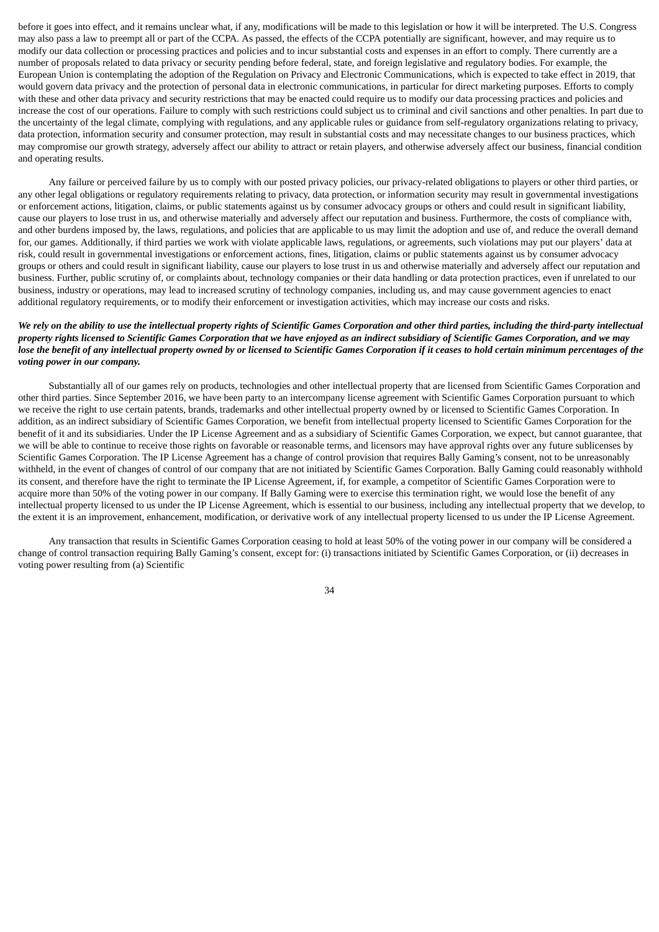before it goes into effect, and it remains unclear what, if any, modifications will be made to this legislation or how it will be interpreted. The U.S. Congress may also pass a law to preempt all or part of the CCPA. As passed, the effects of the CCPA potentially are significant, however, and may require us to modify our data collection or processing practices and policies and to incur substantial costs and expenses in an effort to comply. There currently are a number of proposals related to data privacy or security pending before federal, state, and foreign legislative and regulatory bodies. For example, the European Union is contemplating the adoption of the Regulation on Privacy and Electronic Communications, which is expected to take effect in 2019, that would govern data privacy and the protection of personal data in electronic communications, in particular for direct marketing purposes. Efforts to comply with these and other data privacy and security restrictions that may be enacted could require us to modify our data processing practices and policies and increase the cost of our operations. Failure to comply with such restrictions could subject us to criminal and civil sanctions and other penalties. In part due to the uncertainty of the legal climate, complying with regulations, and any applicable rules or guidance from self-regulatory organizations relating to privacy, data protection, information security and consumer protection, may result in substantial costs and may necessitate changes to our business practices, which may compromise our growth strategy, adversely affect our ability to attract or retain players, and otherwise adversely affect our business, financial condition and operating results.

Any failure or perceived failure by us to comply with our posted privacy policies, our privacy-related obligations to players or other third parties, or any other legal obligations or regulatory requirements relating to privacy, data protection, or information security may result in governmental investigations or enforcement actions, litigation, claims, or public statements against us by consumer advocacy groups or others and could result in significant liability, cause our players to lose trust in us, and otherwise materially and adversely affect our reputation and business. Furthermore, the costs of compliance with, and other burdens imposed by, the laws, regulations, and policies that are applicable to us may limit the adoption and use of, and reduce the overall demand for, our games. Additionally, if third parties we work with violate applicable laws, regulations, or agreements, such violations may put our players' data at risk, could result in governmental investigations or enforcement actions, fines, litigation, claims or public statements against us by consumer advocacy groups or others and could result in significant liability, cause our players to lose trust in us and otherwise materially and adversely affect our reputation and business. Further, public scrutiny of, or complaints about, technology companies or their data handling or data protection practices, even if unrelated to our business, industry or operations, may lead to increased scrutiny of technology companies, including us, and may cause government agencies to enact additional regulatory requirements, or to modify their enforcement or investigation activities, which may increase our costs and risks.

# We rely on the ability to use the intellectual property rights of Scientific Games Corporation and other third parties, including the third-party intellectual property rights licensed to Scientific Games Corporation that we have enjoyed as an indirect subsidiary of Scientific Games Corporation, and we may lose the benefit of any intellectual property owned by or licensed to Scientific Games Corporation if it ceases to hold certain minimum percentages of the *voting power in our company.*

Substantially all of our games rely on products, technologies and other intellectual property that are licensed from Scientific Games Corporation and other third parties. Since September 2016, we have been party to an intercompany license agreement with Scientific Games Corporation pursuant to which we receive the right to use certain patents, brands, trademarks and other intellectual property owned by or licensed to Scientific Games Corporation. In addition, as an indirect subsidiary of Scientific Games Corporation, we benefit from intellectual property licensed to Scientific Games Corporation for the benefit of it and its subsidiaries. Under the IP License Agreement and as a subsidiary of Scientific Games Corporation, we expect, but cannot guarantee, that we will be able to continue to receive those rights on favorable or reasonable terms, and licensors may have approval rights over any future sublicenses by Scientific Games Corporation. The IP License Agreement has a change of control provision that requires Bally Gaming's consent, not to be unreasonably withheld, in the event of changes of control of our company that are not initiated by Scientific Games Corporation. Bally Gaming could reasonably withhold its consent, and therefore have the right to terminate the IP License Agreement, if, for example, a competitor of Scientific Games Corporation were to acquire more than 50% of the voting power in our company. If Bally Gaming were to exercise this termination right, we would lose the benefit of any intellectual property licensed to us under the IP License Agreement, which is essential to our business, including any intellectual property that we develop, to the extent it is an improvement, enhancement, modification, or derivative work of any intellectual property licensed to us under the IP License Agreement.

Any transaction that results in Scientific Games Corporation ceasing to hold at least 50% of the voting power in our company will be considered a change of control transaction requiring Bally Gaming's consent, except for: (i) transactions initiated by Scientific Games Corporation, or (ii) decreases in voting power resulting from (a) Scientific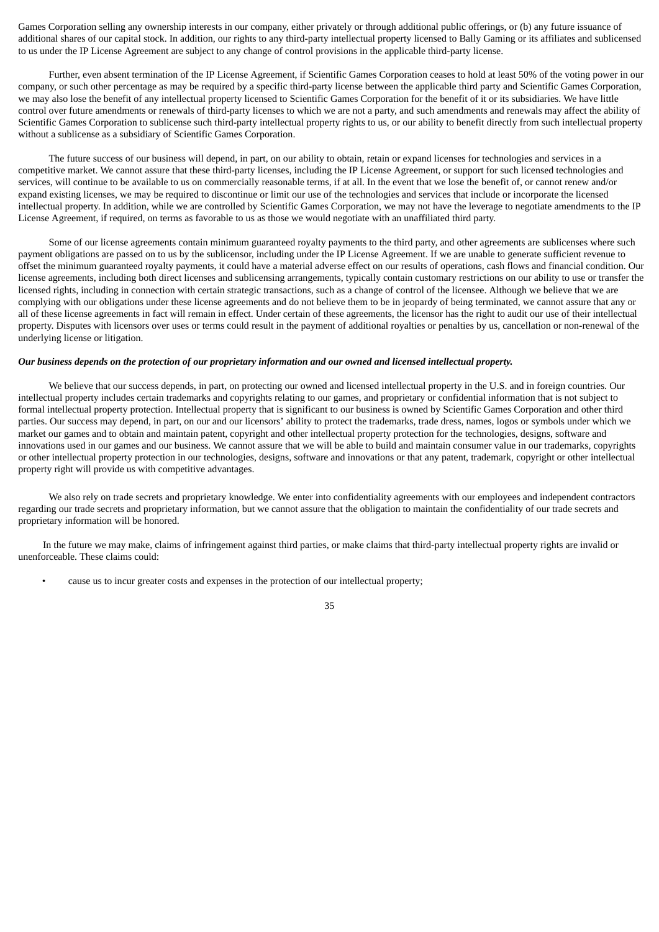Games Corporation selling any ownership interests in our company, either privately or through additional public offerings, or (b) any future issuance of additional shares of our capital stock. In addition, our rights to any third-party intellectual property licensed to Bally Gaming or its affiliates and sublicensed to us under the IP License Agreement are subject to any change of control provisions in the applicable third-party license.

Further, even absent termination of the IP License Agreement, if Scientific Games Corporation ceases to hold at least 50% of the voting power in our company, or such other percentage as may be required by a specific third-party license between the applicable third party and Scientific Games Corporation, we may also lose the benefit of any intellectual property licensed to Scientific Games Corporation for the benefit of it or its subsidiaries. We have little control over future amendments or renewals of third-party licenses to which we are not a party, and such amendments and renewals may affect the ability of Scientific Games Corporation to sublicense such third-party intellectual property rights to us, or our ability to benefit directly from such intellectual property without a sublicense as a subsidiary of Scientific Games Corporation.

The future success of our business will depend, in part, on our ability to obtain, retain or expand licenses for technologies and services in a competitive market. We cannot assure that these third-party licenses, including the IP License Agreement, or support for such licensed technologies and services, will continue to be available to us on commercially reasonable terms, if at all. In the event that we lose the benefit of, or cannot renew and/or expand existing licenses, we may be required to discontinue or limit our use of the technologies and services that include or incorporate the licensed intellectual property. In addition, while we are controlled by Scientific Games Corporation, we may not have the leverage to negotiate amendments to the IP License Agreement, if required, on terms as favorable to us as those we would negotiate with an unaffiliated third party.

Some of our license agreements contain minimum guaranteed royalty payments to the third party, and other agreements are sublicenses where such payment obligations are passed on to us by the sublicensor, including under the IP License Agreement. If we are unable to generate sufficient revenue to offset the minimum guaranteed royalty payments, it could have a material adverse effect on our results of operations, cash flows and financial condition. Our license agreements, including both direct licenses and sublicensing arrangements, typically contain customary restrictions on our ability to use or transfer the licensed rights, including in connection with certain strategic transactions, such as a change of control of the licensee. Although we believe that we are complying with our obligations under these license agreements and do not believe them to be in jeopardy of being terminated, we cannot assure that any or all of these license agreements in fact will remain in effect. Under certain of these agreements, the licensor has the right to audit our use of their intellectual property. Disputes with licensors over uses or terms could result in the payment of additional royalties or penalties by us, cancellation or non-renewal of the underlying license or litigation.

#### Our business depends on the protection of our proprietary information and our owned and licensed intellectual property.

We believe that our success depends, in part, on protecting our owned and licensed intellectual property in the U.S. and in foreign countries. Our intellectual property includes certain trademarks and copyrights relating to our games, and proprietary or confidential information that is not subject to formal intellectual property protection. Intellectual property that is significant to our business is owned by Scientific Games Corporation and other third parties. Our success may depend, in part, on our and our licensors' ability to protect the trademarks, trade dress, names, logos or symbols under which we market our games and to obtain and maintain patent, copyright and other intellectual property protection for the technologies, designs, software and innovations used in our games and our business. We cannot assure that we will be able to build and maintain consumer value in our trademarks, copyrights or other intellectual property protection in our technologies, designs, software and innovations or that any patent, trademark, copyright or other intellectual property right will provide us with competitive advantages.

We also rely on trade secrets and proprietary knowledge. We enter into confidentiality agreements with our employees and independent contractors regarding our trade secrets and proprietary information, but we cannot assure that the obligation to maintain the confidentiality of our trade secrets and proprietary information will be honored.

In the future we may make, claims of infringement against third parties, or make claims that third-party intellectual property rights are invalid or unenforceable. These claims could:

• cause us to incur greater costs and expenses in the protection of our intellectual property;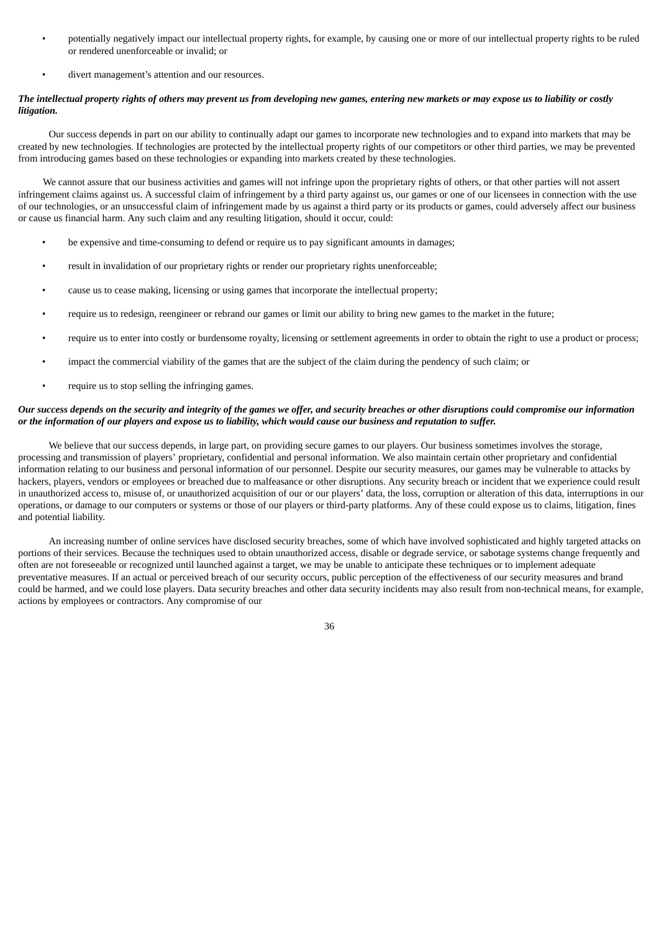- potentially negatively impact our intellectual property rights, for example, by causing one or more of our intellectual property rights to be ruled or rendered unenforceable or invalid; or
- divert management's attention and our resources.

## The intellectual property rights of others may prevent us from developing new games, entering new markets or may expose us to liability or costly *litigation.*

Our success depends in part on our ability to continually adapt our games to incorporate new technologies and to expand into markets that may be created by new technologies. If technologies are protected by the intellectual property rights of our competitors or other third parties, we may be prevented from introducing games based on these technologies or expanding into markets created by these technologies.

We cannot assure that our business activities and games will not infringe upon the proprietary rights of others, or that other parties will not assert infringement claims against us. A successful claim of infringement by a third party against us, our games or one of our licensees in connection with the use of our technologies, or an unsuccessful claim of infringement made by us against a third party or its products or games, could adversely affect our business or cause us financial harm. Any such claim and any resulting litigation, should it occur, could:

- be expensive and time-consuming to defend or require us to pay significant amounts in damages;
- result in invalidation of our proprietary rights or render our proprietary rights unenforceable;
- cause us to cease making, licensing or using games that incorporate the intellectual property;
- require us to redesign, reengineer or rebrand our games or limit our ability to bring new games to the market in the future;
- require us to enter into costly or burdensome royalty, licensing or settlement agreements in order to obtain the right to use a product or process;
- impact the commercial viability of the games that are the subject of the claim during the pendency of such claim; or
- require us to stop selling the infringing games.

### Our success depends on the security and integrity of the games we offer, and security breaches or other disruptions could compromise our information or the information of our players and expose us to liability, which would cause our business and reputation to suffer.

We believe that our success depends, in large part, on providing secure games to our players. Our business sometimes involves the storage, processing and transmission of players' proprietary, confidential and personal information. We also maintain certain other proprietary and confidential information relating to our business and personal information of our personnel. Despite our security measures, our games may be vulnerable to attacks by hackers, players, vendors or employees or breached due to malfeasance or other disruptions. Any security breach or incident that we experience could result in unauthorized access to, misuse of, or unauthorized acquisition of our or our players' data, the loss, corruption or alteration of this data, interruptions in our operations, or damage to our computers or systems or those of our players or third-party platforms. Any of these could expose us to claims, litigation, fines and potential liability.

An increasing number of online services have disclosed security breaches, some of which have involved sophisticated and highly targeted attacks on portions of their services. Because the techniques used to obtain unauthorized access, disable or degrade service, or sabotage systems change frequently and often are not foreseeable or recognized until launched against a target, we may be unable to anticipate these techniques or to implement adequate preventative measures. If an actual or perceived breach of our security occurs, public perception of the effectiveness of our security measures and brand could be harmed, and we could lose players. Data security breaches and other data security incidents may also result from non-technical means, for example, actions by employees or contractors. Any compromise of our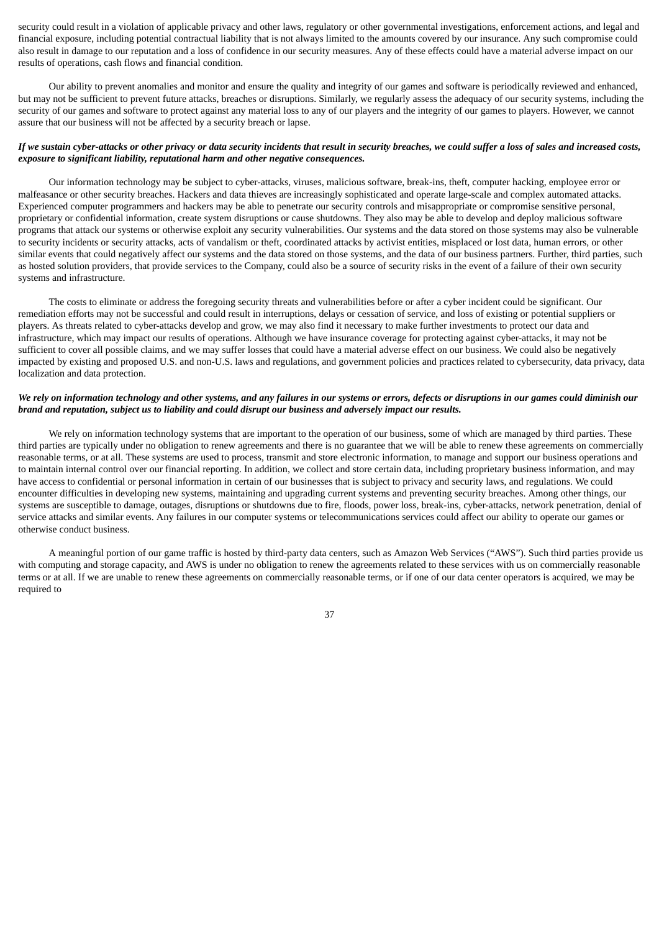security could result in a violation of applicable privacy and other laws, regulatory or other governmental investigations, enforcement actions, and legal and financial exposure, including potential contractual liability that is not always limited to the amounts covered by our insurance. Any such compromise could also result in damage to our reputation and a loss of confidence in our security measures. Any of these effects could have a material adverse impact on our results of operations, cash flows and financial condition.

Our ability to prevent anomalies and monitor and ensure the quality and integrity of our games and software is periodically reviewed and enhanced, but may not be sufficient to prevent future attacks, breaches or disruptions. Similarly, we regularly assess the adequacy of our security systems, including the security of our games and software to protect against any material loss to any of our players and the integrity of our games to players. However, we cannot assure that our business will not be affected by a security breach or lapse.

# If we sustain cyber-attacks or other privacy or data security incidents that result in security breaches, we could suffer a loss of sales and increased costs. *exposure to significant liability, reputational harm and other negative consequences.*

Our information technology may be subject to cyber-attacks, viruses, malicious software, break-ins, theft, computer hacking, employee error or malfeasance or other security breaches. Hackers and data thieves are increasingly sophisticated and operate large-scale and complex automated attacks. Experienced computer programmers and hackers may be able to penetrate our security controls and misappropriate or compromise sensitive personal, proprietary or confidential information, create system disruptions or cause shutdowns. They also may be able to develop and deploy malicious software programs that attack our systems or otherwise exploit any security vulnerabilities. Our systems and the data stored on those systems may also be vulnerable to security incidents or security attacks, acts of vandalism or theft, coordinated attacks by activist entities, misplaced or lost data, human errors, or other similar events that could negatively affect our systems and the data stored on those systems, and the data of our business partners. Further, third parties, such as hosted solution providers, that provide services to the Company, could also be a source of security risks in the event of a failure of their own security systems and infrastructure.

The costs to eliminate or address the foregoing security threats and vulnerabilities before or after a cyber incident could be significant. Our remediation efforts may not be successful and could result in interruptions, delays or cessation of service, and loss of existing or potential suppliers or players. As threats related to cyber-attacks develop and grow, we may also find it necessary to make further investments to protect our data and infrastructure, which may impact our results of operations. Although we have insurance coverage for protecting against cyber-attacks, it may not be sufficient to cover all possible claims, and we may suffer losses that could have a material adverse effect on our business. We could also be negatively impacted by existing and proposed U.S. and non-U.S. laws and regulations, and government policies and practices related to cybersecurity, data privacy, data localization and data protection.

# We rely on information technology and other systems, and any failures in our systems or errors, defects or disruptions in our games could diminish our brand and reputation, subject us to liability and could disrupt our business and adversely impact our results.

We rely on information technology systems that are important to the operation of our business, some of which are managed by third parties. These third parties are typically under no obligation to renew agreements and there is no guarantee that we will be able to renew these agreements on commercially reasonable terms, or at all. These systems are used to process, transmit and store electronic information, to manage and support our business operations and to maintain internal control over our financial reporting. In addition, we collect and store certain data, including proprietary business information, and may have access to confidential or personal information in certain of our businesses that is subject to privacy and security laws, and regulations. We could encounter difficulties in developing new systems, maintaining and upgrading current systems and preventing security breaches. Among other things, our systems are susceptible to damage, outages, disruptions or shutdowns due to fire, floods, power loss, break-ins, cyber-attacks, network penetration, denial of service attacks and similar events. Any failures in our computer systems or telecommunications services could affect our ability to operate our games or otherwise conduct business.

A meaningful portion of our game traffic is hosted by third-party data centers, such as Amazon Web Services ("AWS"). Such third parties provide us with computing and storage capacity, and AWS is under no obligation to renew the agreements related to these services with us on commercially reasonable terms or at all. If we are unable to renew these agreements on commercially reasonable terms, or if one of our data center operators is acquired, we may be required to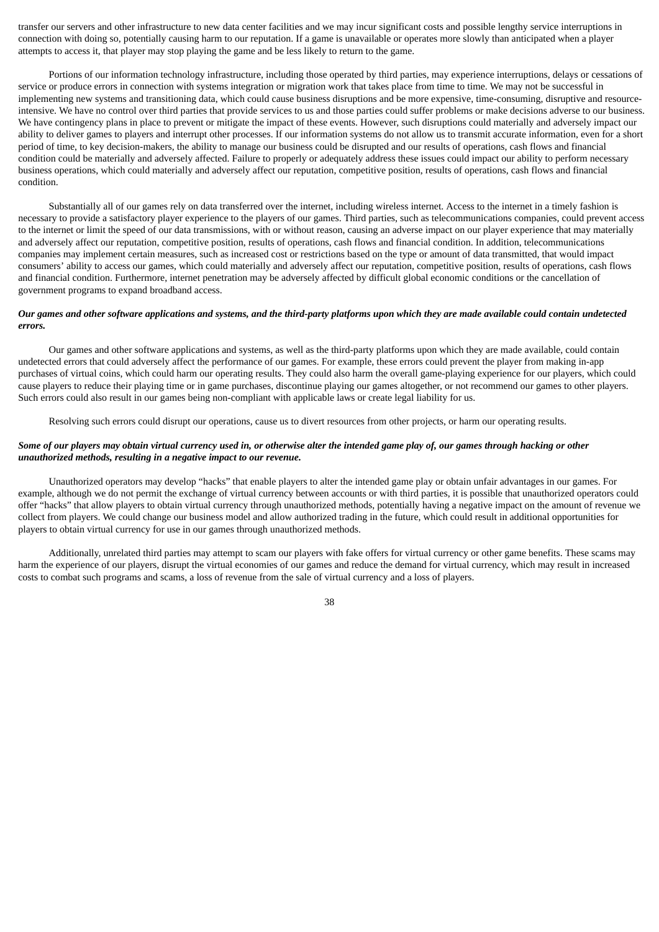transfer our servers and other infrastructure to new data center facilities and we may incur significant costs and possible lengthy service interruptions in connection with doing so, potentially causing harm to our reputation. If a game is unavailable or operates more slowly than anticipated when a player attempts to access it, that player may stop playing the game and be less likely to return to the game.

Portions of our information technology infrastructure, including those operated by third parties, may experience interruptions, delays or cessations of service or produce errors in connection with systems integration or migration work that takes place from time to time. We may not be successful in implementing new systems and transitioning data, which could cause business disruptions and be more expensive, time-consuming, disruptive and resourceintensive. We have no control over third parties that provide services to us and those parties could suffer problems or make decisions adverse to our business. We have contingency plans in place to prevent or mitigate the impact of these events. However, such disruptions could materially and adversely impact our ability to deliver games to players and interrupt other processes. If our information systems do not allow us to transmit accurate information, even for a short period of time, to key decision-makers, the ability to manage our business could be disrupted and our results of operations, cash flows and financial condition could be materially and adversely affected. Failure to properly or adequately address these issues could impact our ability to perform necessary business operations, which could materially and adversely affect our reputation, competitive position, results of operations, cash flows and financial condition.

Substantially all of our games rely on data transferred over the internet, including wireless internet. Access to the internet in a timely fashion is necessary to provide a satisfactory player experience to the players of our games. Third parties, such as telecommunications companies, could prevent access to the internet or limit the speed of our data transmissions, with or without reason, causing an adverse impact on our player experience that may materially and adversely affect our reputation, competitive position, results of operations, cash flows and financial condition. In addition, telecommunications companies may implement certain measures, such as increased cost or restrictions based on the type or amount of data transmitted, that would impact consumers' ability to access our games, which could materially and adversely affect our reputation, competitive position, results of operations, cash flows and financial condition. Furthermore, internet penetration may be adversely affected by difficult global economic conditions or the cancellation of government programs to expand broadband access.

# Our games and other software applications and systems, and the third-party platforms upon which they are made available could contain undetected *errors.*

Our games and other software applications and systems, as well as the third-party platforms upon which they are made available, could contain undetected errors that could adversely affect the performance of our games. For example, these errors could prevent the player from making in-app purchases of virtual coins, which could harm our operating results. They could also harm the overall game-playing experience for our players, which could cause players to reduce their playing time or in game purchases, discontinue playing our games altogether, or not recommend our games to other players. Such errors could also result in our games being non-compliant with applicable laws or create legal liability for us.

Resolving such errors could disrupt our operations, cause us to divert resources from other projects, or harm our operating results.

# Some of our players may obtain virtual currency used in, or otherwise alter the intended game play of, our games through hacking or other *unauthorized methods, resulting in a negative impact to our revenue.*

Unauthorized operators may develop "hacks" that enable players to alter the intended game play or obtain unfair advantages in our games. For example, although we do not permit the exchange of virtual currency between accounts or with third parties, it is possible that unauthorized operators could offer "hacks" that allow players to obtain virtual currency through unauthorized methods, potentially having a negative impact on the amount of revenue we collect from players. We could change our business model and allow authorized trading in the future, which could result in additional opportunities for players to obtain virtual currency for use in our games through unauthorized methods.

Additionally, unrelated third parties may attempt to scam our players with fake offers for virtual currency or other game benefits. These scams may harm the experience of our players, disrupt the virtual economies of our games and reduce the demand for virtual currency, which may result in increased costs to combat such programs and scams, a loss of revenue from the sale of virtual currency and a loss of players.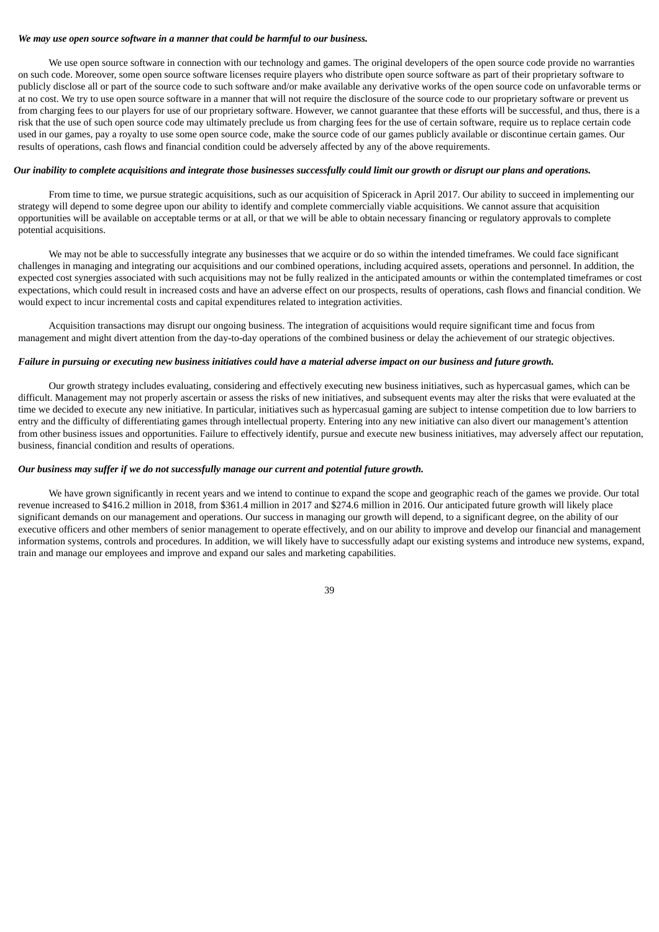#### *We may use open source software in a manner that could be harmful to our business.*

We use open source software in connection with our technology and games. The original developers of the open source code provide no warranties on such code. Moreover, some open source software licenses require players who distribute open source software as part of their proprietary software to publicly disclose all or part of the source code to such software and/or make available any derivative works of the open source code on unfavorable terms or at no cost. We try to use open source software in a manner that will not require the disclosure of the source code to our proprietary software or prevent us from charging fees to our players for use of our proprietary software. However, we cannot guarantee that these efforts will be successful, and thus, there is a risk that the use of such open source code may ultimately preclude us from charging fees for the use of certain software, require us to replace certain code used in our games, pay a royalty to use some open source code, make the source code of our games publicly available or discontinue certain games. Our results of operations, cash flows and financial condition could be adversely affected by any of the above requirements.

### Our inability to complete acquisitions and integrate those businesses successfully could limit our growth or disrupt our plans and operations.

From time to time, we pursue strategic acquisitions, such as our acquisition of Spicerack in April 2017. Our ability to succeed in implementing our strategy will depend to some degree upon our ability to identify and complete commercially viable acquisitions. We cannot assure that acquisition opportunities will be available on acceptable terms or at all, or that we will be able to obtain necessary financing or regulatory approvals to complete potential acquisitions.

We may not be able to successfully integrate any businesses that we acquire or do so within the intended timeframes. We could face significant challenges in managing and integrating our acquisitions and our combined operations, including acquired assets, operations and personnel. In addition, the expected cost synergies associated with such acquisitions may not be fully realized in the anticipated amounts or within the contemplated timeframes or cost expectations, which could result in increased costs and have an adverse effect on our prospects, results of operations, cash flows and financial condition. We would expect to incur incremental costs and capital expenditures related to integration activities.

Acquisition transactions may disrupt our ongoing business. The integration of acquisitions would require significant time and focus from management and might divert attention from the day-to-day operations of the combined business or delay the achievement of our strategic objectives.

## Failure in pursuing or executing new business initiatives could have a material adverse impact on our business and future growth.

Our growth strategy includes evaluating, considering and effectively executing new business initiatives, such as hypercasual games, which can be difficult. Management may not properly ascertain or assess the risks of new initiatives, and subsequent events may alter the risks that were evaluated at the time we decided to execute any new initiative. In particular, initiatives such as hypercasual gaming are subject to intense competition due to low barriers to entry and the difficulty of differentiating games through intellectual property. Entering into any new initiative can also divert our management's attention from other business issues and opportunities. Failure to effectively identify, pursue and execute new business initiatives, may adversely affect our reputation, business, financial condition and results of operations.

### *Our business may suffer if we do not successfully manage our current and potential future growth.*

We have grown significantly in recent years and we intend to continue to expand the scope and geographic reach of the games we provide. Our total revenue increased to \$416.2 million in 2018, from \$361.4 million in 2017 and \$274.6 million in 2016. Our anticipated future growth will likely place significant demands on our management and operations. Our success in managing our growth will depend, to a significant degree, on the ability of our executive officers and other members of senior management to operate effectively, and on our ability to improve and develop our financial and management information systems, controls and procedures. In addition, we will likely have to successfully adapt our existing systems and introduce new systems, expand, train and manage our employees and improve and expand our sales and marketing capabilities.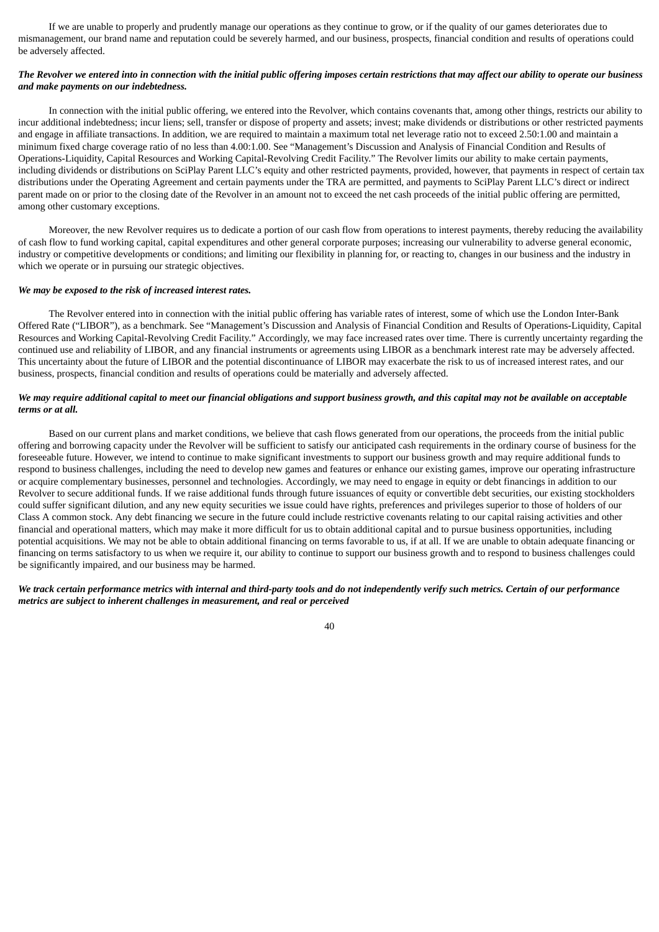If we are unable to properly and prudently manage our operations as they continue to grow, or if the quality of our games deteriorates due to mismanagement, our brand name and reputation could be severely harmed, and our business, prospects, financial condition and results of operations could be adversely affected.

# The Revolver we entered into in connection with the initial public offering imposes certain restrictions that may affect our ability to operate our business *and make payments on our indebtedness.*

In connection with the initial public offering, we entered into the Revolver, which contains covenants that, among other things, restricts our ability to incur additional indebtedness; incur liens; sell, transfer or dispose of property and assets; invest; make dividends or distributions or other restricted payments and engage in affiliate transactions. In addition, we are required to maintain a maximum total net leverage ratio not to exceed 2.50:1.00 and maintain a minimum fixed charge coverage ratio of no less than 4.00:1.00. See "Management's Discussion and Analysis of Financial Condition and Results of Operations-Liquidity, Capital Resources and Working Capital-Revolving Credit Facility." The Revolver limits our ability to make certain payments, including dividends or distributions on SciPlay Parent LLC's equity and other restricted payments, provided, however, that payments in respect of certain tax distributions under the Operating Agreement and certain payments under the TRA are permitted, and payments to SciPlay Parent LLC's direct or indirect parent made on or prior to the closing date of the Revolver in an amount not to exceed the net cash proceeds of the initial public offering are permitted, among other customary exceptions.

Moreover, the new Revolver requires us to dedicate a portion of our cash flow from operations to interest payments, thereby reducing the availability of cash flow to fund working capital, capital expenditures and other general corporate purposes; increasing our vulnerability to adverse general economic, industry or competitive developments or conditions; and limiting our flexibility in planning for, or reacting to, changes in our business and the industry in which we operate or in pursuing our strategic objectives.

#### *We may be exposed to the risk of increased interest rates.*

The Revolver entered into in connection with the initial public offering has variable rates of interest, some of which use the London Inter-Bank Offered Rate ("LIBOR"), as a benchmark. See "Management's Discussion and Analysis of Financial Condition and Results of Operations-Liquidity, Capital Resources and Working Capital-Revolving Credit Facility." Accordingly, we may face increased rates over time. There is currently uncertainty regarding the continued use and reliability of LIBOR, and any financial instruments or agreements using LIBOR as a benchmark interest rate may be adversely affected. This uncertainty about the future of LIBOR and the potential discontinuance of LIBOR may exacerbate the risk to us of increased interest rates, and our business, prospects, financial condition and results of operations could be materially and adversely affected.

# We may require additional capital to meet our financial obligations and support business growth, and this capital may not be available on acceptable *terms or at all.*

Based on our current plans and market conditions, we believe that cash flows generated from our operations, the proceeds from the initial public offering and borrowing capacity under the Revolver will be sufficient to satisfy our anticipated cash requirements in the ordinary course of business for the foreseeable future. However, we intend to continue to make significant investments to support our business growth and may require additional funds to respond to business challenges, including the need to develop new games and features or enhance our existing games, improve our operating infrastructure or acquire complementary businesses, personnel and technologies. Accordingly, we may need to engage in equity or debt financings in addition to our Revolver to secure additional funds. If we raise additional funds through future issuances of equity or convertible debt securities, our existing stockholders could suffer significant dilution, and any new equity securities we issue could have rights, preferences and privileges superior to those of holders of our Class A common stock. Any debt financing we secure in the future could include restrictive covenants relating to our capital raising activities and other financial and operational matters, which may make it more difficult for us to obtain additional capital and to pursue business opportunities, including potential acquisitions. We may not be able to obtain additional financing on terms favorable to us, if at all. If we are unable to obtain adequate financing or financing on terms satisfactory to us when we require it, our ability to continue to support our business growth and to respond to business challenges could be significantly impaired, and our business may be harmed.

### We track certain performance metrics with internal and third-party tools and do not independently verify such metrics. Certain of our performance *metrics are subject to inherent challenges in measurement, and real or perceived*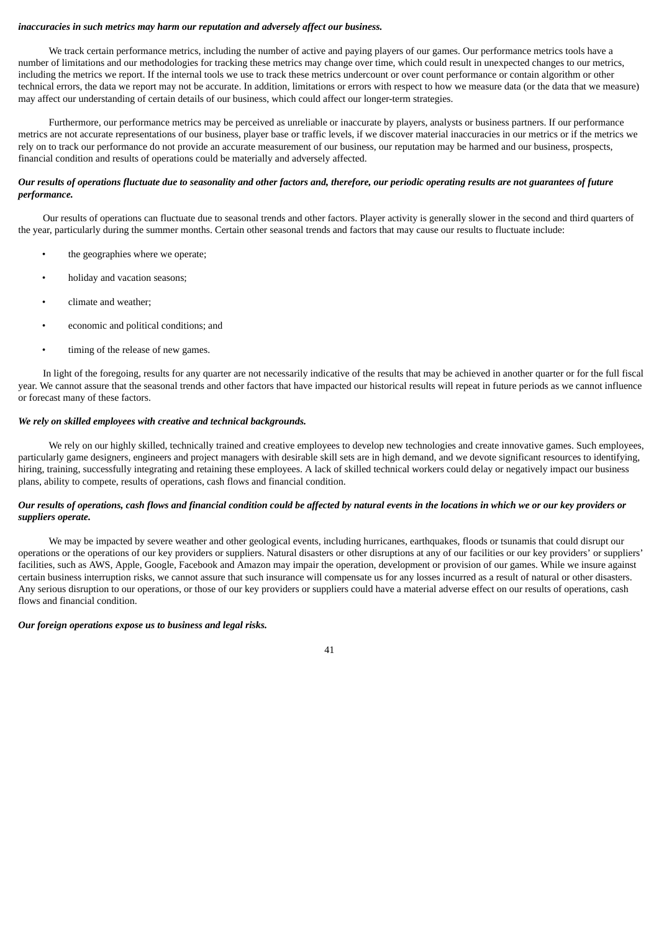### *inaccuracies in such metrics may harm our reputation and adversely affect our business.*

We track certain performance metrics, including the number of active and paying players of our games. Our performance metrics tools have a number of limitations and our methodologies for tracking these metrics may change over time, which could result in unexpected changes to our metrics, including the metrics we report. If the internal tools we use to track these metrics undercount or over count performance or contain algorithm or other technical errors, the data we report may not be accurate. In addition, limitations or errors with respect to how we measure data (or the data that we measure) may affect our understanding of certain details of our business, which could affect our longer-term strategies.

Furthermore, our performance metrics may be perceived as unreliable or inaccurate by players, analysts or business partners. If our performance metrics are not accurate representations of our business, player base or traffic levels, if we discover material inaccuracies in our metrics or if the metrics we rely on to track our performance do not provide an accurate measurement of our business, our reputation may be harmed and our business, prospects, financial condition and results of operations could be materially and adversely affected.

# Our results of operations fluctuate due to seasonality and other factors and, therefore, our periodic operating results are not guarantees of future *performance.*

Our results of operations can fluctuate due to seasonal trends and other factors. Player activity is generally slower in the second and third quarters of the year, particularly during the summer months. Certain other seasonal trends and factors that may cause our results to fluctuate include:

- the geographies where we operate;
- holiday and vacation seasons;
- climate and weather;
- economic and political conditions; and
- timing of the release of new games.

In light of the foregoing, results for any quarter are not necessarily indicative of the results that may be achieved in another quarter or for the full fiscal year. We cannot assure that the seasonal trends and other factors that have impacted our historical results will repeat in future periods as we cannot influence or forecast many of these factors.

#### *We rely on skilled employees with creative and technical backgrounds.*

We rely on our highly skilled, technically trained and creative employees to develop new technologies and create innovative games. Such employees, particularly game designers, engineers and project managers with desirable skill sets are in high demand, and we devote significant resources to identifying, hiring, training, successfully integrating and retaining these employees. A lack of skilled technical workers could delay or negatively impact our business plans, ability to compete, results of operations, cash flows and financial condition.

### Our results of operations, cash flows and financial condition could be affected by natural events in the locations in which we or our key providers or *suppliers operate.*

We may be impacted by severe weather and other geological events, including hurricanes, earthquakes, floods or tsunamis that could disrupt our operations or the operations of our key providers or suppliers. Natural disasters or other disruptions at any of our facilities or our key providers' or suppliers' facilities, such as AWS, Apple, Google, Facebook and Amazon may impair the operation, development or provision of our games. While we insure against certain business interruption risks, we cannot assure that such insurance will compensate us for any losses incurred as a result of natural or other disasters. Any serious disruption to our operations, or those of our key providers or suppliers could have a material adverse effect on our results of operations, cash flows and financial condition.

### *Our foreign operations expose us to business and legal risks.*

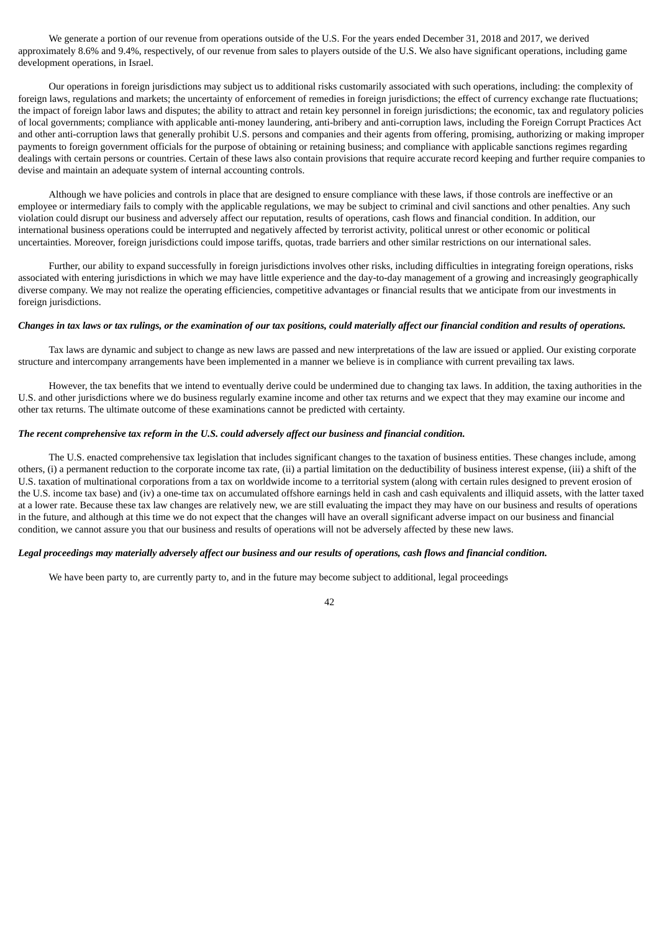We generate a portion of our revenue from operations outside of the U.S. For the years ended December 31, 2018 and 2017, we derived approximately 8.6% and 9.4%, respectively, of our revenue from sales to players outside of the U.S. We also have significant operations, including game development operations, in Israel.

Our operations in foreign jurisdictions may subject us to additional risks customarily associated with such operations, including: the complexity of foreign laws, regulations and markets; the uncertainty of enforcement of remedies in foreign jurisdictions; the effect of currency exchange rate fluctuations; the impact of foreign labor laws and disputes; the ability to attract and retain key personnel in foreign jurisdictions; the economic, tax and regulatory policies of local governments; compliance with applicable anti-money laundering, anti-bribery and anti-corruption laws, including the Foreign Corrupt Practices Act and other anti-corruption laws that generally prohibit U.S. persons and companies and their agents from offering, promising, authorizing or making improper payments to foreign government officials for the purpose of obtaining or retaining business; and compliance with applicable sanctions regimes regarding dealings with certain persons or countries. Certain of these laws also contain provisions that require accurate record keeping and further require companies to devise and maintain an adequate system of internal accounting controls.

Although we have policies and controls in place that are designed to ensure compliance with these laws, if those controls are ineffective or an employee or intermediary fails to comply with the applicable regulations, we may be subject to criminal and civil sanctions and other penalties. Any such violation could disrupt our business and adversely affect our reputation, results of operations, cash flows and financial condition. In addition, our international business operations could be interrupted and negatively affected by terrorist activity, political unrest or other economic or political uncertainties. Moreover, foreign jurisdictions could impose tariffs, quotas, trade barriers and other similar restrictions on our international sales.

Further, our ability to expand successfully in foreign jurisdictions involves other risks, including difficulties in integrating foreign operations, risks associated with entering jurisdictions in which we may have little experience and the day-to-day management of a growing and increasingly geographically diverse company. We may not realize the operating efficiencies, competitive advantages or financial results that we anticipate from our investments in foreign jurisdictions.

### Changes in tax laws or tax rulings, or the examination of our tax positions, could materially affect our financial condition and results of operations.

Tax laws are dynamic and subject to change as new laws are passed and new interpretations of the law are issued or applied. Our existing corporate structure and intercompany arrangements have been implemented in a manner we believe is in compliance with current prevailing tax laws.

However, the tax benefits that we intend to eventually derive could be undermined due to changing tax laws. In addition, the taxing authorities in the U.S. and other jurisdictions where we do business regularly examine income and other tax returns and we expect that they may examine our income and other tax returns. The ultimate outcome of these examinations cannot be predicted with certainty.

# *The recent comprehensive tax reform in the U.S. could adversely affect our business and financial condition.*

The U.S. enacted comprehensive tax legislation that includes significant changes to the taxation of business entities. These changes include, among others, (i) a permanent reduction to the corporate income tax rate, (ii) a partial limitation on the deductibility of business interest expense, (iii) a shift of the U.S. taxation of multinational corporations from a tax on worldwide income to a territorial system (along with certain rules designed to prevent erosion of the U.S. income tax base) and (iv) a one-time tax on accumulated offshore earnings held in cash and cash equivalents and illiquid assets, with the latter taxed at a lower rate. Because these tax law changes are relatively new, we are still evaluating the impact they may have on our business and results of operations in the future, and although at this time we do not expect that the changes will have an overall significant adverse impact on our business and financial condition, we cannot assure you that our business and results of operations will not be adversely affected by these new laws.

#### Legal proceedings may materially adversely affect our business and our results of operations, cash flows and financial condition.

We have been party to, are currently party to, and in the future may become subject to additional, legal proceedings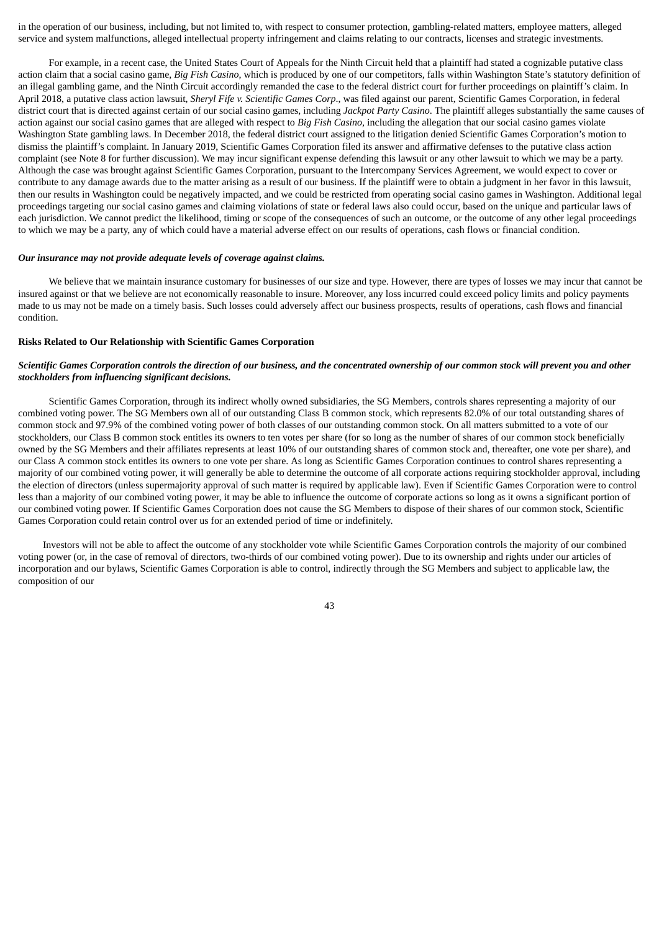in the operation of our business, including, but not limited to, with respect to consumer protection, gambling-related matters, employee matters, alleged service and system malfunctions, alleged intellectual property infringement and claims relating to our contracts, licenses and strategic investments.

For example, in a recent case, the United States Court of Appeals for the Ninth Circuit held that a plaintiff had stated a cognizable putative class action claim that a social casino game, *Big Fish Casino*, which is produced by one of our competitors, falls within Washington State's statutory definition of an illegal gambling game, and the Ninth Circuit accordingly remanded the case to the federal district court for further proceedings on plaintiff's claim. In April 2018, a putative class action lawsuit, *Sheryl Fife v. Scientific Games Corp*., was filed against our parent, Scientific Games Corporation, in federal district court that is directed against certain of our social casino games, including *Jackpot Party Casino*. The plaintiff alleges substantially the same causes of action against our social casino games that are alleged with respect to *Big Fish Casino,* including the allegation that our social casino games violate Washington State gambling laws. In December 2018, the federal district court assigned to the litigation denied Scientific Games Corporation's motion to dismiss the plaintiff's complaint. In January 2019, Scientific Games Corporation filed its answer and affirmative defenses to the putative class action complaint (see Note 8 for further discussion). We may incur significant expense defending this lawsuit or any other lawsuit to which we may be a party. Although the case was brought against Scientific Games Corporation, pursuant to the Intercompany Services Agreement, we would expect to cover or contribute to any damage awards due to the matter arising as a result of our business. If the plaintiff were to obtain a judgment in her favor in this lawsuit, then our results in Washington could be negatively impacted, and we could be restricted from operating social casino games in Washington. Additional legal proceedings targeting our social casino games and claiming violations of state or federal laws also could occur, based on the unique and particular laws of each jurisdiction. We cannot predict the likelihood, timing or scope of the consequences of such an outcome, or the outcome of any other legal proceedings to which we may be a party, any of which could have a material adverse effect on our results of operations, cash flows or financial condition.

#### *Our insurance may not provide adequate levels of coverage against claims.*

We believe that we maintain insurance customary for businesses of our size and type. However, there are types of losses we may incur that cannot be insured against or that we believe are not economically reasonable to insure. Moreover, any loss incurred could exceed policy limits and policy payments made to us may not be made on a timely basis. Such losses could adversely affect our business prospects, results of operations, cash flows and financial condition.

#### **Risks Related to Our Relationship with Scientific Games Corporation**

# Scientific Games Corporation controls the direction of our business, and the concentrated ownership of our common stock will prevent you and other *stockholders from influencing significant decisions.*

Scientific Games Corporation, through its indirect wholly owned subsidiaries, the SG Members, controls shares representing a majority of our combined voting power. The SG Members own all of our outstanding Class B common stock, which represents 82.0% of our total outstanding shares of common stock and 97.9% of the combined voting power of both classes of our outstanding common stock. On all matters submitted to a vote of our stockholders, our Class B common stock entitles its owners to ten votes per share (for so long as the number of shares of our common stock beneficially owned by the SG Members and their affiliates represents at least 10% of our outstanding shares of common stock and, thereafter, one vote per share), and our Class A common stock entitles its owners to one vote per share. As long as Scientific Games Corporation continues to control shares representing a majority of our combined voting power, it will generally be able to determine the outcome of all corporate actions requiring stockholder approval, including the election of directors (unless supermajority approval of such matter is required by applicable law). Even if Scientific Games Corporation were to control less than a majority of our combined voting power, it may be able to influence the outcome of corporate actions so long as it owns a significant portion of our combined voting power. If Scientific Games Corporation does not cause the SG Members to dispose of their shares of our common stock, Scientific Games Corporation could retain control over us for an extended period of time or indefinitely.

Investors will not be able to affect the outcome of any stockholder vote while Scientific Games Corporation controls the majority of our combined voting power (or, in the case of removal of directors, two-thirds of our combined voting power). Due to its ownership and rights under our articles of incorporation and our bylaws, Scientific Games Corporation is able to control, indirectly through the SG Members and subject to applicable law, the composition of our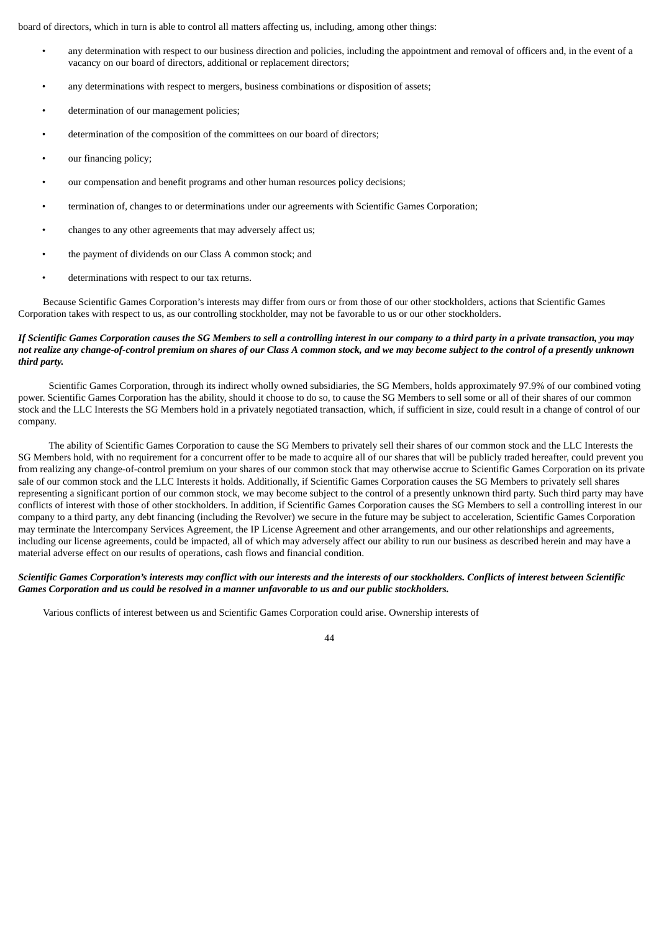board of directors, which in turn is able to control all matters affecting us, including, among other things:

- any determination with respect to our business direction and policies, including the appointment and removal of officers and, in the event of a vacancy on our board of directors, additional or replacement directors;
- any determinations with respect to mergers, business combinations or disposition of assets;
- determination of our management policies;
- determination of the composition of the committees on our board of directors;
- our financing policy;
- our compensation and benefit programs and other human resources policy decisions;
- termination of, changes to or determinations under our agreements with Scientific Games Corporation;
- changes to any other agreements that may adversely affect us;
- the payment of dividends on our Class A common stock; and
- determinations with respect to our tax returns.

Because Scientific Games Corporation's interests may differ from ours or from those of our other stockholders, actions that Scientific Games Corporation takes with respect to us, as our controlling stockholder, may not be favorable to us or our other stockholders.

# If Scientific Games Corporation causes the SG Members to sell a controlling interest in our company to a third party in a private transaction, you may not realize any change-of-control premium on shares of our Class A common stock, and we may become subject to the control of a presently unknown *third party.*

Scientific Games Corporation, through its indirect wholly owned subsidiaries, the SG Members, holds approximately 97.9% of our combined voting power. Scientific Games Corporation has the ability, should it choose to do so, to cause the SG Members to sell some or all of their shares of our common stock and the LLC Interests the SG Members hold in a privately negotiated transaction, which, if sufficient in size, could result in a change of control of our company.

The ability of Scientific Games Corporation to cause the SG Members to privately sell their shares of our common stock and the LLC Interests the SG Members hold, with no requirement for a concurrent offer to be made to acquire all of our shares that will be publicly traded hereafter, could prevent you from realizing any change-of-control premium on your shares of our common stock that may otherwise accrue to Scientific Games Corporation on its private sale of our common stock and the LLC Interests it holds. Additionally, if Scientific Games Corporation causes the SG Members to privately sell shares representing a significant portion of our common stock, we may become subject to the control of a presently unknown third party. Such third party may have conflicts of interest with those of other stockholders. In addition, if Scientific Games Corporation causes the SG Members to sell a controlling interest in our company to a third party, any debt financing (including the Revolver) we secure in the future may be subject to acceleration, Scientific Games Corporation may terminate the Intercompany Services Agreement, the IP License Agreement and other arrangements, and our other relationships and agreements, including our license agreements, could be impacted, all of which may adversely affect our ability to run our business as described herein and may have a material adverse effect on our results of operations, cash flows and financial condition.

# Scientific Games Corporation's interests may conflict with our interests and the interests of our stockholders. Conflicts of interest between Scientific *Games Corporation and us could be resolved in a manner unfavorable to us and our public stockholders.*

Various conflicts of interest between us and Scientific Games Corporation could arise. Ownership interests of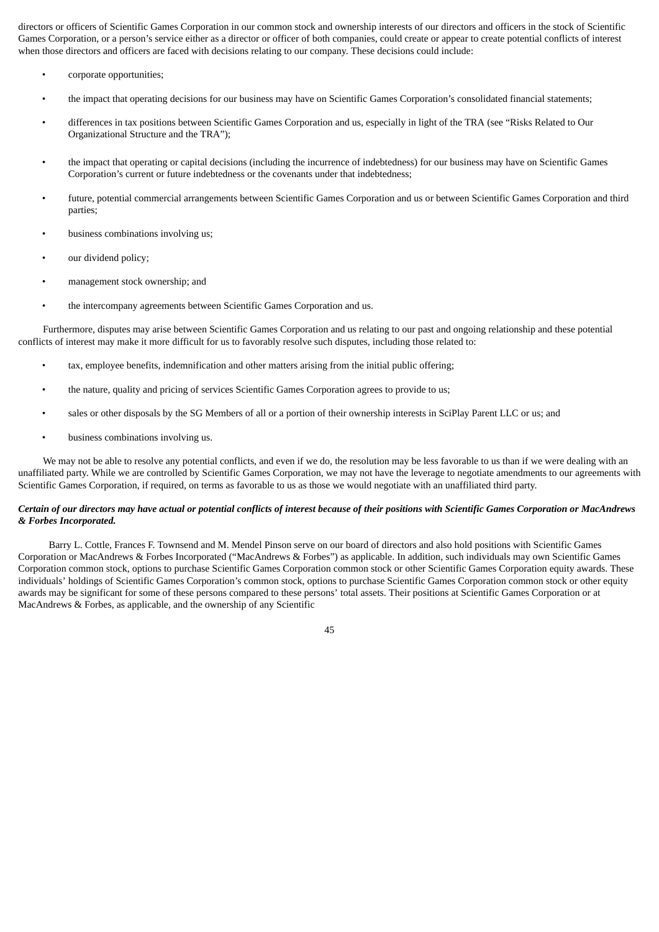directors or officers of Scientific Games Corporation in our common stock and ownership interests of our directors and officers in the stock of Scientific Games Corporation, or a person's service either as a director or officer of both companies, could create or appear to create potential conflicts of interest when those directors and officers are faced with decisions relating to our company. These decisions could include:

- corporate opportunities;
- the impact that operating decisions for our business may have on Scientific Games Corporation's consolidated financial statements;
- differences in tax positions between Scientific Games Corporation and us, especially in light of the TRA (see "Risks Related to Our Organizational Structure and the TRA");
- the impact that operating or capital decisions (including the incurrence of indebtedness) for our business may have on Scientific Games Corporation's current or future indebtedness or the covenants under that indebtedness;
- future, potential commercial arrangements between Scientific Games Corporation and us or between Scientific Games Corporation and third parties;
- business combinations involving us;
- our dividend policy;
- management stock ownership; and
- the intercompany agreements between Scientific Games Corporation and us.

Furthermore, disputes may arise between Scientific Games Corporation and us relating to our past and ongoing relationship and these potential conflicts of interest may make it more difficult for us to favorably resolve such disputes, including those related to:

- tax, employee benefits, indemnification and other matters arising from the initial public offering;
- the nature, quality and pricing of services Scientific Games Corporation agrees to provide to us;
- sales or other disposals by the SG Members of all or a portion of their ownership interests in SciPlay Parent LLC or us; and
- business combinations involving us.

We may not be able to resolve any potential conflicts, and even if we do, the resolution may be less favorable to us than if we were dealing with an unaffiliated party. While we are controlled by Scientific Games Corporation, we may not have the leverage to negotiate amendments to our agreements with Scientific Games Corporation, if required, on terms as favorable to us as those we would negotiate with an unaffiliated third party.

### Certain of our directors may have actual or potential conflicts of interest because of their positions with Scientific Games Corporation or MacAndrews *& Forbes Incorporated.*

Barry L. Cottle, Frances F. Townsend and M. Mendel Pinson serve on our board of directors and also hold positions with Scientific Games Corporation or MacAndrews & Forbes Incorporated ("MacAndrews & Forbes") as applicable. In addition, such individuals may own Scientific Games Corporation common stock, options to purchase Scientific Games Corporation common stock or other Scientific Games Corporation equity awards. These individuals' holdings of Scientific Games Corporation's common stock, options to purchase Scientific Games Corporation common stock or other equity awards may be significant for some of these persons compared to these persons' total assets. Their positions at Scientific Games Corporation or at MacAndrews & Forbes, as applicable, and the ownership of any Scientific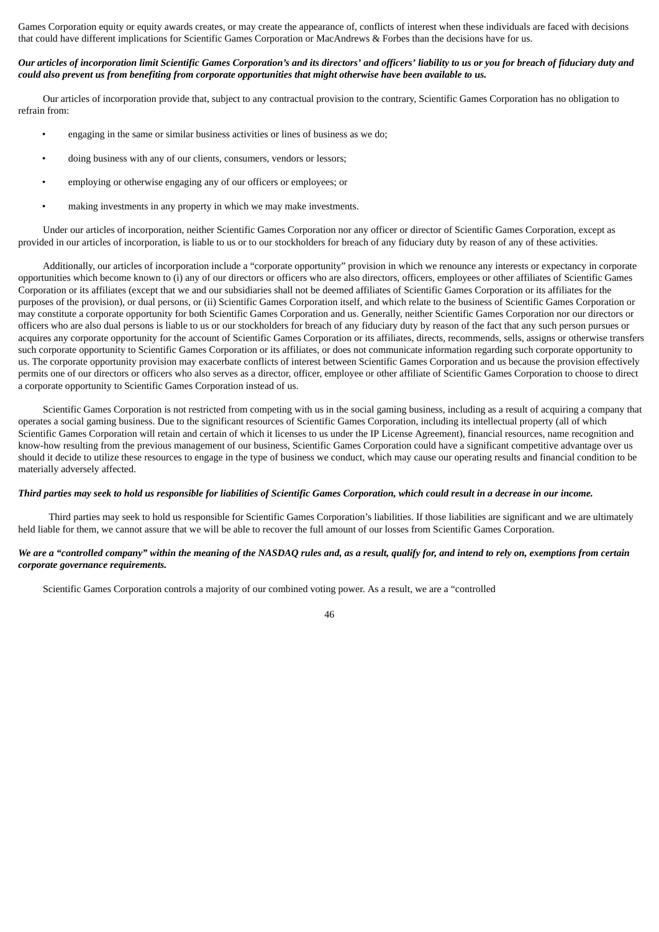Games Corporation equity or equity awards creates, or may create the appearance of, conflicts of interest when these individuals are faced with decisions that could have different implications for Scientific Games Corporation or MacAndrews & Forbes than the decisions have for us.

# Our articles of incorporation limit Scientific Games Corporation's and its directors' and officers' liability to us or you for breach of fiduciary duty and could also prevent us from benefiting from corporate opportunities that might otherwise have been available to us.

Our articles of incorporation provide that, subject to any contractual provision to the contrary, Scientific Games Corporation has no obligation to refrain from:

- engaging in the same or similar business activities or lines of business as we do;
- doing business with any of our clients, consumers, vendors or lessors;
- employing or otherwise engaging any of our officers or employees; or
- making investments in any property in which we may make investments.

Under our articles of incorporation, neither Scientific Games Corporation nor any officer or director of Scientific Games Corporation, except as provided in our articles of incorporation, is liable to us or to our stockholders for breach of any fiduciary duty by reason of any of these activities.

Additionally, our articles of incorporation include a "corporate opportunity" provision in which we renounce any interests or expectancy in corporate opportunities which become known to (i) any of our directors or officers who are also directors, officers, employees or other affiliates of Scientific Games Corporation or its affiliates (except that we and our subsidiaries shall not be deemed affiliates of Scientific Games Corporation or its affiliates for the purposes of the provision), or dual persons, or (ii) Scientific Games Corporation itself, and which relate to the business of Scientific Games Corporation or may constitute a corporate opportunity for both Scientific Games Corporation and us. Generally, neither Scientific Games Corporation nor our directors or officers who are also dual persons is liable to us or our stockholders for breach of any fiduciary duty by reason of the fact that any such person pursues or acquires any corporate opportunity for the account of Scientific Games Corporation or its affiliates, directs, recommends, sells, assigns or otherwise transfers such corporate opportunity to Scientific Games Corporation or its affiliates, or does not communicate information regarding such corporate opportunity to us. The corporate opportunity provision may exacerbate conflicts of interest between Scientific Games Corporation and us because the provision effectively permits one of our directors or officers who also serves as a director, officer, employee or other affiliate of Scientific Games Corporation to choose to direct a corporate opportunity to Scientific Games Corporation instead of us.

Scientific Games Corporation is not restricted from competing with us in the social gaming business, including as a result of acquiring a company that operates a social gaming business. Due to the significant resources of Scientific Games Corporation, including its intellectual property (all of which Scientific Games Corporation will retain and certain of which it licenses to us under the IP License Agreement), financial resources, name recognition and know-how resulting from the previous management of our business, Scientific Games Corporation could have a significant competitive advantage over us should it decide to utilize these resources to engage in the type of business we conduct, which may cause our operating results and financial condition to be materially adversely affected.

#### Third parties may seek to hold us responsible for liabilities of Scientific Games Corporation, which could result in a decrease in our income.

Third parties may seek to hold us responsible for Scientific Games Corporation's liabilities. If those liabilities are significant and we are ultimately held liable for them, we cannot assure that we will be able to recover the full amount of our losses from Scientific Games Corporation.

# We are a "controlled company" within the meaning of the NASDAO rules and, as a result, qualify for, and intend to rely on, exemptions from certain *corporate governance requirements.*

Scientific Games Corporation controls a majority of our combined voting power. As a result, we are a "controlled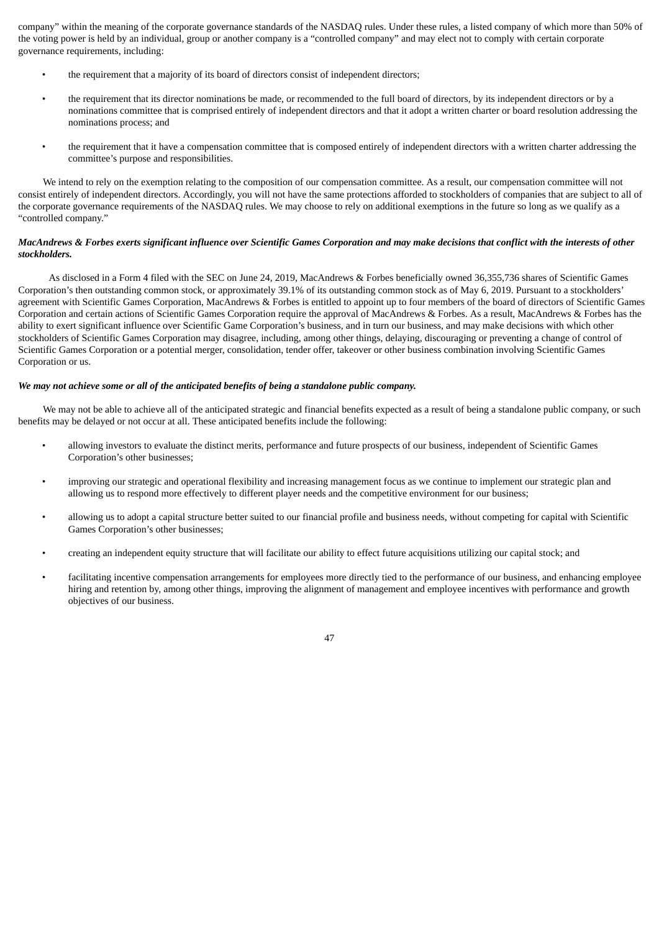company" within the meaning of the corporate governance standards of the NASDAQ rules. Under these rules, a listed company of which more than 50% of the voting power is held by an individual, group or another company is a "controlled company" and may elect not to comply with certain corporate governance requirements, including:

- the requirement that a majority of its board of directors consist of independent directors;
- the requirement that its director nominations be made, or recommended to the full board of directors, by its independent directors or by a nominations committee that is comprised entirely of independent directors and that it adopt a written charter or board resolution addressing the nominations process; and
- the requirement that it have a compensation committee that is composed entirely of independent directors with a written charter addressing the committee's purpose and responsibilities.

We intend to rely on the exemption relating to the composition of our compensation committee. As a result, our compensation committee will not consist entirely of independent directors. Accordingly, you will not have the same protections afforded to stockholders of companies that are subject to all of the corporate governance requirements of the NASDAQ rules. We may choose to rely on additional exemptions in the future so long as we qualify as a "controlled company."

# MacAndrews & Forbes exerts significant influence over Scientific Games Corporation and may make decisions that conflict with the interests of other *stockholders.*

As disclosed in a Form 4 filed with the SEC on June 24, 2019, MacAndrews & Forbes beneficially owned 36,355,736 shares of Scientific Games Corporation's then outstanding common stock, or approximately 39.1% of its outstanding common stock as of May 6, 2019. Pursuant to a stockholders' agreement with Scientific Games Corporation, MacAndrews & Forbes is entitled to appoint up to four members of the board of directors of Scientific Games Corporation and certain actions of Scientific Games Corporation require the approval of MacAndrews & Forbes. As a result, MacAndrews & Forbes has the ability to exert significant influence over Scientific Game Corporation's business, and in turn our business, and may make decisions with which other stockholders of Scientific Games Corporation may disagree, including, among other things, delaying, discouraging or preventing a change of control of Scientific Games Corporation or a potential merger, consolidation, tender offer, takeover or other business combination involving Scientific Games Corporation or us.

# *We may not achieve some or all of the anticipated benefits of being a standalone public company.*

We may not be able to achieve all of the anticipated strategic and financial benefits expected as a result of being a standalone public company, or such benefits may be delayed or not occur at all. These anticipated benefits include the following:

- allowing investors to evaluate the distinct merits, performance and future prospects of our business, independent of Scientific Games Corporation's other businesses;
- improving our strategic and operational flexibility and increasing management focus as we continue to implement our strategic plan and allowing us to respond more effectively to different player needs and the competitive environment for our business;
- allowing us to adopt a capital structure better suited to our financial profile and business needs, without competing for capital with Scientific Games Corporation's other businesses;
- creating an independent equity structure that will facilitate our ability to effect future acquisitions utilizing our capital stock; and
- facilitating incentive compensation arrangements for employees more directly tied to the performance of our business, and enhancing employee hiring and retention by, among other things, improving the alignment of management and employee incentives with performance and growth objectives of our business.

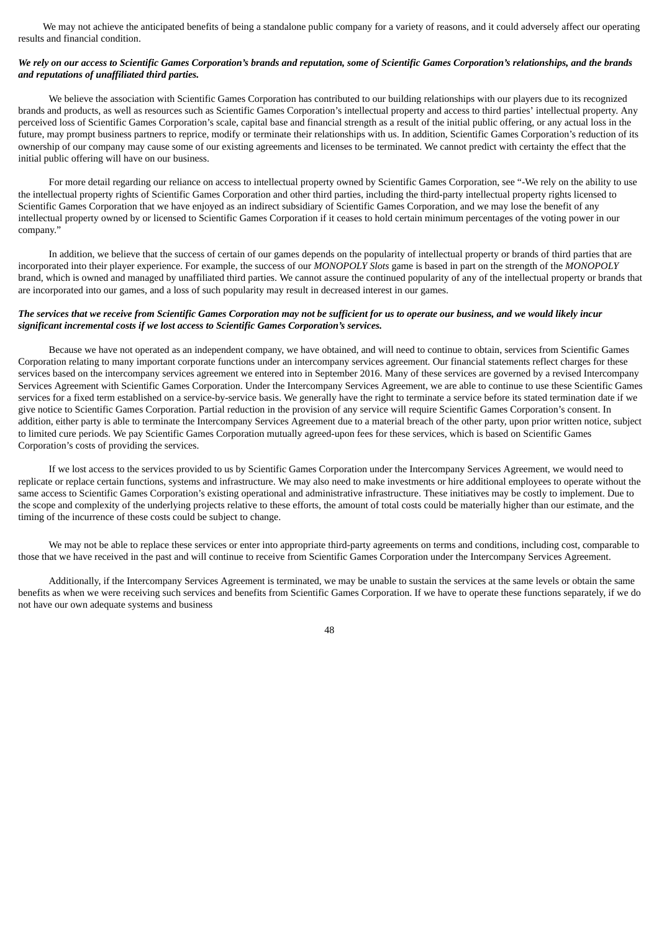We may not achieve the anticipated benefits of being a standalone public company for a variety of reasons, and it could adversely affect our operating results and financial condition.

# We rely on our access to Scientific Games Corporation's brands and reputation, some of Scientific Games Corporation's relationships, and the brands *and reputations of unaffiliated third parties.*

We believe the association with Scientific Games Corporation has contributed to our building relationships with our players due to its recognized brands and products, as well as resources such as Scientific Games Corporation's intellectual property and access to third parties' intellectual property. Any perceived loss of Scientific Games Corporation's scale, capital base and financial strength as a result of the initial public offering, or any actual loss in the future, may prompt business partners to reprice, modify or terminate their relationships with us. In addition, Scientific Games Corporation's reduction of its ownership of our company may cause some of our existing agreements and licenses to be terminated. We cannot predict with certainty the effect that the initial public offering will have on our business.

For more detail regarding our reliance on access to intellectual property owned by Scientific Games Corporation, see "-We rely on the ability to use the intellectual property rights of Scientific Games Corporation and other third parties, including the third-party intellectual property rights licensed to Scientific Games Corporation that we have enjoyed as an indirect subsidiary of Scientific Games Corporation, and we may lose the benefit of any intellectual property owned by or licensed to Scientific Games Corporation if it ceases to hold certain minimum percentages of the voting power in our company."

In addition, we believe that the success of certain of our games depends on the popularity of intellectual property or brands of third parties that are incorporated into their player experience. For example, the success of our *MONOPOLY Slots* game is based in part on the strength of the *MONOPOLY* brand, which is owned and managed by unaffiliated third parties. We cannot assure the continued popularity of any of the intellectual property or brands that are incorporated into our games, and a loss of such popularity may result in decreased interest in our games.

# The services that we receive from Scientific Games Corporation may not be sufficient for us to operate our business, and we would likely incur *significant incremental costs if we lost access to Scientific Games Corporation's services.*

Because we have not operated as an independent company, we have obtained, and will need to continue to obtain, services from Scientific Games Corporation relating to many important corporate functions under an intercompany services agreement. Our financial statements reflect charges for these services based on the intercompany services agreement we entered into in September 2016. Many of these services are governed by a revised Intercompany Services Agreement with Scientific Games Corporation. Under the Intercompany Services Agreement, we are able to continue to use these Scientific Games services for a fixed term established on a service-by-service basis. We generally have the right to terminate a service before its stated termination date if we give notice to Scientific Games Corporation. Partial reduction in the provision of any service will require Scientific Games Corporation's consent. In addition, either party is able to terminate the Intercompany Services Agreement due to a material breach of the other party, upon prior written notice, subject to limited cure periods. We pay Scientific Games Corporation mutually agreed-upon fees for these services, which is based on Scientific Games Corporation's costs of providing the services.

If we lost access to the services provided to us by Scientific Games Corporation under the Intercompany Services Agreement, we would need to replicate or replace certain functions, systems and infrastructure. We may also need to make investments or hire additional employees to operate without the same access to Scientific Games Corporation's existing operational and administrative infrastructure. These initiatives may be costly to implement. Due to the scope and complexity of the underlying projects relative to these efforts, the amount of total costs could be materially higher than our estimate, and the timing of the incurrence of these costs could be subject to change.

We may not be able to replace these services or enter into appropriate third-party agreements on terms and conditions, including cost, comparable to those that we have received in the past and will continue to receive from Scientific Games Corporation under the Intercompany Services Agreement.

Additionally, if the Intercompany Services Agreement is terminated, we may be unable to sustain the services at the same levels or obtain the same benefits as when we were receiving such services and benefits from Scientific Games Corporation. If we have to operate these functions separately, if we do not have our own adequate systems and business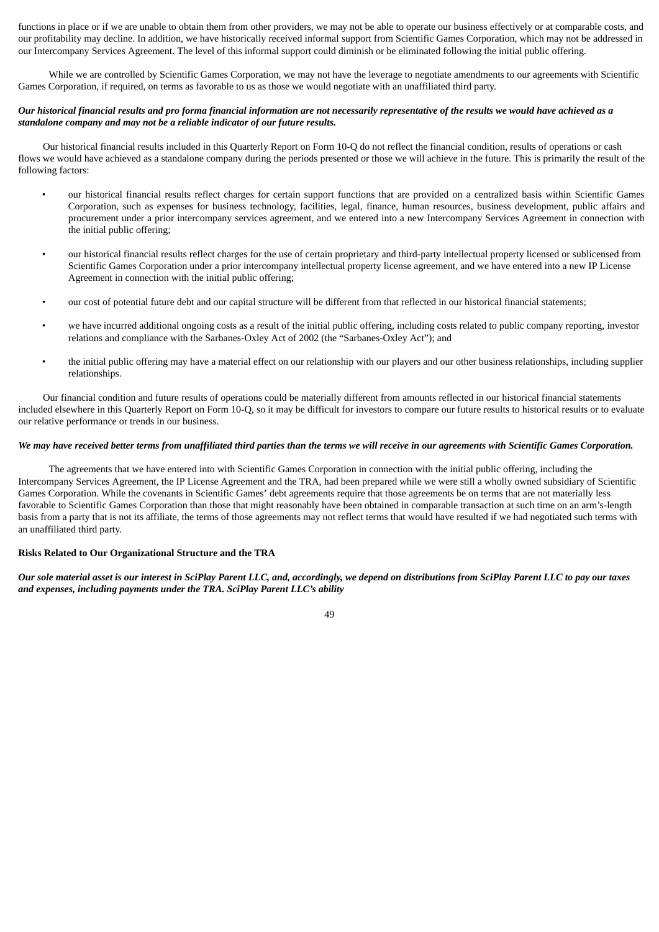functions in place or if we are unable to obtain them from other providers, we may not be able to operate our business effectively or at comparable costs, and our profitability may decline. In addition, we have historically received informal support from Scientific Games Corporation, which may not be addressed in our Intercompany Services Agreement. The level of this informal support could diminish or be eliminated following the initial public offering.

While we are controlled by Scientific Games Corporation, we may not have the leverage to negotiate amendments to our agreements with Scientific Games Corporation, if required, on terms as favorable to us as those we would negotiate with an unaffiliated third party.

# Our historical financial results and pro forma financial information are not necessarily representative of the results we would have achieved as a *standalone company and may not be a reliable indicator of our future results.*

Our historical financial results included in this Quarterly Report on Form 10-Q do not reflect the financial condition, results of operations or cash flows we would have achieved as a standalone company during the periods presented or those we will achieve in the future. This is primarily the result of the following factors:

- our historical financial results reflect charges for certain support functions that are provided on a centralized basis within Scientific Games Corporation, such as expenses for business technology, facilities, legal, finance, human resources, business development, public affairs and procurement under a prior intercompany services agreement, and we entered into a new Intercompany Services Agreement in connection with the initial public offering;
- our historical financial results reflect charges for the use of certain proprietary and third-party intellectual property licensed or sublicensed from Scientific Games Corporation under a prior intercompany intellectual property license agreement, and we have entered into a new IP License Agreement in connection with the initial public offering;
- our cost of potential future debt and our capital structure will be different from that reflected in our historical financial statements;
- we have incurred additional ongoing costs as a result of the initial public offering, including costs related to public company reporting, investor relations and compliance with the Sarbanes-Oxley Act of 2002 (the "Sarbanes-Oxley Act"); and
- the initial public offering may have a material effect on our relationship with our players and our other business relationships, including supplier relationships.

Our financial condition and future results of operations could be materially different from amounts reflected in our historical financial statements included elsewhere in this Quarterly Report on Form 10-Q, so it may be difficult for investors to compare our future results to historical results or to evaluate our relative performance or trends in our business.

# We may have received better terms from unaffiliated third parties than the terms we will receive in our agreements with Scientific Games Corporation.

The agreements that we have entered into with Scientific Games Corporation in connection with the initial public offering, including the Intercompany Services Agreement, the IP License Agreement and the TRA, had been prepared while we were still a wholly owned subsidiary of Scientific Games Corporation. While the covenants in Scientific Games' debt agreements require that those agreements be on terms that are not materially less favorable to Scientific Games Corporation than those that might reasonably have been obtained in comparable transaction at such time on an arm's-length basis from a party that is not its affiliate, the terms of those agreements may not reflect terms that would have resulted if we had negotiated such terms with an unaffiliated third party.

## **Risks Related to Our Organizational Structure and the TRA**

Our sole material asset is our interest in SciPlay Parent LLC, and, accordinaly, we depend on distributions from SciPlay Parent LLC to pay our taxes *and expenses, including payments under the TRA. SciPlay Parent LLC's ability*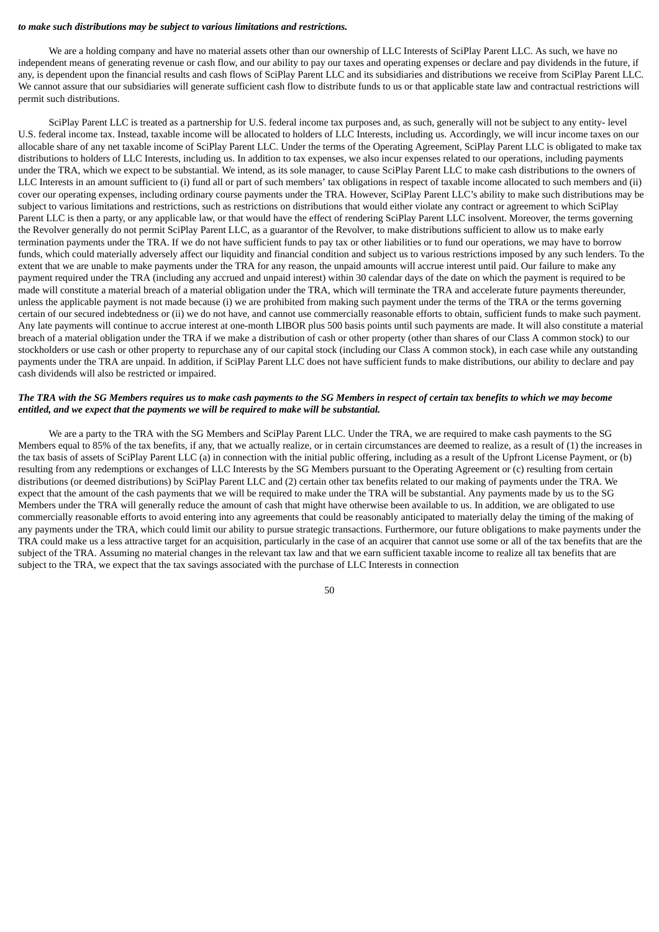#### *to make such distributions may be subject to various limitations and restrictions.*

We are a holding company and have no material assets other than our ownership of LLC Interests of SciPlay Parent LLC. As such, we have no independent means of generating revenue or cash flow, and our ability to pay our taxes and operating expenses or declare and pay dividends in the future, if any, is dependent upon the financial results and cash flows of SciPlay Parent LLC and its subsidiaries and distributions we receive from SciPlay Parent LLC. We cannot assure that our subsidiaries will generate sufficient cash flow to distribute funds to us or that applicable state law and contractual restrictions will permit such distributions.

SciPlay Parent LLC is treated as a partnership for U.S. federal income tax purposes and, as such, generally will not be subject to any entity- level U.S. federal income tax. Instead, taxable income will be allocated to holders of LLC Interests, including us. Accordingly, we will incur income taxes on our allocable share of any net taxable income of SciPlay Parent LLC. Under the terms of the Operating Agreement, SciPlay Parent LLC is obligated to make tax distributions to holders of LLC Interests, including us. In addition to tax expenses, we also incur expenses related to our operations, including payments under the TRA, which we expect to be substantial. We intend, as its sole manager, to cause SciPlay Parent LLC to make cash distributions to the owners of LLC Interests in an amount sufficient to (i) fund all or part of such members' tax obligations in respect of taxable income allocated to such members and (ii) cover our operating expenses, including ordinary course payments under the TRA. However, SciPlay Parent LLC's ability to make such distributions may be subject to various limitations and restrictions, such as restrictions on distributions that would either violate any contract or agreement to which SciPlay Parent LLC is then a party, or any applicable law, or that would have the effect of rendering SciPlay Parent LLC insolvent. Moreover, the terms governing the Revolver generally do not permit SciPlay Parent LLC, as a guarantor of the Revolver, to make distributions sufficient to allow us to make early termination payments under the TRA. If we do not have sufficient funds to pay tax or other liabilities or to fund our operations, we may have to borrow funds, which could materially adversely affect our liquidity and financial condition and subject us to various restrictions imposed by any such lenders. To the extent that we are unable to make payments under the TRA for any reason, the unpaid amounts will accrue interest until paid. Our failure to make any payment required under the TRA (including any accrued and unpaid interest) within 30 calendar days of the date on which the payment is required to be made will constitute a material breach of a material obligation under the TRA, which will terminate the TRA and accelerate future payments thereunder, unless the applicable payment is not made because (i) we are prohibited from making such payment under the terms of the TRA or the terms governing certain of our secured indebtedness or (ii) we do not have, and cannot use commercially reasonable efforts to obtain, sufficient funds to make such payment. Any late payments will continue to accrue interest at one-month LIBOR plus 500 basis points until such payments are made. It will also constitute a material breach of a material obligation under the TRA if we make a distribution of cash or other property (other than shares of our Class A common stock) to our stockholders or use cash or other property to repurchase any of our capital stock (including our Class A common stock), in each case while any outstanding payments under the TRA are unpaid. In addition, if SciPlay Parent LLC does not have sufficient funds to make distributions, our ability to declare and pay cash dividends will also be restricted or impaired.

# The TRA with the SG Members requires us to make cash payments to the SG Members in respect of certain tax benefits to which we may become *entitled, and we expect that the payments we will be required to make will be substantial.*

We are a party to the TRA with the SG Members and SciPlay Parent LLC. Under the TRA, we are required to make cash payments to the SG Members equal to 85% of the tax benefits, if any, that we actually realize, or in certain circumstances are deemed to realize, as a result of (1) the increases in the tax basis of assets of SciPlay Parent LLC (a) in connection with the initial public offering, including as a result of the Upfront License Payment, or (b) resulting from any redemptions or exchanges of LLC Interests by the SG Members pursuant to the Operating Agreement or (c) resulting from certain distributions (or deemed distributions) by SciPlay Parent LLC and (2) certain other tax benefits related to our making of payments under the TRA. We expect that the amount of the cash payments that we will be required to make under the TRA will be substantial. Any payments made by us to the SG Members under the TRA will generally reduce the amount of cash that might have otherwise been available to us. In addition, we are obligated to use commercially reasonable efforts to avoid entering into any agreements that could be reasonably anticipated to materially delay the timing of the making of any payments under the TRA, which could limit our ability to pursue strategic transactions. Furthermore, our future obligations to make payments under the TRA could make us a less attractive target for an acquisition, particularly in the case of an acquirer that cannot use some or all of the tax benefits that are the subject of the TRA. Assuming no material changes in the relevant tax law and that we earn sufficient taxable income to realize all tax benefits that are subject to the TRA, we expect that the tax savings associated with the purchase of LLC Interests in connection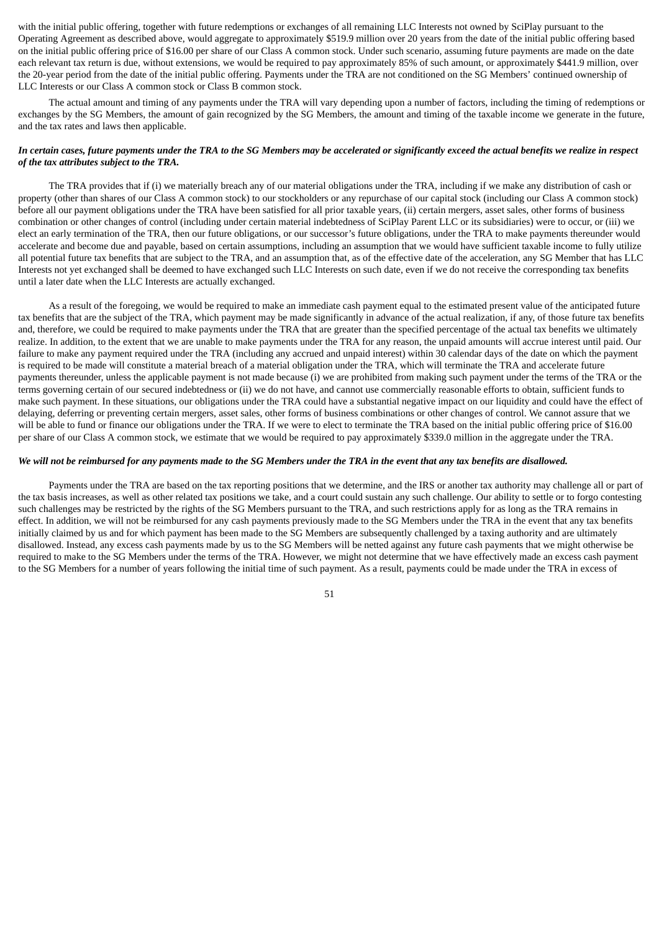with the initial public offering, together with future redemptions or exchanges of all remaining LLC Interests not owned by SciPlay pursuant to the Operating Agreement as described above, would aggregate to approximately \$519.9 million over 20 years from the date of the initial public offering based on the initial public offering price of \$16.00 per share of our Class A common stock. Under such scenario, assuming future payments are made on the date each relevant tax return is due, without extensions, we would be required to pay approximately 85% of such amount, or approximately \$441.9 million, over the 20-year period from the date of the initial public offering. Payments under the TRA are not conditioned on the SG Members' continued ownership of LLC Interests or our Class A common stock or Class B common stock.

The actual amount and timing of any payments under the TRA will vary depending upon a number of factors, including the timing of redemptions or exchanges by the SG Members, the amount of gain recognized by the SG Members, the amount and timing of the taxable income we generate in the future, and the tax rates and laws then applicable.

# In certain cases, future payments under the TRA to the SG Members may be accelerated or significantly exceed the actual benefits we realize in respect *of the tax attributes subject to the TRA.*

The TRA provides that if (i) we materially breach any of our material obligations under the TRA, including if we make any distribution of cash or property (other than shares of our Class A common stock) to our stockholders or any repurchase of our capital stock (including our Class A common stock) before all our payment obligations under the TRA have been satisfied for all prior taxable years, (ii) certain mergers, asset sales, other forms of business combination or other changes of control (including under certain material indebtedness of SciPlay Parent LLC or its subsidiaries) were to occur, or (iii) we elect an early termination of the TRA, then our future obligations, or our successor's future obligations, under the TRA to make payments thereunder would accelerate and become due and payable, based on certain assumptions, including an assumption that we would have sufficient taxable income to fully utilize all potential future tax benefits that are subject to the TRA, and an assumption that, as of the effective date of the acceleration, any SG Member that has LLC Interests not yet exchanged shall be deemed to have exchanged such LLC Interests on such date, even if we do not receive the corresponding tax benefits until a later date when the LLC Interests are actually exchanged.

As a result of the foregoing, we would be required to make an immediate cash payment equal to the estimated present value of the anticipated future tax benefits that are the subject of the TRA, which payment may be made significantly in advance of the actual realization, if any, of those future tax benefits and, therefore, we could be required to make payments under the TRA that are greater than the specified percentage of the actual tax benefits we ultimately realize. In addition, to the extent that we are unable to make payments under the TRA for any reason, the unpaid amounts will accrue interest until paid. Our failure to make any payment required under the TRA (including any accrued and unpaid interest) within 30 calendar days of the date on which the payment is required to be made will constitute a material breach of a material obligation under the TRA, which will terminate the TRA and accelerate future payments thereunder, unless the applicable payment is not made because (i) we are prohibited from making such payment under the terms of the TRA or the terms governing certain of our secured indebtedness or (ii) we do not have, and cannot use commercially reasonable efforts to obtain, sufficient funds to make such payment. In these situations, our obligations under the TRA could have a substantial negative impact on our liquidity and could have the effect of delaying, deferring or preventing certain mergers, asset sales, other forms of business combinations or other changes of control. We cannot assure that we will be able to fund or finance our obligations under the TRA. If we were to elect to terminate the TRA based on the initial public offering price of \$16.00 per share of our Class A common stock, we estimate that we would be required to pay approximately \$339.0 million in the aggregate under the TRA.

#### We will not be reimbursed for any payments made to the SG Members under the TRA in the event that any tax benefits are disallowed.

Payments under the TRA are based on the tax reporting positions that we determine, and the IRS or another tax authority may challenge all or part of the tax basis increases, as well as other related tax positions we take, and a court could sustain any such challenge. Our ability to settle or to forgo contesting such challenges may be restricted by the rights of the SG Members pursuant to the TRA, and such restrictions apply for as long as the TRA remains in effect. In addition, we will not be reimbursed for any cash payments previously made to the SG Members under the TRA in the event that any tax benefits initially claimed by us and for which payment has been made to the SG Members are subsequently challenged by a taxing authority and are ultimately disallowed. Instead, any excess cash payments made by us to the SG Members will be netted against any future cash payments that we might otherwise be required to make to the SG Members under the terms of the TRA. However, we might not determine that we have effectively made an excess cash payment to the SG Members for a number of years following the initial time of such payment. As a result, payments could be made under the TRA in excess of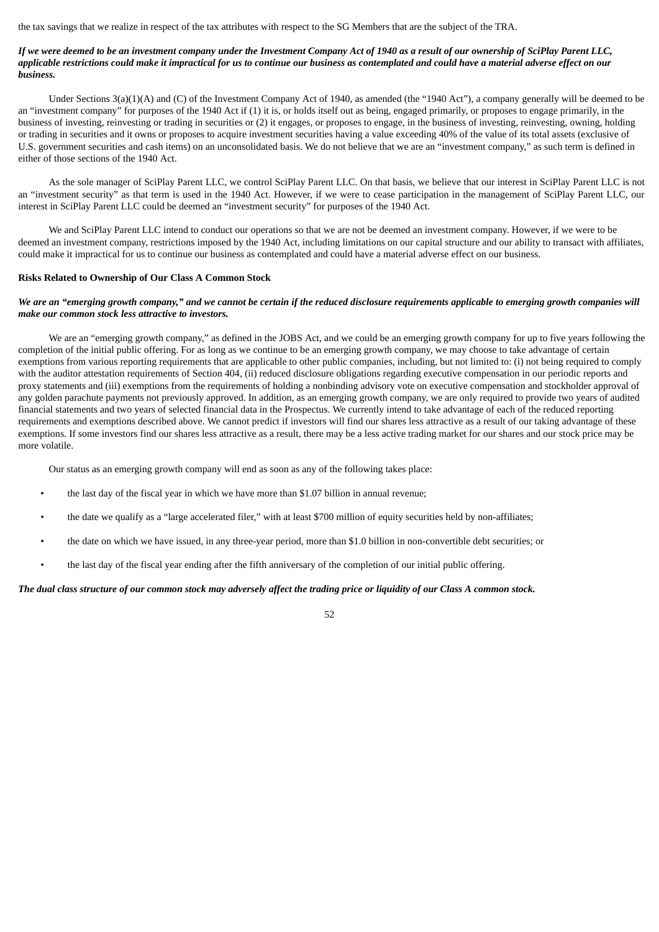the tax savings that we realize in respect of the tax attributes with respect to the SG Members that are the subject of the TRA.

# If we were deemed to be an investment company under the Investment Company Act of 1940 as a result of our ownership of SciPlay Parent LLC, applicable restrictions could make it impractical for us to continue our business as contemplated and could have a material adverse effect on our *business.*

Under Sections 3(a)(1)(A) and (C) of the Investment Company Act of 1940, as amended (the "1940 Act"), a company generally will be deemed to be an "investment company" for purposes of the 1940 Act if (1) it is, or holds itself out as being, engaged primarily, or proposes to engage primarily, in the business of investing, reinvesting or trading in securities or (2) it engages, or proposes to engage, in the business of investing, reinvesting, owning, holding or trading in securities and it owns or proposes to acquire investment securities having a value exceeding 40% of the value of its total assets (exclusive of U.S. government securities and cash items) on an unconsolidated basis. We do not believe that we are an "investment company," as such term is defined in either of those sections of the 1940 Act.

As the sole manager of SciPlay Parent LLC, we control SciPlay Parent LLC. On that basis, we believe that our interest in SciPlay Parent LLC is not an "investment security" as that term is used in the 1940 Act. However, if we were to cease participation in the management of SciPlay Parent LLC, our interest in SciPlay Parent LLC could be deemed an "investment security" for purposes of the 1940 Act.

We and SciPlay Parent LLC intend to conduct our operations so that we are not be deemed an investment company. However, if we were to be deemed an investment company, restrictions imposed by the 1940 Act, including limitations on our capital structure and our ability to transact with affiliates, could make it impractical for us to continue our business as contemplated and could have a material adverse effect on our business.

### **Risks Related to Ownership of Our Class A Common Stock**

# We are an "emerging growth company," and we cannot be certain if the reduced disclosure requirements applicable to emerging growth companies will *make our common stock less attractive to investors.*

We are an "emerging growth company," as defined in the JOBS Act, and we could be an emerging growth company for up to five years following the completion of the initial public offering. For as long as we continue to be an emerging growth company, we may choose to take advantage of certain exemptions from various reporting requirements that are applicable to other public companies, including, but not limited to: (i) not being required to comply with the auditor attestation requirements of Section 404, (ii) reduced disclosure obligations regarding executive compensation in our periodic reports and proxy statements and (iii) exemptions from the requirements of holding a nonbinding advisory vote on executive compensation and stockholder approval of any golden parachute payments not previously approved. In addition, as an emerging growth company, we are only required to provide two years of audited financial statements and two years of selected financial data in the Prospectus. We currently intend to take advantage of each of the reduced reporting requirements and exemptions described above. We cannot predict if investors will find our shares less attractive as a result of our taking advantage of these exemptions. If some investors find our shares less attractive as a result, there may be a less active trading market for our shares and our stock price may be more volatile.

52

Our status as an emerging growth company will end as soon as any of the following takes place:

- the last day of the fiscal year in which we have more than \$1.07 billion in annual revenue;
- the date we qualify as a "large accelerated filer," with at least \$700 million of equity securities held by non-affiliates;
- the date on which we have issued, in any three-year period, more than \$1.0 billion in non-convertible debt securities; or
- the last day of the fiscal year ending after the fifth anniversary of the completion of our initial public offering.

#### The dual class structure of our common stock may adversely affect the trading price or liquidity of our Class A common stock.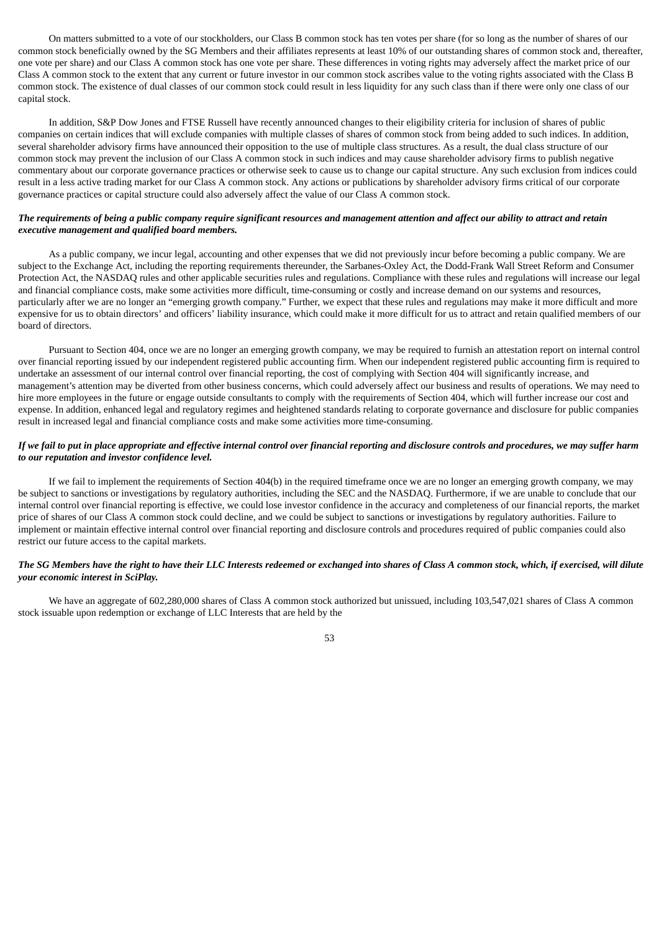On matters submitted to a vote of our stockholders, our Class B common stock has ten votes per share (for so long as the number of shares of our common stock beneficially owned by the SG Members and their affiliates represents at least 10% of our outstanding shares of common stock and, thereafter, one vote per share) and our Class A common stock has one vote per share. These differences in voting rights may adversely affect the market price of our Class A common stock to the extent that any current or future investor in our common stock ascribes value to the voting rights associated with the Class B common stock. The existence of dual classes of our common stock could result in less liquidity for any such class than if there were only one class of our capital stock.

In addition, S&P Dow Jones and FTSE Russell have recently announced changes to their eligibility criteria for inclusion of shares of public companies on certain indices that will exclude companies with multiple classes of shares of common stock from being added to such indices. In addition, several shareholder advisory firms have announced their opposition to the use of multiple class structures. As a result, the dual class structure of our common stock may prevent the inclusion of our Class A common stock in such indices and may cause shareholder advisory firms to publish negative commentary about our corporate governance practices or otherwise seek to cause us to change our capital structure. Any such exclusion from indices could result in a less active trading market for our Class A common stock. Any actions or publications by shareholder advisory firms critical of our corporate governance practices or capital structure could also adversely affect the value of our Class A common stock.

### The requirements of being a public company require significant resources and management attention and affect our ability to attract and retain *executive management and qualified board members.*

As a public company, we incur legal, accounting and other expenses that we did not previously incur before becoming a public company. We are subject to the Exchange Act, including the reporting requirements thereunder, the Sarbanes-Oxley Act, the Dodd-Frank Wall Street Reform and Consumer Protection Act, the NASDAQ rules and other applicable securities rules and regulations. Compliance with these rules and regulations will increase our legal and financial compliance costs, make some activities more difficult, time-consuming or costly and increase demand on our systems and resources, particularly after we are no longer an "emerging growth company." Further, we expect that these rules and regulations may make it more difficult and more expensive for us to obtain directors' and officers' liability insurance, which could make it more difficult for us to attract and retain qualified members of our board of directors.

Pursuant to Section 404, once we are no longer an emerging growth company, we may be required to furnish an attestation report on internal control over financial reporting issued by our independent registered public accounting firm. When our independent registered public accounting firm is required to undertake an assessment of our internal control over financial reporting, the cost of complying with Section 404 will significantly increase, and management's attention may be diverted from other business concerns, which could adversely affect our business and results of operations. We may need to hire more employees in the future or engage outside consultants to comply with the requirements of Section 404, which will further increase our cost and expense. In addition, enhanced legal and regulatory regimes and heightened standards relating to corporate governance and disclosure for public companies result in increased legal and financial compliance costs and make some activities more time-consuming.

# If we fail to put in place appropriate and effective internal control over financial reporting and disclosure controls and procedures, we may suffer harm *to our reputation and investor confidence level.*

If we fail to implement the requirements of Section 404(b) in the required timeframe once we are no longer an emerging growth company, we may be subject to sanctions or investigations by regulatory authorities, including the SEC and the NASDAQ. Furthermore, if we are unable to conclude that our internal control over financial reporting is effective, we could lose investor confidence in the accuracy and completeness of our financial reports, the market price of shares of our Class A common stock could decline, and we could be subject to sanctions or investigations by regulatory authorities. Failure to implement or maintain effective internal control over financial reporting and disclosure controls and procedures required of public companies could also restrict our future access to the capital markets.

# The SG Members have the right to have their LLC Interests redeemed or exchanged into shares of Class A common stock, which, if exercised, will dilute *your economic interest in SciPlay.*

We have an aggregate of 602,280,000 shares of Class A common stock authorized but unissued, including 103,547,021 shares of Class A common stock issuable upon redemption or exchange of LLC Interests that are held by the

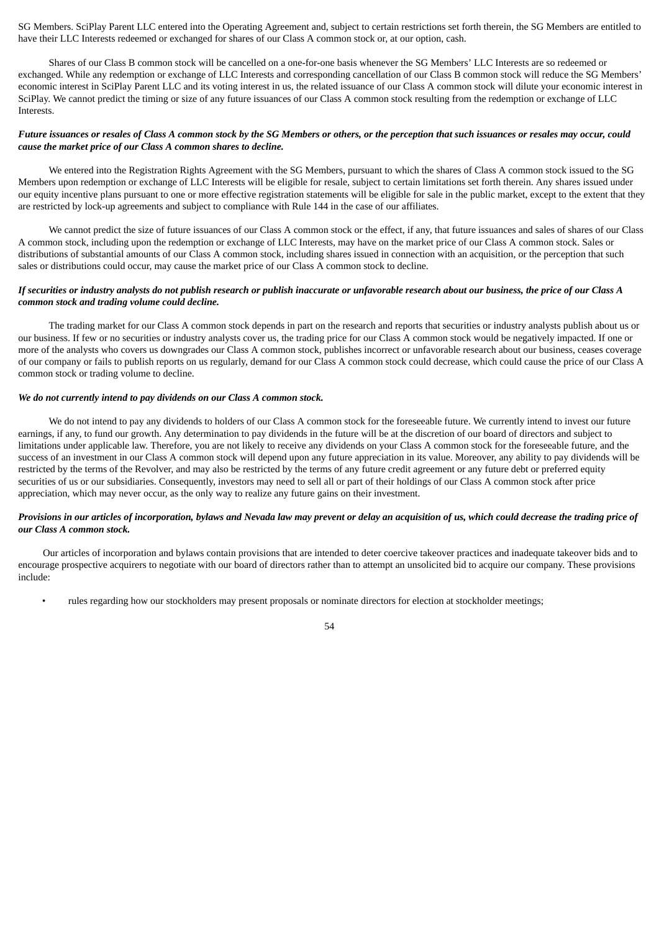SG Members. SciPlay Parent LLC entered into the Operating Agreement and, subject to certain restrictions set forth therein, the SG Members are entitled to have their LLC Interests redeemed or exchanged for shares of our Class A common stock or, at our option, cash.

Shares of our Class B common stock will be cancelled on a one-for-one basis whenever the SG Members' LLC Interests are so redeemed or exchanged. While any redemption or exchange of LLC Interests and corresponding cancellation of our Class B common stock will reduce the SG Members' economic interest in SciPlay Parent LLC and its voting interest in us, the related issuance of our Class A common stock will dilute your economic interest in SciPlay. We cannot predict the timing or size of any future issuances of our Class A common stock resulting from the redemption or exchange of LLC **Interests** 

# Future issuances or resales of Class A common stock by the SG Members or others, or the perception that such issuances or resales may occur, could *cause the market price of our Class A common shares to decline.*

We entered into the Registration Rights Agreement with the SG Members, pursuant to which the shares of Class A common stock issued to the SG Members upon redemption or exchange of LLC Interests will be eligible for resale, subject to certain limitations set forth therein. Any shares issued under our equity incentive plans pursuant to one or more effective registration statements will be eligible for sale in the public market, except to the extent that they are restricted by lock-up agreements and subject to compliance with Rule 144 in the case of our affiliates.

We cannot predict the size of future issuances of our Class A common stock or the effect, if any, that future issuances and sales of shares of our Class A common stock, including upon the redemption or exchange of LLC Interests, may have on the market price of our Class A common stock. Sales or distributions of substantial amounts of our Class A common stock, including shares issued in connection with an acquisition, or the perception that such sales or distributions could occur, may cause the market price of our Class A common stock to decline.

# If securities or industry analysts do not publish research or publish inaccurate or unfavorable research about our business, the price of our Class A *common stock and trading volume could decline.*

The trading market for our Class A common stock depends in part on the research and reports that securities or industry analysts publish about us or our business. If few or no securities or industry analysts cover us, the trading price for our Class A common stock would be negatively impacted. If one or more of the analysts who covers us downgrades our Class A common stock, publishes incorrect or unfavorable research about our business, ceases coverage of our company or fails to publish reports on us regularly, demand for our Class A common stock could decrease, which could cause the price of our Class A common stock or trading volume to decline.

### *We do not currently intend to pay dividends on our Class A common stock.*

We do not intend to pay any dividends to holders of our Class A common stock for the foreseeable future. We currently intend to invest our future earnings, if any, to fund our growth. Any determination to pay dividends in the future will be at the discretion of our board of directors and subject to limitations under applicable law. Therefore, you are not likely to receive any dividends on your Class A common stock for the foreseeable future, and the success of an investment in our Class A common stock will depend upon any future appreciation in its value. Moreover, any ability to pay dividends will be restricted by the terms of the Revolver, and may also be restricted by the terms of any future credit agreement or any future debt or preferred equity securities of us or our subsidiaries. Consequently, investors may need to sell all or part of their holdings of our Class A common stock after price appreciation, which may never occur, as the only way to realize any future gains on their investment.

# Provisions in our articles of incorporation, bylaws and Nevada law may prevent or delay an acquisition of us, which could decrease the trading price of *our Class A common stock.*

Our articles of incorporation and bylaws contain provisions that are intended to deter coercive takeover practices and inadequate takeover bids and to encourage prospective acquirers to negotiate with our board of directors rather than to attempt an unsolicited bid to acquire our company. These provisions include:

• rules regarding how our stockholders may present proposals or nominate directors for election at stockholder meetings;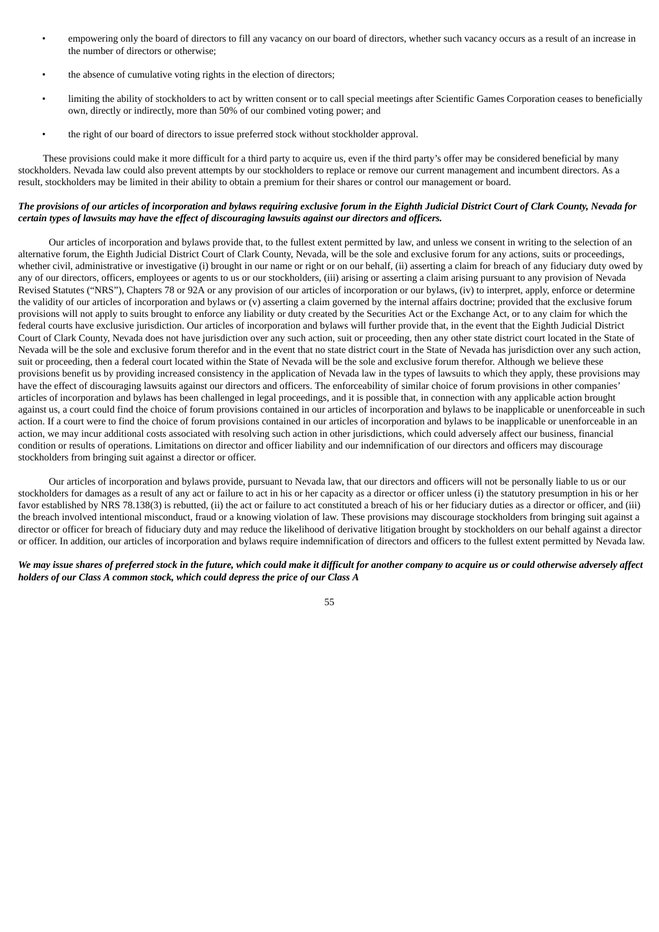- empowering only the board of directors to fill any vacancy on our board of directors, whether such vacancy occurs as a result of an increase in the number of directors or otherwise;
- the absence of cumulative voting rights in the election of directors;
- limiting the ability of stockholders to act by written consent or to call special meetings after Scientific Games Corporation ceases to beneficially own, directly or indirectly, more than 50% of our combined voting power; and
- the right of our board of directors to issue preferred stock without stockholder approval.

These provisions could make it more difficult for a third party to acquire us, even if the third party's offer may be considered beneficial by many stockholders. Nevada law could also prevent attempts by our stockholders to replace or remove our current management and incumbent directors. As a result, stockholders may be limited in their ability to obtain a premium for their shares or control our management or board.

# The provisions of our articles of incorporation and bylaws requiring exclusive forum in the Eighth Judicial District Court of Clark County, Nevada for *certain types of lawsuits may have the effect of discouraging lawsuits against our directors and officers.*

Our articles of incorporation and bylaws provide that, to the fullest extent permitted by law, and unless we consent in writing to the selection of an alternative forum, the Eighth Judicial District Court of Clark County, Nevada, will be the sole and exclusive forum for any actions, suits or proceedings, whether civil, administrative or investigative (i) brought in our name or right or on our behalf, (ii) asserting a claim for breach of any fiduciary duty owed by any of our directors, officers, employees or agents to us or our stockholders, (iii) arising or asserting a claim arising pursuant to any provision of Nevada Revised Statutes ("NRS"), Chapters 78 or 92A or any provision of our articles of incorporation or our bylaws, (iv) to interpret, apply, enforce or determine the validity of our articles of incorporation and bylaws or (v) asserting a claim governed by the internal affairs doctrine; provided that the exclusive forum provisions will not apply to suits brought to enforce any liability or duty created by the Securities Act or the Exchange Act, or to any claim for which the federal courts have exclusive jurisdiction. Our articles of incorporation and bylaws will further provide that, in the event that the Eighth Judicial District Court of Clark County, Nevada does not have jurisdiction over any such action, suit or proceeding, then any other state district court located in the State of Nevada will be the sole and exclusive forum therefor and in the event that no state district court in the State of Nevada has jurisdiction over any such action, suit or proceeding, then a federal court located within the State of Nevada will be the sole and exclusive forum therefor. Although we believe these provisions benefit us by providing increased consistency in the application of Nevada law in the types of lawsuits to which they apply, these provisions may have the effect of discouraging lawsuits against our directors and officers. The enforceability of similar choice of forum provisions in other companies' articles of incorporation and bylaws has been challenged in legal proceedings, and it is possible that, in connection with any applicable action brought against us, a court could find the choice of forum provisions contained in our articles of incorporation and bylaws to be inapplicable or unenforceable in such action. If a court were to find the choice of forum provisions contained in our articles of incorporation and bylaws to be inapplicable or unenforceable in an action, we may incur additional costs associated with resolving such action in other jurisdictions, which could adversely affect our business, financial condition or results of operations. Limitations on director and officer liability and our indemnification of our directors and officers may discourage stockholders from bringing suit against a director or officer.

Our articles of incorporation and bylaws provide, pursuant to Nevada law, that our directors and officers will not be personally liable to us or our stockholders for damages as a result of any act or failure to act in his or her capacity as a director or officer unless (i) the statutory presumption in his or her favor established by NRS 78.138(3) is rebutted, (ii) the act or failure to act constituted a breach of his or her fiduciary duties as a director or officer, and (iii) the breach involved intentional misconduct, fraud or a knowing violation of law. These provisions may discourage stockholders from bringing suit against a director or officer for breach of fiduciary duty and may reduce the likelihood of derivative litigation brought by stockholders on our behalf against a director or officer. In addition, our articles of incorporation and bylaws require indemnification of directors and officers to the fullest extent permitted by Nevada law.

We may issue shares of preferred stock in the future, which could make it difficult for another company to acquire us or could otherwise adversely affect *holders of our Class A common stock, which could depress the price of our Class A*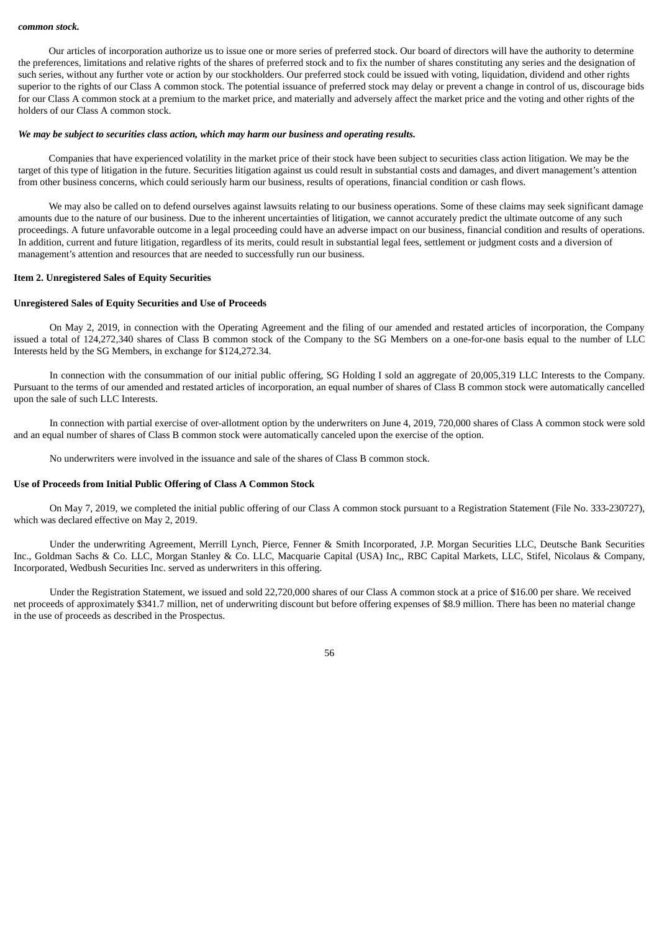#### *common stock.*

Our articles of incorporation authorize us to issue one or more series of preferred stock. Our board of directors will have the authority to determine the preferences, limitations and relative rights of the shares of preferred stock and to fix the number of shares constituting any series and the designation of such series, without any further vote or action by our stockholders. Our preferred stock could be issued with voting, liquidation, dividend and other rights superior to the rights of our Class A common stock. The potential issuance of preferred stock may delay or prevent a change in control of us, discourage bids for our Class A common stock at a premium to the market price, and materially and adversely affect the market price and the voting and other rights of the holders of our Class A common stock.

#### *We may be subject to securities class action, which may harm our business and operating results.*

Companies that have experienced volatility in the market price of their stock have been subject to securities class action litigation. We may be the target of this type of litigation in the future. Securities litigation against us could result in substantial costs and damages, and divert management's attention from other business concerns, which could seriously harm our business, results of operations, financial condition or cash flows.

We may also be called on to defend ourselves against lawsuits relating to our business operations. Some of these claims may seek significant damage amounts due to the nature of our business. Due to the inherent uncertainties of litigation, we cannot accurately predict the ultimate outcome of any such proceedings. A future unfavorable outcome in a legal proceeding could have an adverse impact on our business, financial condition and results of operations. In addition, current and future litigation, regardless of its merits, could result in substantial legal fees, settlement or judgment costs and a diversion of management's attention and resources that are needed to successfully run our business.

#### <span id="page-55-0"></span>**Item 2. Unregistered Sales of Equity Securities**

#### **Unregistered Sales of Equity Securities and Use of Proceeds**

On May 2, 2019, in connection with the Operating Agreement and the filing of our amended and restated articles of incorporation, the Company issued a total of 124,272,340 shares of Class B common stock of the Company to the SG Members on a one-for-one basis equal to the number of LLC Interests held by the SG Members, in exchange for \$124,272.34.

In connection with the consummation of our initial public offering, SG Holding I sold an aggregate of 20,005,319 LLC Interests to the Company. Pursuant to the terms of our amended and restated articles of incorporation, an equal number of shares of Class B common stock were automatically cancelled upon the sale of such LLC Interests.

In connection with partial exercise of over-allotment option by the underwriters on June 4, 2019, 720,000 shares of Class A common stock were sold and an equal number of shares of Class B common stock were automatically canceled upon the exercise of the option.

No underwriters were involved in the issuance and sale of the shares of Class B common stock.

#### **Use of Proceeds from Initial Public Offering of Class A Common Stock**

On May 7, 2019, we completed the initial public offering of our Class A common stock pursuant to a Registration Statement (File No. 333-230727), which was declared effective on May 2, 2019.

Under the underwriting Agreement, Merrill Lynch, Pierce, Fenner & Smith Incorporated, J.P. Morgan Securities LLC, Deutsche Bank Securities Inc., Goldman Sachs & Co. LLC, Morgan Stanley & Co. LLC, Macquarie Capital (USA) Inc,, RBC Capital Markets, LLC, Stifel, Nicolaus & Company, Incorporated, Wedbush Securities Inc. served as underwriters in this offering.

Under the Registration Statement, we issued and sold 22,720,000 shares of our Class A common stock at a price of \$16.00 per share. We received net proceeds of approximately \$341.7 million, net of underwriting discount but before offering expenses of \$8.9 million. There has been no material change in the use of proceeds as described in the Prospectus.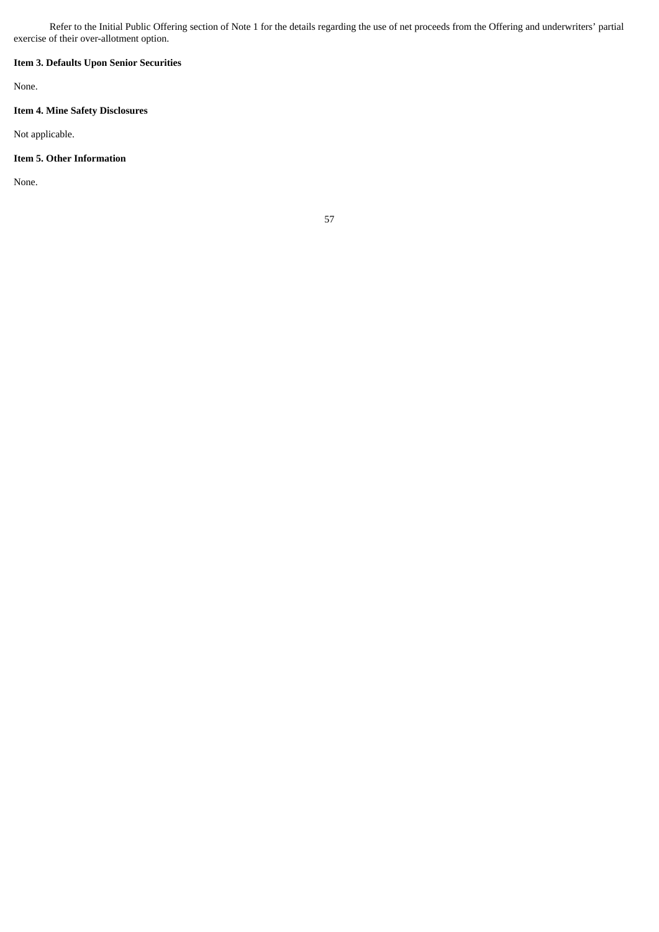Refer to the Initial Public Offering section of Note 1 for the details regarding the use of net proceeds from the Offering and underwriters' partial exercise of their over-allotment option.

# <span id="page-56-0"></span>**Item 3. Defaults Upon Senior Securities**

None.

# <span id="page-56-1"></span>**Item 4. Mine Safety Disclosures**

Not applicable.

# <span id="page-56-2"></span>**Item 5. Other Information**

None.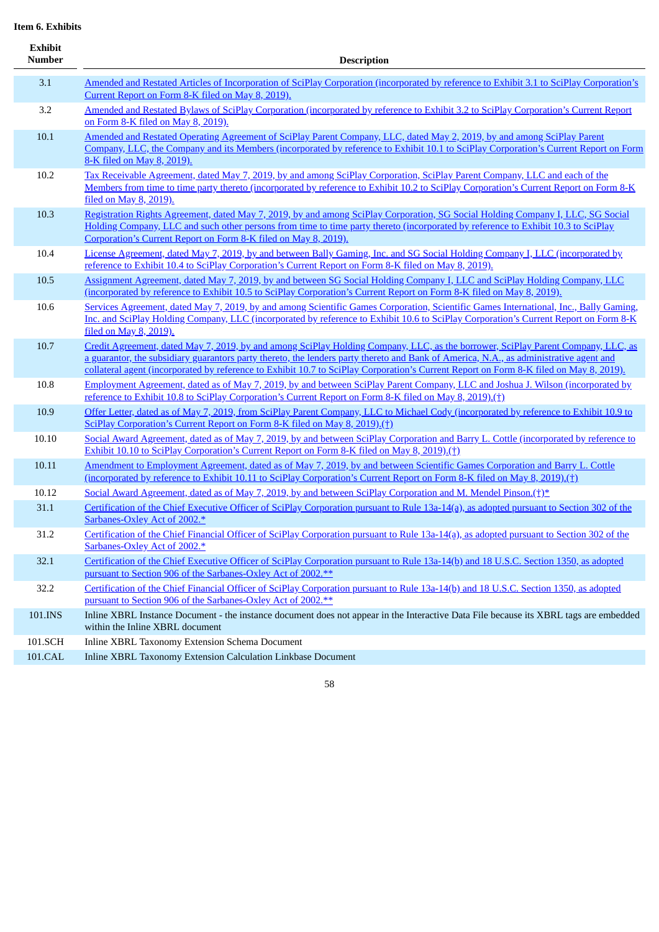<span id="page-57-0"></span>**Item 6. Exhibits**

| Exhibit<br><b>Number</b> | <b>Description</b>                                                                                                                                                                                                                                                                                                                                                                                                   |
|--------------------------|----------------------------------------------------------------------------------------------------------------------------------------------------------------------------------------------------------------------------------------------------------------------------------------------------------------------------------------------------------------------------------------------------------------------|
| 3.1                      | Amended and Restated Articles of Incorporation of SciPlay Corporation (incorporated by reference to Exhibit 3.1 to SciPlay Corporation's<br>Current Report on Form 8-K filed on May 8, 2019).                                                                                                                                                                                                                        |
| 3.2                      | Amended and Restated Bylaws of SciPlay Corporation (incorporated by reference to Exhibit 3.2 to SciPlay Corporation's Current Report<br>on Form 8-K filed on May 8, 2019).                                                                                                                                                                                                                                           |
| 10.1                     | Amended and Restated Operating Agreement of SciPlay Parent Company, LLC, dated May 2, 2019, by and among SciPlay Parent<br>Company, LLC, the Company and its Members (incorporated by reference to Exhibit 10.1 to SciPlay Corporation's Current Report on Form<br>8-K filed on May 8, 2019).                                                                                                                        |
| 10.2                     | Tax Receivable Agreement, dated May 7, 2019, by and among SciPlay Corporation, SciPlay Parent Company, LLC and each of the<br>Members from time to time party thereto (incorporated by reference to Exhibit 10.2 to SciPlay Corporation's Current Report on Form 8-K<br>filed on May 8, 2019).                                                                                                                       |
| 10.3                     | Registration Rights Agreement, dated May 7, 2019, by and among SciPlay Corporation, SG Social Holding Company I, LLC, SG Social<br>Holding Company, LLC and such other persons from time to time party thereto (incorporated by reference to Exhibit 10.3 to SciPlay<br>Corporation's Current Report on Form 8-K filed on May 8, 2019).                                                                              |
| 10.4                     | License Agreement, dated May 7, 2019, by and between Bally Gaming, Inc. and SG Social Holding Company I, LLC (incorporated by<br>reference to Exhibit 10.4 to SciPlay Corporation's Current Report on Form 8-K filed on May 8, 2019).                                                                                                                                                                                |
| 10.5                     | Assignment Agreement, dated May 7, 2019, by and between SG Social Holding Company I, LLC and SciPlay Holding Company, LLC<br>(incorporated by reference to Exhibit 10.5 to SciPlay Corporation's Current Report on Form 8-K filed on May 8, 2019).                                                                                                                                                                   |
| 10.6                     | Services Agreement, dated May 7, 2019, by and among Scientific Games Corporation, Scientific Games International, Inc., Bally Gaming,<br>Inc. and SciPlay Holding Company, LLC (incorporated by reference to Exhibit 10.6 to SciPlay Corporation's Current Report on Form 8-K<br>filed on May 8, 2019).                                                                                                              |
| 10.7                     | Credit Agreement, dated May 7, 2019, by and among SciPlay Holding Company, LLC, as the borrower, SciPlay Parent Company, LLC, as<br>a guarantor, the subsidiary guarantors party thereto, the lenders party thereto and Bank of America, N.A., as administrative agent and<br>collateral agent (incorporated by reference to Exhibit 10.7 to SciPlay Corporation's Current Report on Form 8-K filed on May 8, 2019). |
| 10.8                     | Employment Agreement, dated as of May 7, 2019, by and between SciPlay Parent Company, LLC and Joshua J. Wilson (incorporated by<br>reference to Exhibit 10.8 to SciPlay Corporation's Current Report on Form 8-K filed on May 8, 2019).(†)                                                                                                                                                                           |
| 10.9                     | Offer Letter, dated as of May 7, 2019, from SciPlay Parent Company, LLC to Michael Cody (incorporated by reference to Exhibit 10.9 to<br>SciPlay Corporation's Current Report on Form 8-K filed on May 8, 2019).(†)                                                                                                                                                                                                  |
| 10.10                    | Social Award Agreement, dated as of May 7, 2019, by and between SciPlay Corporation and Barry L. Cottle (incorporated by reference to<br>Exhibit 10.10 to SciPlay Corporation's Current Report on Form 8-K filed on May 8, 2019).(†)                                                                                                                                                                                 |
| 10.11                    | Amendment to Employment Agreement, dated as of May 7, 2019, by and between Scientific Games Corporation and Barry L. Cottle<br>(incorporated by reference to Exhibit 10.11 to SciPlay Corporation's Current Report on Form 8-K filed on May 8, 2019).(†)                                                                                                                                                             |
| 10.12                    | Social Award Agreement, dated as of May 7, 2019, by and between SciPlay Corporation and M. Mendel Pinson.(†)*                                                                                                                                                                                                                                                                                                        |
| 31.1                     | Certification of the Chief Executive Officer of SciPlay Corporation pursuant to Rule 13a-14(a), as adopted pursuant to Section 302 of the<br>Sarbanes-Oxley Act of 2002.*                                                                                                                                                                                                                                            |
| 31.2                     | Certification of the Chief Financial Officer of SciPlay Corporation pursuant to Rule 13a-14(a), as adopted pursuant to Section 302 of the<br>Sarbanes-Oxley Act of 2002.*                                                                                                                                                                                                                                            |
| 32.1                     | Certification of the Chief Executive Officer of SciPlay Corporation pursuant to Rule 13a-14(b) and 18 U.S.C. Section 1350, as adopted<br>pursuant to Section 906 of the Sarbanes-Oxley Act of 2002.**                                                                                                                                                                                                                |
| 32.2                     | Certification of the Chief Financial Officer of SciPlay Corporation pursuant to Rule 13a-14(b) and 18 U.S.C. Section 1350, as adopted<br>pursuant to Section 906 of the Sarbanes-Oxley Act of 2002.**                                                                                                                                                                                                                |
| 101.INS                  | Inline XBRL Instance Document - the instance document does not appear in the Interactive Data File because its XBRL tags are embedded<br>within the Inline XBRL document                                                                                                                                                                                                                                             |
| 101.SCH                  | Inline XBRL Taxonomy Extension Schema Document                                                                                                                                                                                                                                                                                                                                                                       |
| 101.CAL                  | Inline XBRL Taxonomy Extension Calculation Linkbase Document                                                                                                                                                                                                                                                                                                                                                         |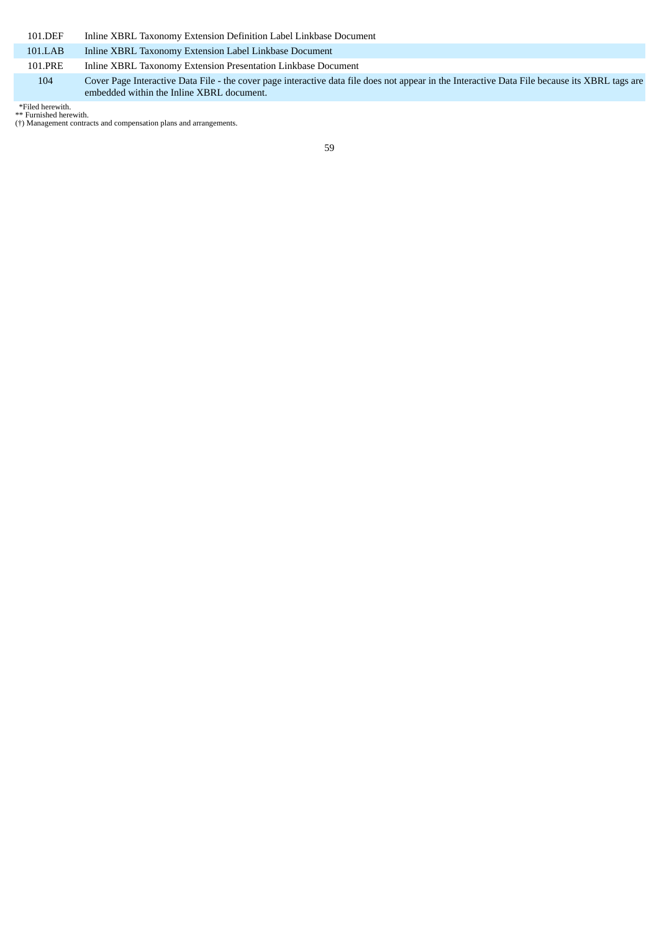| 101.DEF | Inline XBRL Taxonomy Extension Definition Label Linkbase Document                                                                                                                           |
|---------|---------------------------------------------------------------------------------------------------------------------------------------------------------------------------------------------|
| 101.LAB | Inline XBRL Taxonomy Extension Label Linkbase Document                                                                                                                                      |
| 101.PRE | Inline XBRL Taxonomy Extension Presentation Linkbase Document                                                                                                                               |
| 104     | Cover Page Interactive Data File - the cover page interactive data file does not appear in the Interactive Data File because its XBRL tags are<br>embedded within the Inline XBRL document. |

\*Filed herewith. \*\* Furnished herewith. (†) Management contracts and compensation plans and arrangements.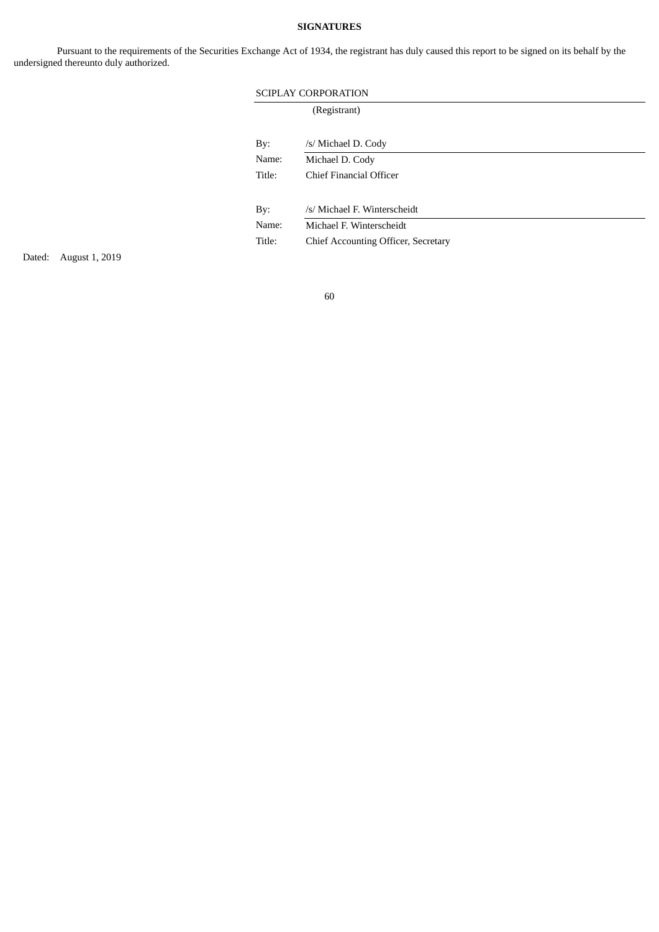# **SIGNATURES**

Pursuant to the requirements of the Securities Exchange Act of 1934, the registrant has duly caused this report to be signed on its behalf by the undersigned thereunto duly authorized.

| <b>SCIPLAY CORPORATION</b> |                                            |  |  |  |  |  |  |
|----------------------------|--------------------------------------------|--|--|--|--|--|--|
| (Registrant)               |                                            |  |  |  |  |  |  |
|                            |                                            |  |  |  |  |  |  |
| By:                        | /s/ Michael D. Cody                        |  |  |  |  |  |  |
| Name:                      | Michael D. Cody                            |  |  |  |  |  |  |
| Title:                     | Chief Financial Officer                    |  |  |  |  |  |  |
|                            |                                            |  |  |  |  |  |  |
| By:                        | /s/ Michael F. Winterscheidt               |  |  |  |  |  |  |
| Name:                      | Michael F. Winterscheidt                   |  |  |  |  |  |  |
| Title:                     | <b>Chief Accounting Officer, Secretary</b> |  |  |  |  |  |  |
|                            |                                            |  |  |  |  |  |  |

Dated: August 1, 2019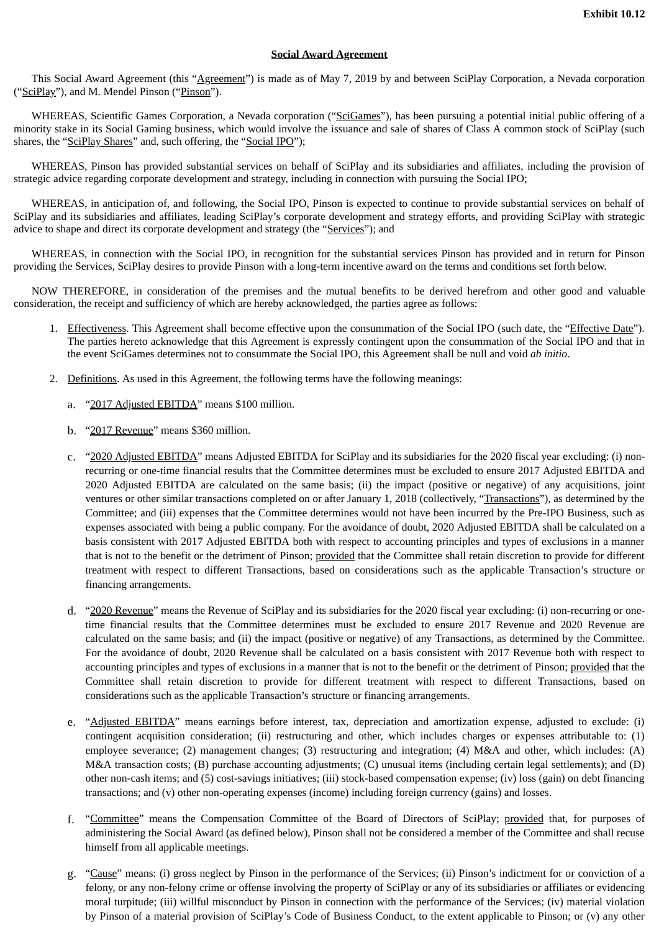# **Social Award Agreement**

This Social Award Agreement (this "Agreement") is made as of May 7, 2019 by and between SciPlay Corporation, a Nevada corporation ("SciPlay"), and M. Mendel Pinson ("Pinson").

WHEREAS, Scientific Games Corporation, a Nevada corporation ("SciGames"), has been pursuing a potential initial public offering of a minority stake in its Social Gaming business, which would involve the issuance and sale of shares of Class A common stock of SciPlay (such shares, the "SciPlay Shares" and, such offering, the "Social IPO");

WHEREAS, Pinson has provided substantial services on behalf of SciPlay and its subsidiaries and affiliates, including the provision of strategic advice regarding corporate development and strategy, including in connection with pursuing the Social IPO;

WHEREAS, in anticipation of, and following, the Social IPO, Pinson is expected to continue to provide substantial services on behalf of SciPlay and its subsidiaries and affiliates, leading SciPlay's corporate development and strategy efforts, and providing SciPlay with strategic advice to shape and direct its corporate development and strategy (the "Services"); and

WHEREAS, in connection with the Social IPO, in recognition for the substantial services Pinson has provided and in return for Pinson providing the Services, SciPlay desires to provide Pinson with a long-term incentive award on the terms and conditions set forth below.

NOW THEREFORE, in consideration of the premises and the mutual benefits to be derived herefrom and other good and valuable consideration, the receipt and sufficiency of which are hereby acknowledged, the parties agree as follows:

- 1. Effectiveness. This Agreement shall become effective upon the consummation of the Social IPO (such date, the "Effective Date"). The parties hereto acknowledge that this Agreement is expressly contingent upon the consummation of the Social IPO and that in the event SciGames determines not to consummate the Social IPO, this Agreement shall be null and void *ab initio*.
- 2. Definitions. As used in this Agreement, the following terms have the following meanings:
	- a. "2017 Adjusted EBITDA" means \$100 million.
	- b. "2017 Revenue" means \$360 million.
	- c. "2020 Adjusted EBITDA" means Adjusted EBITDA for SciPlay and its subsidiaries for the 2020 fiscal year excluding: (i) nonrecurring or one-time financial results that the Committee determines must be excluded to ensure 2017 Adjusted EBITDA and 2020 Adjusted EBITDA are calculated on the same basis; (ii) the impact (positive or negative) of any acquisitions, joint ventures or other similar transactions completed on or after January 1, 2018 (collectively, "Transactions"), as determined by the Committee; and (iii) expenses that the Committee determines would not have been incurred by the Pre-IPO Business, such as expenses associated with being a public company. For the avoidance of doubt, 2020 Adjusted EBITDA shall be calculated on a basis consistent with 2017 Adjusted EBITDA both with respect to accounting principles and types of exclusions in a manner that is not to the benefit or the detriment of Pinson; provided that the Committee shall retain discretion to provide for different treatment with respect to different Transactions, based on considerations such as the applicable Transaction's structure or financing arrangements.
	- d. "2020 Revenue" means the Revenue of SciPlay and its subsidiaries for the 2020 fiscal year excluding: (i) non-recurring or onetime financial results that the Committee determines must be excluded to ensure 2017 Revenue and 2020 Revenue are calculated on the same basis; and (ii) the impact (positive or negative) of any Transactions, as determined by the Committee. For the avoidance of doubt, 2020 Revenue shall be calculated on a basis consistent with 2017 Revenue both with respect to accounting principles and types of exclusions in a manner that is not to the benefit or the detriment of Pinson; provided that the Committee shall retain discretion to provide for different treatment with respect to different Transactions, based on considerations such as the applicable Transaction's structure or financing arrangements.
	- e. "Adjusted EBITDA" means earnings before interest, tax, depreciation and amortization expense, adjusted to exclude: (i) contingent acquisition consideration; (ii) restructuring and other, which includes charges or expenses attributable to: (1) employee severance; (2) management changes; (3) restructuring and integration; (4) M&A and other, which includes: (A) M&A transaction costs; (B) purchase accounting adjustments; (C) unusual items (including certain legal settlements); and (D) other non-cash items; and (5) cost-savings initiatives; (iii) stock-based compensation expense; (iv) loss (gain) on debt financing transactions; and (v) other non-operating expenses (income) including foreign currency (gains) and losses.
	- f. "Committee" means the Compensation Committee of the Board of Directors of SciPlay; provided that, for purposes of administering the Social Award (as defined below), Pinson shall not be considered a member of the Committee and shall recuse himself from all applicable meetings.
	- g. "Cause" means: (i) gross neglect by Pinson in the performance of the Services; (ii) Pinson's indictment for or conviction of a felony, or any non-felony crime or offense involving the property of SciPlay or any of its subsidiaries or affiliates or evidencing moral turpitude; (iii) willful misconduct by Pinson in connection with the performance of the Services; (iv) material violation by Pinson of a material provision of SciPlay's Code of Business Conduct, to the extent applicable to Pinson; or (v) any other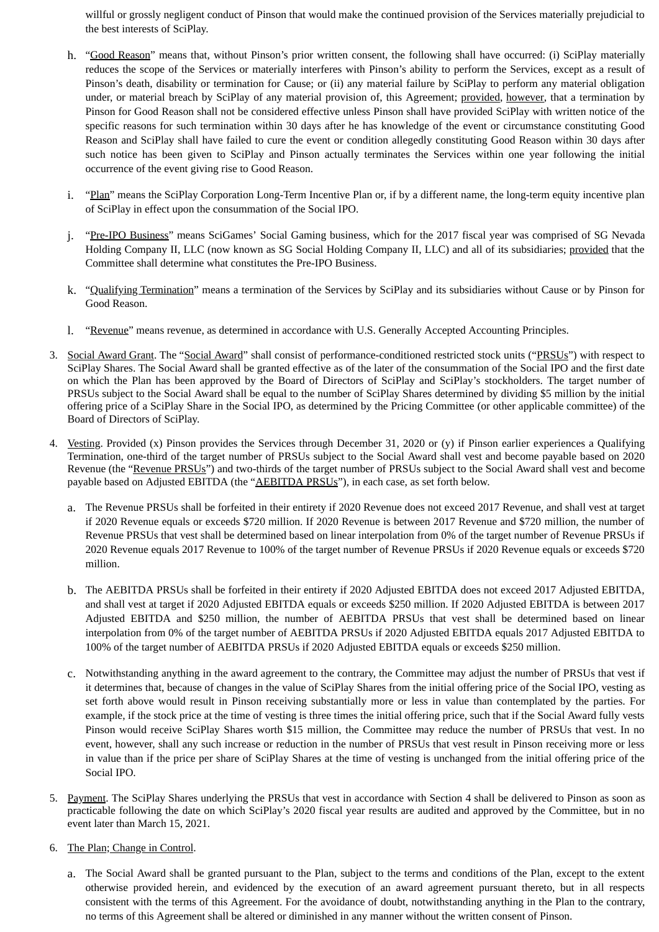willful or grossly negligent conduct of Pinson that would make the continued provision of the Services materially prejudicial to the best interests of SciPlay.

- h. "Good Reason" means that, without Pinson's prior written consent, the following shall have occurred: (i) SciPlay materially reduces the scope of the Services or materially interferes with Pinson's ability to perform the Services, except as a result of Pinson's death, disability or termination for Cause; or (ii) any material failure by SciPlay to perform any material obligation under, or material breach by SciPlay of any material provision of, this Agreement; provided, however, that a termination by Pinson for Good Reason shall not be considered effective unless Pinson shall have provided SciPlay with written notice of the specific reasons for such termination within 30 days after he has knowledge of the event or circumstance constituting Good Reason and SciPlay shall have failed to cure the event or condition allegedly constituting Good Reason within 30 days after such notice has been given to SciPlay and Pinson actually terminates the Services within one year following the initial occurrence of the event giving rise to Good Reason.
- i. "Plan" means the SciPlay Corporation Long-Term Incentive Plan or, if by a different name, the long-term equity incentive plan of SciPlay in effect upon the consummation of the Social IPO.
- j. "Pre-IPO Business" means SciGames' Social Gaming business, which for the 2017 fiscal year was comprised of SG Nevada Holding Company II, LLC (now known as SG Social Holding Company II, LLC) and all of its subsidiaries; provided that the Committee shall determine what constitutes the Pre-IPO Business.
- k. "Qualifying Termination" means a termination of the Services by SciPlay and its subsidiaries without Cause or by Pinson for Good Reason.
- l. "Revenue" means revenue, as determined in accordance with U.S. Generally Accepted Accounting Principles.
- 3. Social Award Grant. The "Social Award" shall consist of performance-conditioned restricted stock units ("PRSUs") with respect to SciPlay Shares. The Social Award shall be granted effective as of the later of the consummation of the Social IPO and the first date on which the Plan has been approved by the Board of Directors of SciPlay and SciPlay's stockholders. The target number of PRSUs subject to the Social Award shall be equal to the number of SciPlay Shares determined by dividing \$5 million by the initial offering price of a SciPlay Share in the Social IPO, as determined by the Pricing Committee (or other applicable committee) of the Board of Directors of SciPlay.
- 4. Vesting. Provided (x) Pinson provides the Services through December 31, 2020 or (y) if Pinson earlier experiences a Qualifying Termination, one-third of the target number of PRSUs subject to the Social Award shall vest and become payable based on 2020 Revenue (the "Revenue PRSUs") and two-thirds of the target number of PRSUs subject to the Social Award shall vest and become payable based on Adjusted EBITDA (the "AEBITDA PRSUs"), in each case, as set forth below.
	- a. The Revenue PRSUs shall be forfeited in their entirety if 2020 Revenue does not exceed 2017 Revenue, and shall vest at target if 2020 Revenue equals or exceeds \$720 million. If 2020 Revenue is between 2017 Revenue and \$720 million, the number of Revenue PRSUs that vest shall be determined based on linear interpolation from 0% of the target number of Revenue PRSUs if 2020 Revenue equals 2017 Revenue to 100% of the target number of Revenue PRSUs if 2020 Revenue equals or exceeds \$720 million.
	- b. The AEBITDA PRSUs shall be forfeited in their entirety if 2020 Adjusted EBITDA does not exceed 2017 Adjusted EBITDA, and shall vest at target if 2020 Adjusted EBITDA equals or exceeds \$250 million. If 2020 Adjusted EBITDA is between 2017 Adjusted EBITDA and \$250 million, the number of AEBITDA PRSUs that vest shall be determined based on linear interpolation from 0% of the target number of AEBITDA PRSUs if 2020 Adjusted EBITDA equals 2017 Adjusted EBITDA to 100% of the target number of AEBITDA PRSUs if 2020 Adjusted EBITDA equals or exceeds \$250 million.
	- c. Notwithstanding anything in the award agreement to the contrary, the Committee may adjust the number of PRSUs that vest if it determines that, because of changes in the value of SciPlay Shares from the initial offering price of the Social IPO, vesting as set forth above would result in Pinson receiving substantially more or less in value than contemplated by the parties. For example, if the stock price at the time of vesting is three times the initial offering price, such that if the Social Award fully vests Pinson would receive SciPlay Shares worth \$15 million, the Committee may reduce the number of PRSUs that vest. In no event, however, shall any such increase or reduction in the number of PRSUs that vest result in Pinson receiving more or less in value than if the price per share of SciPlay Shares at the time of vesting is unchanged from the initial offering price of the Social IPO.
- 5. Payment. The SciPlay Shares underlying the PRSUs that vest in accordance with Section 4 shall be delivered to Pinson as soon as practicable following the date on which SciPlay's 2020 fiscal year results are audited and approved by the Committee, but in no event later than March 15, 2021.
- 6. The Plan; Change in Control.
	- a. The Social Award shall be granted pursuant to the Plan, subject to the terms and conditions of the Plan, except to the extent otherwise provided herein, and evidenced by the execution of an award agreement pursuant thereto, but in all respects consistent with the terms of this Agreement. For the avoidance of doubt, notwithstanding anything in the Plan to the contrary, no terms of this Agreement shall be altered or diminished in any manner without the written consent of Pinson.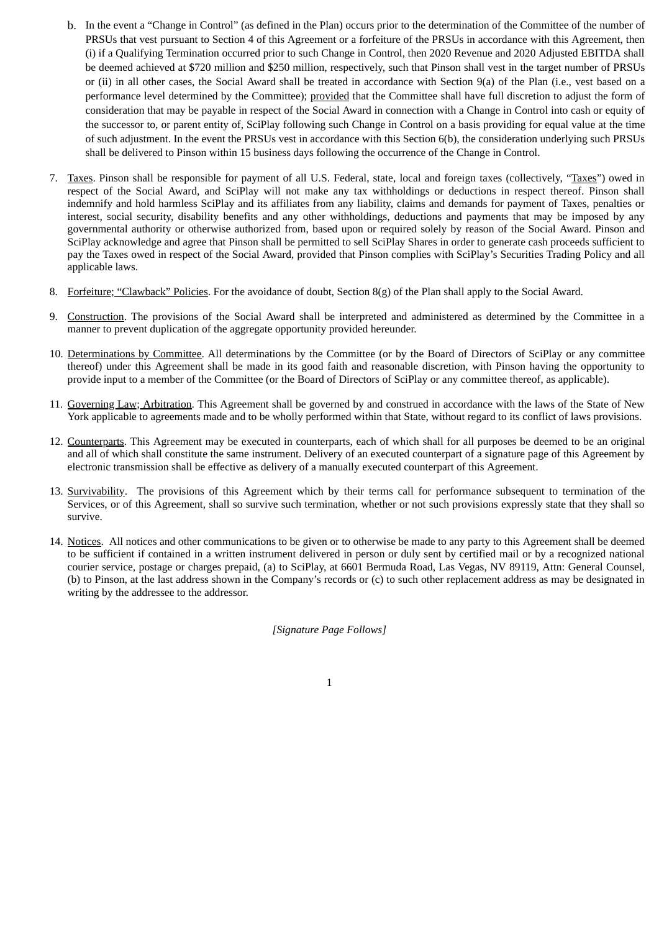- b. In the event a "Change in Control" (as defined in the Plan) occurs prior to the determination of the Committee of the number of PRSUs that vest pursuant to Section 4 of this Agreement or a forfeiture of the PRSUs in accordance with this Agreement, then (i) if a Qualifying Termination occurred prior to such Change in Control, then 2020 Revenue and 2020 Adjusted EBITDA shall be deemed achieved at \$720 million and \$250 million, respectively, such that Pinson shall vest in the target number of PRSUs or (ii) in all other cases, the Social Award shall be treated in accordance with Section 9(a) of the Plan (i.e., vest based on a performance level determined by the Committee); provided that the Committee shall have full discretion to adjust the form of consideration that may be payable in respect of the Social Award in connection with a Change in Control into cash or equity of the successor to, or parent entity of, SciPlay following such Change in Control on a basis providing for equal value at the time of such adjustment. In the event the PRSUs vest in accordance with this Section 6(b), the consideration underlying such PRSUs shall be delivered to Pinson within 15 business days following the occurrence of the Change in Control.
- 7. Taxes. Pinson shall be responsible for payment of all U.S. Federal, state, local and foreign taxes (collectively, "Taxes") owed in respect of the Social Award, and SciPlay will not make any tax withholdings or deductions in respect thereof. Pinson shall indemnify and hold harmless SciPlay and its affiliates from any liability, claims and demands for payment of Taxes, penalties or interest, social security, disability benefits and any other withholdings, deductions and payments that may be imposed by any governmental authority or otherwise authorized from, based upon or required solely by reason of the Social Award. Pinson and SciPlay acknowledge and agree that Pinson shall be permitted to sell SciPlay Shares in order to generate cash proceeds sufficient to pay the Taxes owed in respect of the Social Award, provided that Pinson complies with SciPlay's Securities Trading Policy and all applicable laws.
- 8. Forfeiture; "Clawback" Policies. For the avoidance of doubt, Section  $8(g)$  of the Plan shall apply to the Social Award.
- 9. Construction. The provisions of the Social Award shall be interpreted and administered as determined by the Committee in a manner to prevent duplication of the aggregate opportunity provided hereunder.
- 10. Determinations by Committee. All determinations by the Committee (or by the Board of Directors of SciPlay or any committee thereof) under this Agreement shall be made in its good faith and reasonable discretion, with Pinson having the opportunity to provide input to a member of the Committee (or the Board of Directors of SciPlay or any committee thereof, as applicable).
- 11. Governing Law; Arbitration. This Agreement shall be governed by and construed in accordance with the laws of the State of New York applicable to agreements made and to be wholly performed within that State, without regard to its conflict of laws provisions.
- 12. Counterparts. This Agreement may be executed in counterparts, each of which shall for all purposes be deemed to be an original and all of which shall constitute the same instrument. Delivery of an executed counterpart of a signature page of this Agreement by electronic transmission shall be effective as delivery of a manually executed counterpart of this Agreement.
- 13. Survivability. The provisions of this Agreement which by their terms call for performance subsequent to termination of the Services, or of this Agreement, shall so survive such termination, whether or not such provisions expressly state that they shall so survive.
- 14. Notices. All notices and other communications to be given or to otherwise be made to any party to this Agreement shall be deemed to be sufficient if contained in a written instrument delivered in person or duly sent by certified mail or by a recognized national courier service, postage or charges prepaid, (a) to SciPlay, at 6601 Bermuda Road, Las Vegas, NV 89119, Attn: General Counsel, (b) to Pinson, at the last address shown in the Company's records or (c) to such other replacement address as may be designated in writing by the addressee to the addressor.

*[Signature Page Follows]*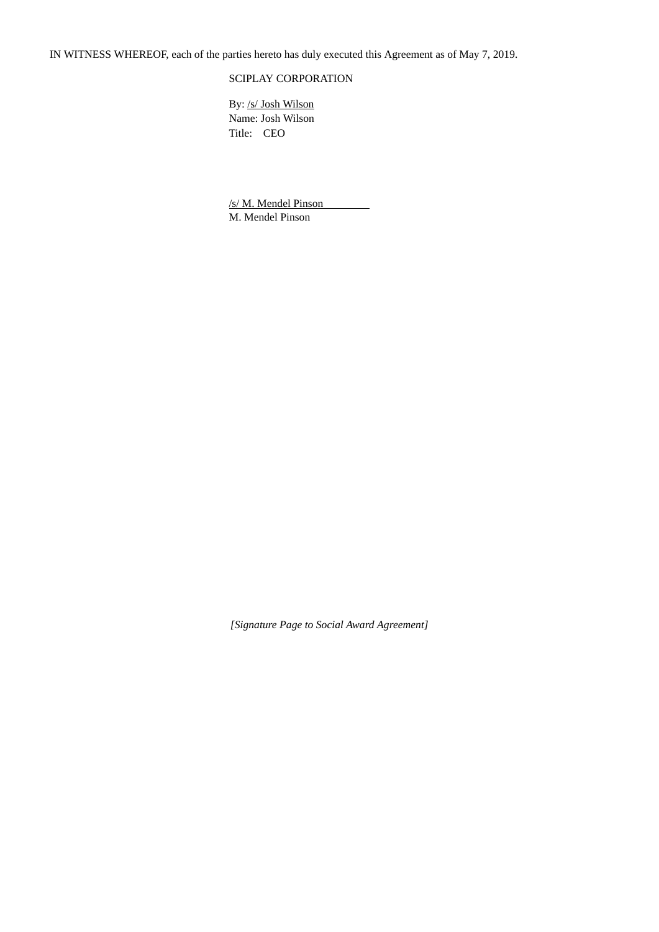IN WITNESS WHEREOF, each of the parties hereto has duly executed this Agreement as of May 7, 2019.

# SCIPLAY CORPORATION

By: /s/ Josh Wilson Name: Josh Wilson Title: CEO

/s/ M. Mendel Pinson M. Mendel Pinson

*[Signature Page to Social Award Agreement]*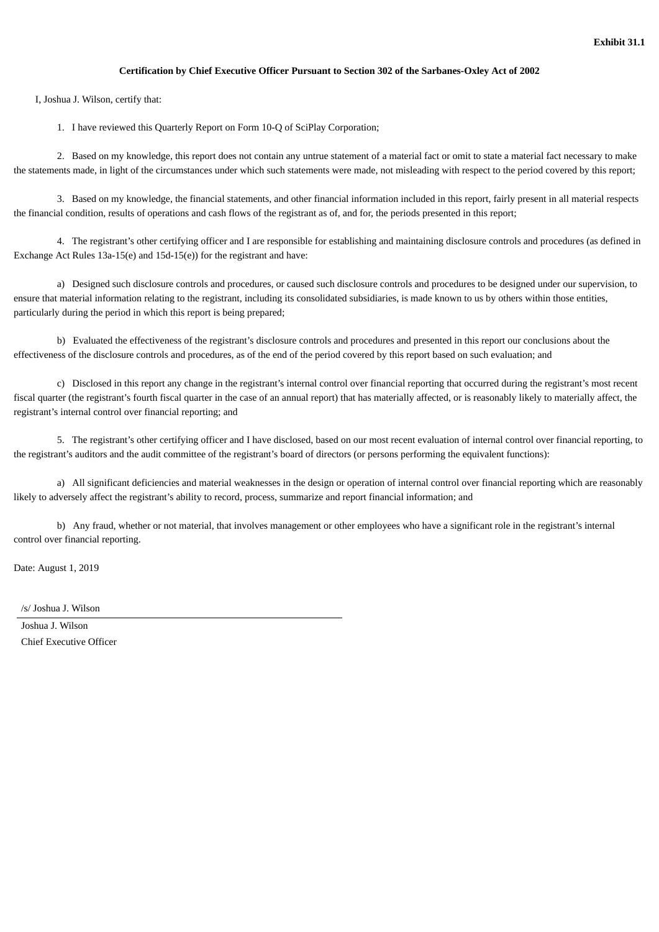# **Certification by Chief Executive Officer Pursuant to Section 302 of the Sarbanes-Oxley Act of 2002**

I, Joshua J. Wilson, certify that:

1. I have reviewed this Quarterly Report on Form 10-Q of SciPlay Corporation;

2. Based on my knowledge, this report does not contain any untrue statement of a material fact or omit to state a material fact necessary to make the statements made, in light of the circumstances under which such statements were made, not misleading with respect to the period covered by this report;

3. Based on my knowledge, the financial statements, and other financial information included in this report, fairly present in all material respects the financial condition, results of operations and cash flows of the registrant as of, and for, the periods presented in this report;

4. The registrant's other certifying officer and I are responsible for establishing and maintaining disclosure controls and procedures (as defined in Exchange Act Rules 13a-15(e) and 15d-15(e)) for the registrant and have:

a) Designed such disclosure controls and procedures, or caused such disclosure controls and procedures to be designed under our supervision, to ensure that material information relating to the registrant, including its consolidated subsidiaries, is made known to us by others within those entities, particularly during the period in which this report is being prepared;

b) Evaluated the effectiveness of the registrant's disclosure controls and procedures and presented in this report our conclusions about the effectiveness of the disclosure controls and procedures, as of the end of the period covered by this report based on such evaluation; and

c) Disclosed in this report any change in the registrant's internal control over financial reporting that occurred during the registrant's most recent fiscal quarter (the registrant's fourth fiscal quarter in the case of an annual report) that has materially affected, or is reasonably likely to materially affect, the registrant's internal control over financial reporting; and

5. The registrant's other certifying officer and I have disclosed, based on our most recent evaluation of internal control over financial reporting, to the registrant's auditors and the audit committee of the registrant's board of directors (or persons performing the equivalent functions):

a) All significant deficiencies and material weaknesses in the design or operation of internal control over financial reporting which are reasonably likely to adversely affect the registrant's ability to record, process, summarize and report financial information; and

b) Any fraud, whether or not material, that involves management or other employees who have a significant role in the registrant's internal control over financial reporting.

Date: August 1, 2019

/s/ Joshua J. Wilson

Joshua J. Wilson Chief Executive Officer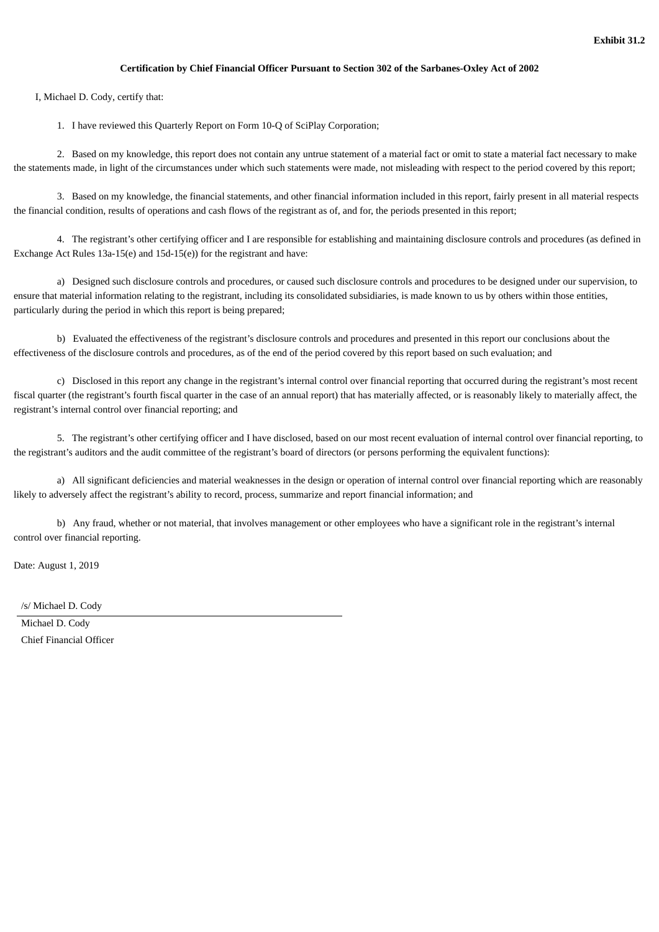# **Certification by Chief Financial Officer Pursuant to Section 302 of the Sarbanes-Oxley Act of 2002**

I, Michael D. Cody, certify that:

1. I have reviewed this Quarterly Report on Form 10-Q of SciPlay Corporation;

2. Based on my knowledge, this report does not contain any untrue statement of a material fact or omit to state a material fact necessary to make the statements made, in light of the circumstances under which such statements were made, not misleading with respect to the period covered by this report;

3. Based on my knowledge, the financial statements, and other financial information included in this report, fairly present in all material respects the financial condition, results of operations and cash flows of the registrant as of, and for, the periods presented in this report;

4. The registrant's other certifying officer and I are responsible for establishing and maintaining disclosure controls and procedures (as defined in Exchange Act Rules 13a-15(e) and 15d-15(e)) for the registrant and have:

a) Designed such disclosure controls and procedures, or caused such disclosure controls and procedures to be designed under our supervision, to ensure that material information relating to the registrant, including its consolidated subsidiaries, is made known to us by others within those entities, particularly during the period in which this report is being prepared;

b) Evaluated the effectiveness of the registrant's disclosure controls and procedures and presented in this report our conclusions about the effectiveness of the disclosure controls and procedures, as of the end of the period covered by this report based on such evaluation; and

c) Disclosed in this report any change in the registrant's internal control over financial reporting that occurred during the registrant's most recent fiscal quarter (the registrant's fourth fiscal quarter in the case of an annual report) that has materially affected, or is reasonably likely to materially affect, the registrant's internal control over financial reporting; and

5. The registrant's other certifying officer and I have disclosed, based on our most recent evaluation of internal control over financial reporting, to the registrant's auditors and the audit committee of the registrant's board of directors (or persons performing the equivalent functions):

a) All significant deficiencies and material weaknesses in the design or operation of internal control over financial reporting which are reasonably likely to adversely affect the registrant's ability to record, process, summarize and report financial information; and

b) Any fraud, whether or not material, that involves management or other employees who have a significant role in the registrant's internal control over financial reporting.

Date: August 1, 2019

/s/ Michael D. Cody

Michael D. Cody Chief Financial Officer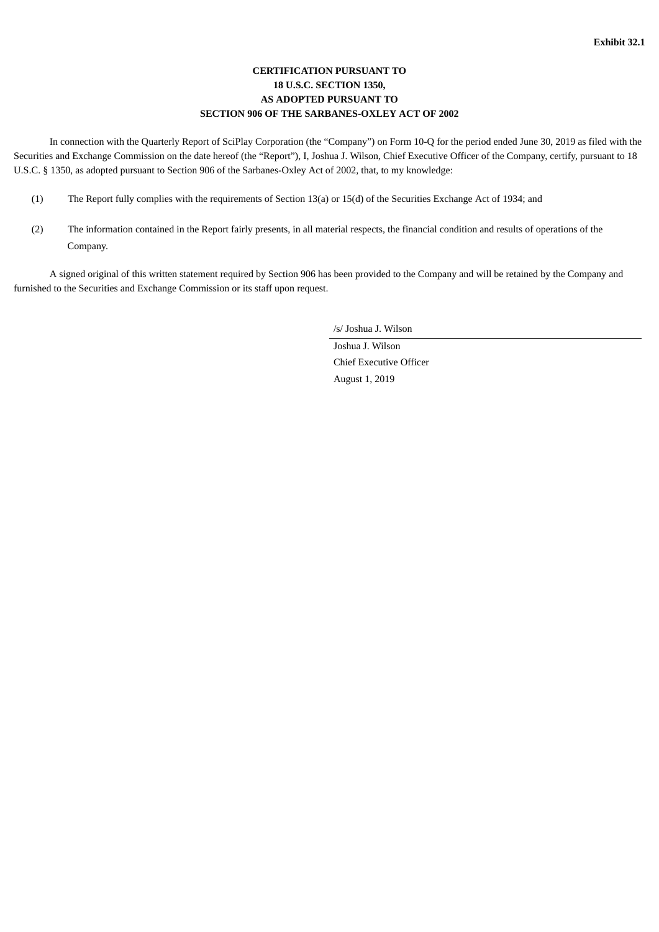# **CERTIFICATION PURSUANT TO 18 U.S.C. SECTION 1350, AS ADOPTED PURSUANT TO SECTION 906 OF THE SARBANES-OXLEY ACT OF 2002**

In connection with the Quarterly Report of SciPlay Corporation (the "Company") on Form 10-Q for the period ended June 30, 2019 as filed with the Securities and Exchange Commission on the date hereof (the "Report"), I, Joshua J. Wilson, Chief Executive Officer of the Company, certify, pursuant to 18 U.S.C. § 1350, as adopted pursuant to Section 906 of the Sarbanes-Oxley Act of 2002, that, to my knowledge:

- (1) The Report fully complies with the requirements of Section 13(a) or 15(d) of the Securities Exchange Act of 1934; and
- (2) The information contained in the Report fairly presents, in all material respects, the financial condition and results of operations of the Company.

A signed original of this written statement required by Section 906 has been provided to the Company and will be retained by the Company and furnished to the Securities and Exchange Commission or its staff upon request.

/s/ Joshua J. Wilson

Joshua J. Wilson Chief Executive Officer August 1, 2019